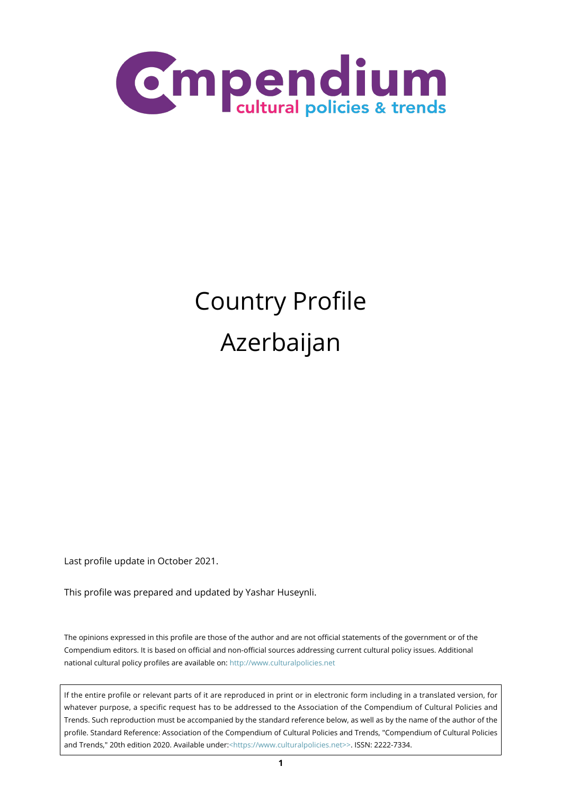

# Country Profile Azerbaijan

Last profile update in October 2021.

This profile was prepared and updated by Yashar Huseynli.

The opinions expressed in this profile are those of the author and are not official statements of the government or of the Compendium editors. It is based on official and non-official sources addressing current cultural policy issues. Additional national cultural policy profiles are available on:<http://www.culturalpolicies.net>

If the entire profile or relevant parts of it are reproduced in print or in electronic form including in a translated version, for whatever purpose, a specific request has to be addressed to the Association of the Compendium of Cultural Policies and Trends. Such reproduction must be accompanied by the standard reference below, as well as by the name of the author of the profile. Standard Reference: Association of the Compendium of Cultural Policies and Trends, "Compendium of Cultural Policies and Trends," 20th edition 2020. Available under:[<https://www.culturalpolicies.net>>.](https://www.culturalpolicies.net) ISSN: 2222-7334.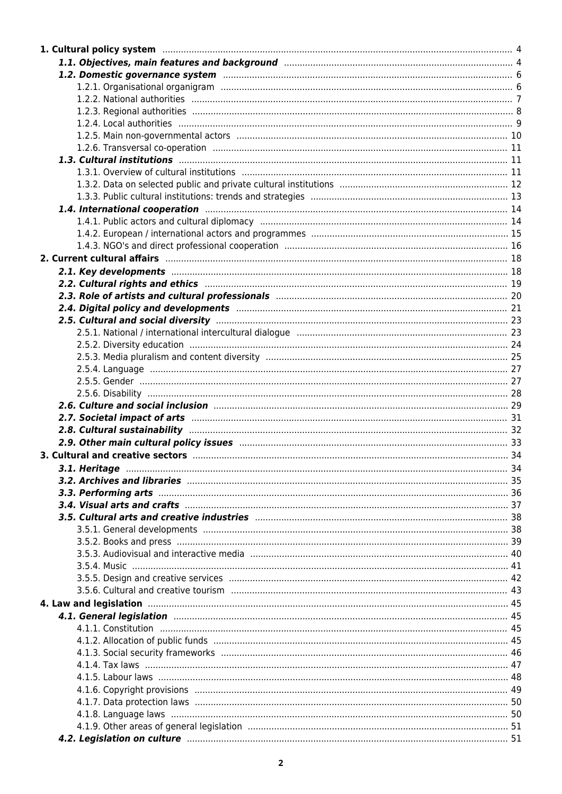| 1.4. International cooperation manufactured and the control of the cooperation of the cooperation of the cooperation                                                                                                           |  |
|--------------------------------------------------------------------------------------------------------------------------------------------------------------------------------------------------------------------------------|--|
|                                                                                                                                                                                                                                |  |
|                                                                                                                                                                                                                                |  |
|                                                                                                                                                                                                                                |  |
|                                                                                                                                                                                                                                |  |
|                                                                                                                                                                                                                                |  |
|                                                                                                                                                                                                                                |  |
|                                                                                                                                                                                                                                |  |
|                                                                                                                                                                                                                                |  |
|                                                                                                                                                                                                                                |  |
|                                                                                                                                                                                                                                |  |
|                                                                                                                                                                                                                                |  |
|                                                                                                                                                                                                                                |  |
|                                                                                                                                                                                                                                |  |
|                                                                                                                                                                                                                                |  |
|                                                                                                                                                                                                                                |  |
| 2.7. Societal impact of arts manufactured and all the set of arts and 31                                                                                                                                                       |  |
|                                                                                                                                                                                                                                |  |
| 2.9. Other main cultural policy issues manufactured and continuum continuum and 33                                                                                                                                             |  |
|                                                                                                                                                                                                                                |  |
| 3.1. Heritage <b>Manual Museum and Construction Construction</b> and the construction of the construction of the 34                                                                                                            |  |
|                                                                                                                                                                                                                                |  |
|                                                                                                                                                                                                                                |  |
|                                                                                                                                                                                                                                |  |
| 3.5. Cultural arts and creative industries manufactured and continuum and the 38                                                                                                                                               |  |
|                                                                                                                                                                                                                                |  |
|                                                                                                                                                                                                                                |  |
|                                                                                                                                                                                                                                |  |
|                                                                                                                                                                                                                                |  |
|                                                                                                                                                                                                                                |  |
|                                                                                                                                                                                                                                |  |
| 4. Law and legislation manufactured and the control of the control of the control of the control of the control of the control of the control of the control of the control of the control of the control of the control of th |  |
| 4.1. General legislation manufacture and the control of the state of the state of the state of the state of the                                                                                                                |  |
|                                                                                                                                                                                                                                |  |
|                                                                                                                                                                                                                                |  |
|                                                                                                                                                                                                                                |  |
|                                                                                                                                                                                                                                |  |
|                                                                                                                                                                                                                                |  |
|                                                                                                                                                                                                                                |  |
|                                                                                                                                                                                                                                |  |
|                                                                                                                                                                                                                                |  |
|                                                                                                                                                                                                                                |  |
| 4.2. Legislation on culture manufacture contract to 51                                                                                                                                                                         |  |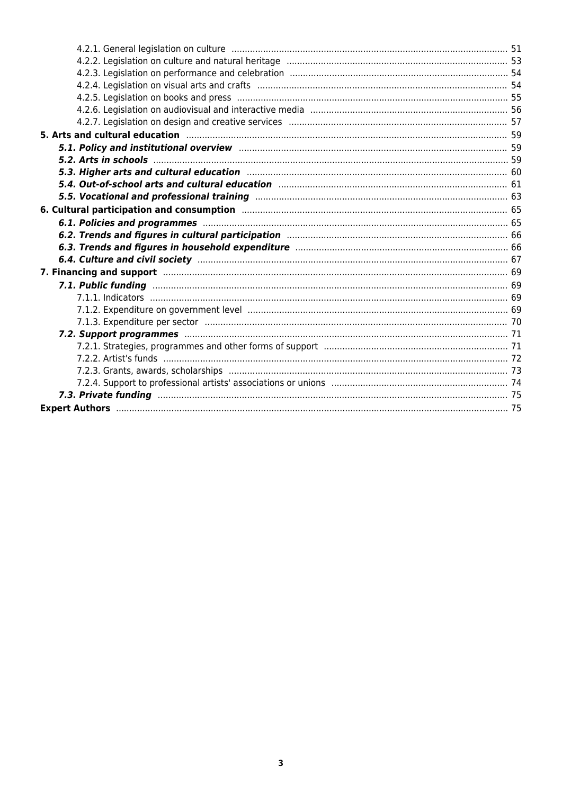| 5. Arts and cultural education manufactured and all the state of 59 states and cultural education of the states of the states of the states of the states of the states of the states of the states of the states of the state |  |
|--------------------------------------------------------------------------------------------------------------------------------------------------------------------------------------------------------------------------------|--|
| 5.1. Policy and institutional overview manufacture and continuum manufacture and 59                                                                                                                                            |  |
|                                                                                                                                                                                                                                |  |
| 5.3. Higher arts and cultural education manufactured and all the final state of 60                                                                                                                                             |  |
| 5.4. Out-of-school arts and cultural education manufacture manufacture and 61                                                                                                                                                  |  |
| 5.5. Vocational and professional training manual manual manual manual manual 63                                                                                                                                                |  |
| 6. Cultural participation and consumption manufactured and consumer constant of the manufactured and consumption                                                                                                               |  |
| 6.1. Policies and programmes manufactured and the contract of the 65                                                                                                                                                           |  |
|                                                                                                                                                                                                                                |  |
|                                                                                                                                                                                                                                |  |
|                                                                                                                                                                                                                                |  |
| 7. Financing and support manufacture and the contract of the contract of the contract of the contract of the contract of the contract of the contract of the contract of the contract of the contract of the contract of the c |  |
|                                                                                                                                                                                                                                |  |
|                                                                                                                                                                                                                                |  |
|                                                                                                                                                                                                                                |  |
|                                                                                                                                                                                                                                |  |
|                                                                                                                                                                                                                                |  |
|                                                                                                                                                                                                                                |  |
|                                                                                                                                                                                                                                |  |
|                                                                                                                                                                                                                                |  |
|                                                                                                                                                                                                                                |  |
|                                                                                                                                                                                                                                |  |
|                                                                                                                                                                                                                                |  |
|                                                                                                                                                                                                                                |  |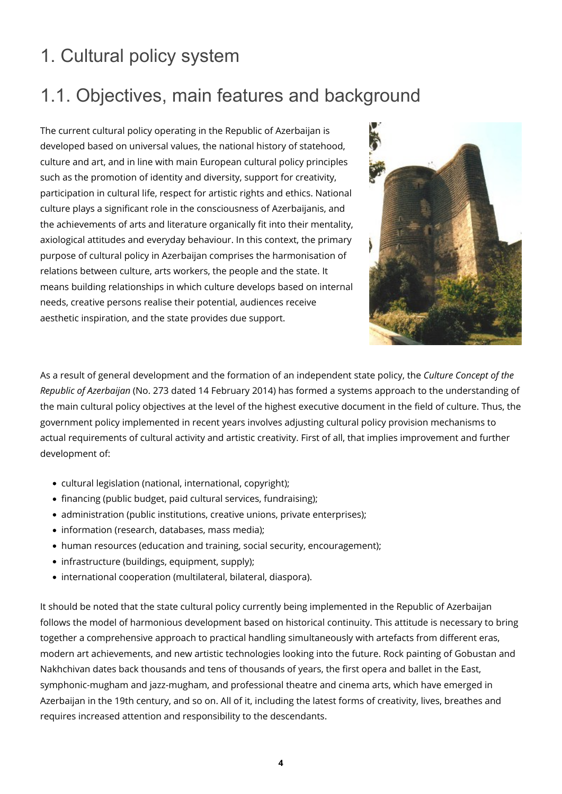### <span id="page-3-0"></span>1. Cultural policy system

### <span id="page-3-1"></span>1.1. Objectives, main features and background

The current cultural policy operating in the Republic of Azerbaijan is developed based on universal values, the national history of statehood, culture and art, and in line with main European cultural policy principles such as the promotion of identity and diversity, support for creativity, participation in cultural life, respect for artistic rights and ethics. National culture plays a significant role in the consciousness of Azerbaijanis, and the achievements of arts and literature organically fit into their mentality, axiological attitudes and everyday behaviour. In this context, the primary purpose of cultural policy in Azerbaijan comprises the harmonisation of relations between culture, arts workers, the people and the state. It means building relationships in which culture develops based on internal needs, creative persons realise their potential, audiences receive aesthetic inspiration, and the state provides due support.



As a result of general development and the formation of an independent state policy, the *Culture Concept of the Republic of Azerbaijan* (No. 273 dated 14 February 2014) has formed a systems approach to the understanding of the main cultural policy objectives at the level of the highest executive document in the field of culture. Thus, the government policy implemented in recent years involves adjusting cultural policy provision mechanisms to actual requirements of cultural activity and artistic creativity. First of all, that implies improvement and further development of:

- cultural legislation (national, international, copyright);
- financing (public budget, paid cultural services, fundraising);
- administration (public institutions, creative unions, private enterprises);
- information (research, databases, mass media);
- human resources (education and training, social security, encouragement);
- infrastructure (buildings, equipment, supply);
- international cooperation (multilateral, bilateral, diaspora).

It should be noted that the state cultural policy currently being implemented in the Republic of Azerbaijan follows the model of harmonious development based on historical continuity. This attitude is necessary to bring together a comprehensive approach to practical handling simultaneously with artefacts from different eras, modern art achievements, and new artistic technologies looking into the future. Rock painting of Gobustan and Nakhchivan dates back thousands and tens of thousands of years, the first opera and ballet in the East, symphonic-mugham and jazz-mugham, and professional theatre and cinema arts, which have emerged in Azerbaijan in the 19th century, and so on. All of it, including the latest forms of creativity, lives, breathes and requires increased attention and responsibility to the descendants.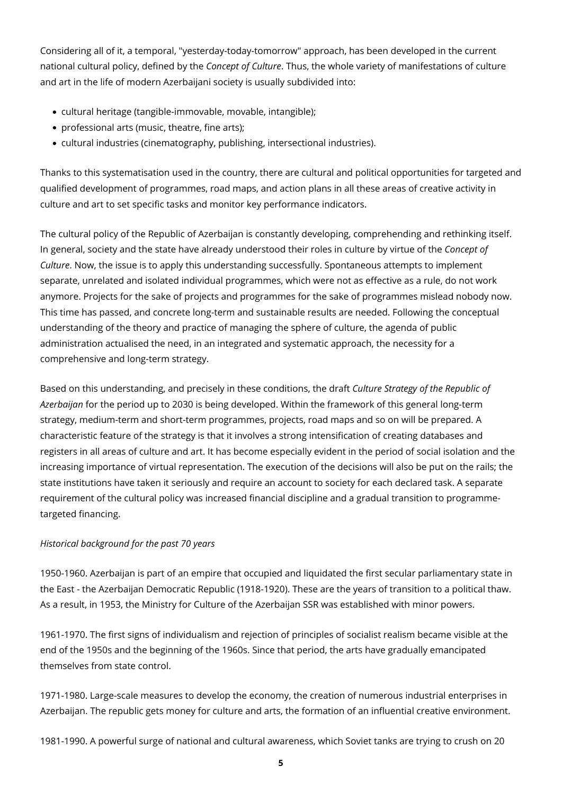Considering all of it, a temporal, "yesterday-today-tomorrow" approach, has been developed in the current national cultural policy, defined by the *Concept of Culture*. Thus, the whole variety of manifestations of culture and art in the life of modern Azerbaijani society is usually subdivided into:

- cultural heritage (tangible-immovable, movable, intangible);
- professional arts (music, theatre, fine arts);
- cultural industries (cinematography, publishing, intersectional industries).

Thanks to this systematisation used in the country, there are cultural and political opportunities for targeted and qualified development of programmes, road maps, and action plans in all these areas of creative activity in culture and art to set specific tasks and monitor key performance indicators.

The cultural policy of the Republic of Azerbaijan is constantly developing, comprehending and rethinking itself. In general, society and the state have already understood their roles in culture by virtue of the *Concept of Culture*. Now, the issue is to apply this understanding successfully. Spontaneous attempts to implement separate, unrelated and isolated individual programmes, which were not as effective as a rule, do not work anymore. Projects for the sake of projects and programmes for the sake of programmes mislead nobody now. This time has passed, and concrete long-term and sustainable results are needed. Following the conceptual understanding of the theory and practice of managing the sphere of culture, the agenda of public administration actualised the need, in an integrated and systematic approach, the necessity for a comprehensive and long-term strategy.

Based on this understanding, and precisely in these conditions, the draft *Culture Strategy of the Republic of Azerbaijan* for the period up to 2030 is being developed. Within the framework of this general long-term strategy, medium-term and short-term programmes, projects, road maps and so on will be prepared. A characteristic feature of the strategy is that it involves a strong intensification of creating databases and registers in all areas of culture and art. It has become especially evident in the period of social isolation and the increasing importance of virtual representation. The execution of the decisions will also be put on the rails; the state institutions have taken it seriously and require an account to society for each declared task. A separate requirement of the cultural policy was increased financial discipline and a gradual transition to programmetargeted financing.

#### *Historical background for the past 70 years*

1950-1960. Azerbaijan is part of an empire that occupied and liquidated the first secular parliamentary state in the East - the Azerbaijan Democratic Republic (1918-1920). These are the years of transition to a political thaw. As a result, in 1953, the Ministry for Culture of the Azerbaijan SSR was established with minor powers.

1961-1970. The first signs of individualism and rejection of principles of socialist realism became visible at the end of the 1950s and the beginning of the 1960s. Since that period, the arts have gradually emancipated themselves from state control.

1971-1980. Large-scale measures to develop the economy, the creation of numerous industrial enterprises in Azerbaijan. The republic gets money for culture and arts, the formation of an influential creative environment.

1981-1990. A powerful surge of national and cultural awareness, which Soviet tanks are trying to crush on 20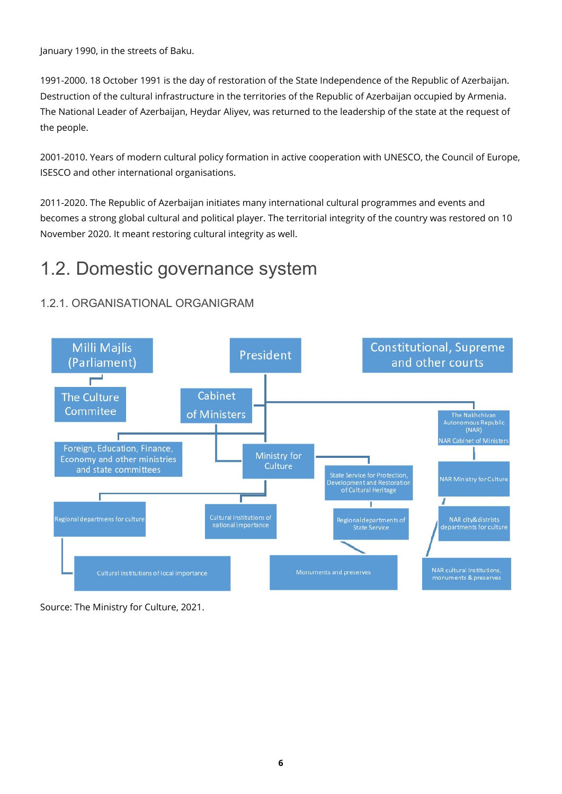January 1990, in the streets of Baku.

1991-2000. 18 October 1991 is the day of restoration of the State Independence of the Republic of Azerbaijan. Destruction of the cultural infrastructure in the territories of the Republic of Azerbaijan occupied by Armenia. The National Leader of Azerbaijan, Heydar Aliyev, was returned to the leadership of the state at the request of the people.

2001-2010. Years of modern cultural policy formation in active cooperation with UNESCO, the Council of Europe, ISESCO and other international organisations.

2011-2020. The Republic of Azerbaijan initiates many international cultural programmes and events and becomes a strong global cultural and political player. The territorial integrity of the country was restored on 10 November 2020. It meant restoring cultural integrity as well.

### <span id="page-5-0"></span>1.2. Domestic governance system

### <span id="page-5-1"></span>1.2.1. ORGANISATIONAL ORGANIGRAM



Source: The Ministry for Culture, 2021.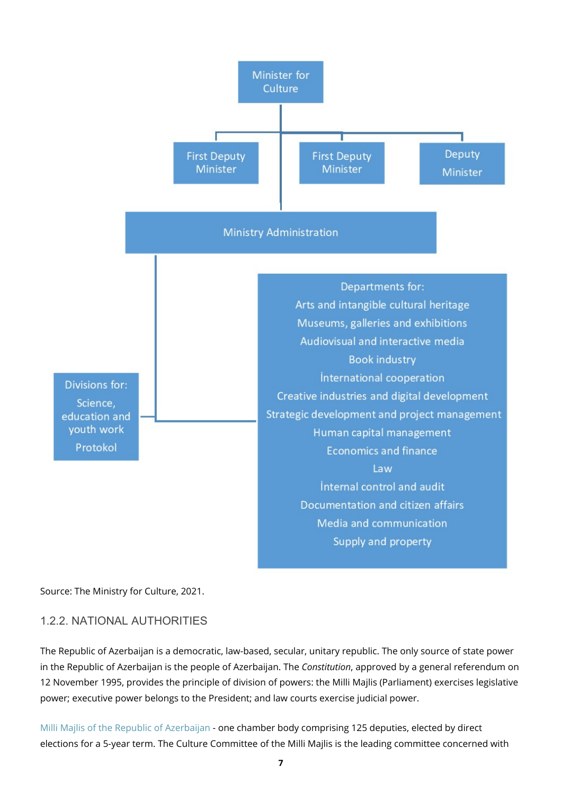

#### Source: The Ministry for Culture, 2021.

#### <span id="page-6-0"></span>1.2.2. NATIONAL AUTHORITIES

The Republic of Azerbaijan is a democratic, law-based, secular, unitary republic. The only source of state power in the Republic of Azerbaijan is the people of Azerbaijan. The *Constitution*, approved by a general referendum on 12 November 1995, provides the principle of division of powers: the Milli Majlis (Parliament) exercises legislative power; executive power belongs to the President; and law courts exercise judicial power.

[Milli Majlis of the Republic of Azerbaijan](https://www.meclis.gov.az/index.php?lang=en) - one chamber body comprising 125 deputies, elected by direct elections for a 5-year term. The Culture Committee of the Milli Majlis is the leading committee concerned with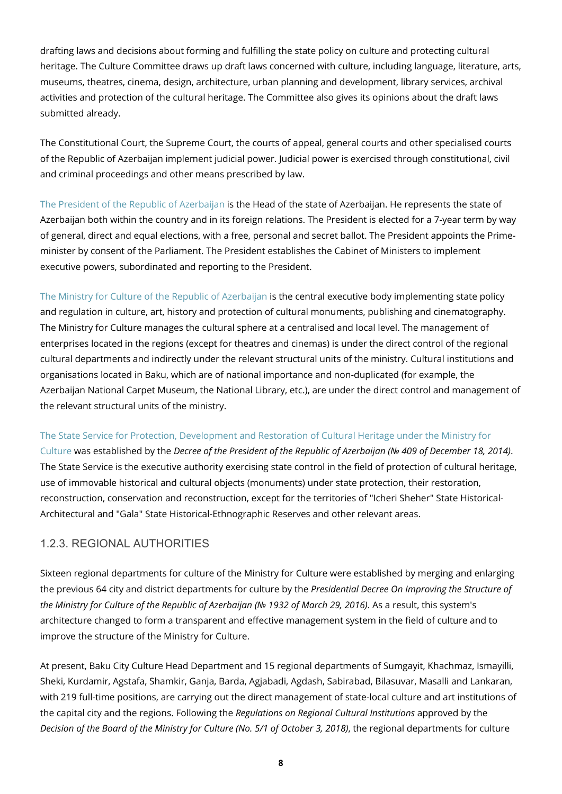drafting laws and decisions about forming and fulfilling the state policy on culture and protecting cultural heritage. The Culture Committee draws up draft laws concerned with culture, including language, literature, arts, museums, theatres, cinema, design, architecture, urban planning and development, library services, archival activities and protection of the cultural heritage. The Committee also gives its opinions about the draft laws submitted already.

The Constitutional Court, the Supreme Court, the courts of appeal, general courts and other specialised courts of the Republic of Azerbaijan implement judicial power. Judicial power is exercised through constitutional, civil and criminal proceedings and other means prescribed by law.

[The President of the Republic of Azerbaijan](https://en.president.az/) is the Head of the state of Azerbaijan. He represents the state of Azerbaijan both within the country and in its foreign relations. The President is elected for a 7-year term by way of general, direct and equal elections, with a free, personal and secret ballot. The President appoints the Primeminister by consent of the Parliament. The President establishes the Cabinet of Ministers to implement executive powers, subordinated and reporting to the President.

[The Ministry for Culture of the Republic of Azerbaijan](http://mct.gov.az/en/) is the central executive body implementing state policy and regulation in culture, art, history and protection of cultural monuments, publishing and cinematography. The Ministry for Culture manages the cultural sphere at a centralised and local level. The management of enterprises located in the regions (except for theatres and cinemas) is under the direct control of the regional cultural departments and indirectly under the relevant structural units of the ministry. Cultural institutions and organisations located in Baku, which are of national importance and non-duplicated (for example, the Azerbaijan National Carpet Museum, the National Library, etc.), are under the direct control and management of the relevant structural units of the ministry.

#### [The State Service for Protection, Development and Restoration of Cultural Heritage under the Ministry for](http://heritage.gov.az/home)

[Culture](http://heritage.gov.az/home) was established by the *Decree of the President of the Republic of Azerbaijan (№ 409 of December 18, 2014)*. The State Service is the executive authority exercising state control in the field of protection of cultural heritage, use of immovable historical and cultural objects (monuments) under state protection, their restoration, reconstruction, conservation and reconstruction, except for the territories of "Icheri Sheher" State Historical-Architectural and "Gala" State Historical-Ethnographic Reserves and other relevant areas.

#### <span id="page-7-0"></span>1.2.3. REGIONAL AUTHORITIES

Sixteen regional departments for culture of the Ministry for Culture were established by merging and enlarging the previous 64 city and district departments for culture by the *Presidential Decree On Improving the Structure of the Ministry for Culture of the Republic of Azerbaijan (№ 1932 of March 29, 2016)*. As a result, this system's architecture changed to form a transparent and effective management system in the field of culture and to improve the structure of the Ministry for Culture.

At present, Baku City Culture Head Department and 15 regional departments of Sumgayit, Khachmaz, Ismayilli, Sheki, Kurdamir, Agstafa, Shamkir, Ganja, Barda, Agjabadi, Agdash, Sabirabad, Bilasuvar, Masalli and Lankaran, with 219 full-time positions, are carrying out the direct management of state-local culture and art institutions of the capital city and the regions. Following the *Regulations on Regional Cultural Institutions* approved by the *Decision of the Board of the Ministry for Culture (No. 5/1 of October 3, 2018)*, the regional departments for culture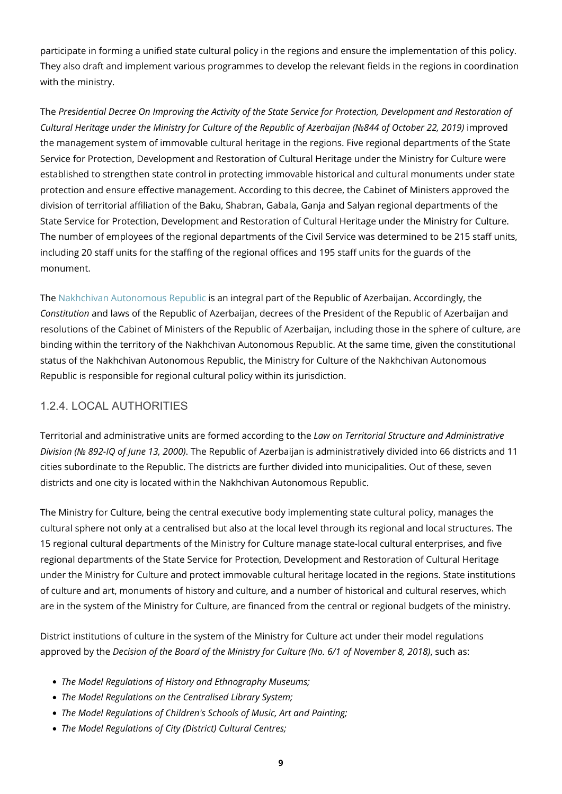participate in forming a unified state cultural policy in the regions and ensure the implementation of this policy. They also draft and implement various programmes to develop the relevant fields in the regions in coordination with the ministry.

The *Presidential Decree On Improving the Activity of the State Service for Protection, Development and Restoration of Cultural Heritage under the Ministry for Culture of the Republic of Azerbaijan (№844 of October 22, 2019)* improved the management system of immovable cultural heritage in the regions. Five regional departments of the State Service for Protection, Development and Restoration of Cultural Heritage under the Ministry for Culture were established to strengthen state control in protecting immovable historical and cultural monuments under state protection and ensure effective management. According to this decree, the Cabinet of Ministers approved the division of territorial affiliation of the Baku, Shabran, Gabala, Ganja and Salyan regional departments of the State Service for Protection, Development and Restoration of Cultural Heritage under the Ministry for Culture. The number of employees of the regional departments of the Civil Service was determined to be 215 staff units, including 20 staff units for the staffing of the regional offices and 195 staff units for the guards of the monument.

The [Nakhchivan Autonomous Republic](http://www.nakhchivan.az/portal-en/index-22.htm) is an integral part of the Republic of Azerbaijan. Accordingly, the *Constitution* and laws of the Republic of Azerbaijan, decrees of the President of the Republic of Azerbaijan and resolutions of the Cabinet of Ministers of the Republic of Azerbaijan, including those in the sphere of culture, are binding within the territory of the Nakhchivan Autonomous Republic. At the same time, given the constitutional status of the Nakhchivan Autonomous Republic, the Ministry for Culture of the Nakhchivan Autonomous Republic is responsible for regional cultural policy within its jurisdiction.

### <span id="page-8-0"></span>1.2.4. LOCAL AUTHORITIES

Territorial and administrative units are formed according to the *Law on Territorial Structure and Administrative Division (№ 892-IQ of June 13, 2000)*. The Republic of Azerbaijan is administratively divided into 66 districts and 11 cities subordinate to the Republic. The districts are further divided into municipalities. Out of these, seven districts and one city is located within the Nakhchivan Autonomous Republic.

The Ministry for Culture, being the central executive body implementing state cultural policy, manages the cultural sphere not only at a centralised but also at the local level through its regional and local structures. The 15 regional cultural departments of the Ministry for Culture manage state-local cultural enterprises, and five regional departments of the State Service for Protection, Development and Restoration of Cultural Heritage under the Ministry for Culture and protect immovable cultural heritage located in the regions. State institutions of culture and art, monuments of history and culture, and a number of historical and cultural reserves, which are in the system of the Ministry for Culture, are financed from the central or regional budgets of the ministry.

District institutions of culture in the system of the Ministry for Culture act under their model regulations approved by the *Decision of the Board of the Ministry for Culture (No. 6/1 of November 8, 2018)*, such as:

- *The Model Regulations of History and Ethnography Museums;*
- *The Model Regulations on the Centralised Library System;*
- *The Model Regulations of Children's Schools of Music, Art and Painting;*
- *The Model Regulations of City (District) Cultural Centres;*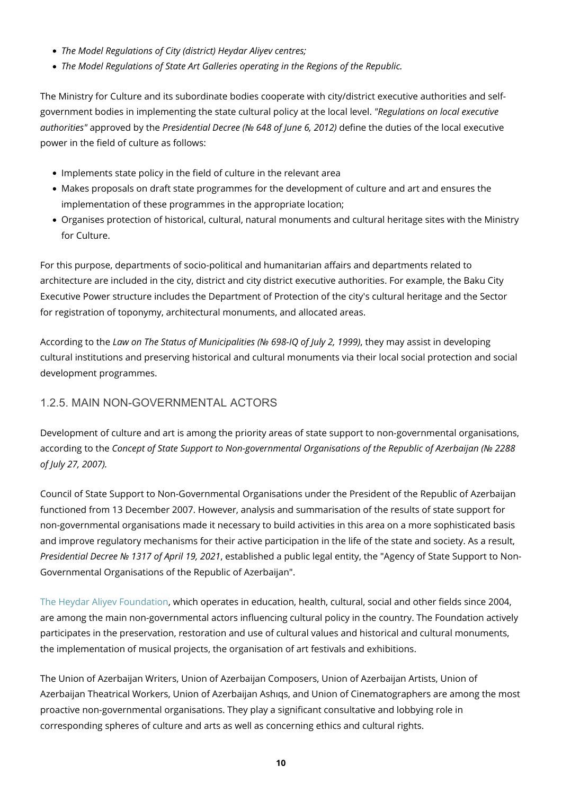- *The Model Regulations of City (district) Heydar Aliyev centres;*
- *The Model Regulations of State Art Galleries operating in the Regions of the Republic.*

The Ministry for Culture and its subordinate bodies cooperate with city/district executive authorities and selfgovernment bodies in implementing the state cultural policy at the local level. *"Regulations on local executive authorities"* approved by the *Presidential Decree (№ 648 of June 6, 2012)* define the duties of the local executive power in the field of culture as follows:

- Implements state policy in the field of culture in the relevant area
- Makes proposals on draft state programmes for the development of culture and art and ensures the implementation of these programmes in the appropriate location;
- Organises protection of historical, cultural, natural monuments and cultural heritage sites with the Ministry for Culture.

For this purpose, departments of socio-political and humanitarian affairs and departments related to architecture are included in the city, district and city district executive authorities. For example, the Baku City Executive Power structure includes the Department of Protection of the city's cultural heritage and the Sector for registration of toponymy, architectural monuments, and allocated areas.

According to the *Law on The Status of Municipalities (№ 698-IQ of July 2, 1999)*, they may assist in developing cultural institutions and preserving historical and cultural monuments via their local social protection and social development programmes.

### <span id="page-9-0"></span>1.2.5. MAIN NON-GOVERNMENTAL ACTORS

Development of culture and art is among the priority areas of state support to non-governmental organisations, according to the *Concept of State Support to Non-governmental Organisations of the Republic of Azerbaijan (№ 2288 of July 27, 2007).*

Council of State Support to Non-Governmental Organisations under the President of the Republic of Azerbaijan functioned from 13 December 2007. However, analysis and summarisation of the results of state support for non-governmental organisations made it necessary to build activities in this area on a more sophisticated basis and improve regulatory mechanisms for their active participation in the life of the state and society. As a result, *Presidential Decree № 1317 of April 19, 2021*, established a public legal entity, the "Agency of State Support to Non-Governmental Organisations of the Republic of Azerbaijan".

[The Heydar Aliyev Foundation](https://heydar-aliyev-foundation.org/en), which operates in education, health, cultural, social and other fields since 2004, are among the main non-governmental actors influencing cultural policy in the country. The Foundation actively participates in the preservation, restoration and use of cultural values and historical and cultural monuments, the implementation of musical projects, the organisation of art festivals and exhibitions.

The Union of Azerbaijan Writers, Union of Azerbaijan Composers, Union of Azerbaijan Artists, Union of Azerbaijan Theatrical Workers, Union of Azerbaijan Ashıqs, and Union of Cinematographers are among the most proactive non-governmental organisations. They play a significant consultative and lobbying role in corresponding spheres of culture and arts as well as concerning ethics and cultural rights.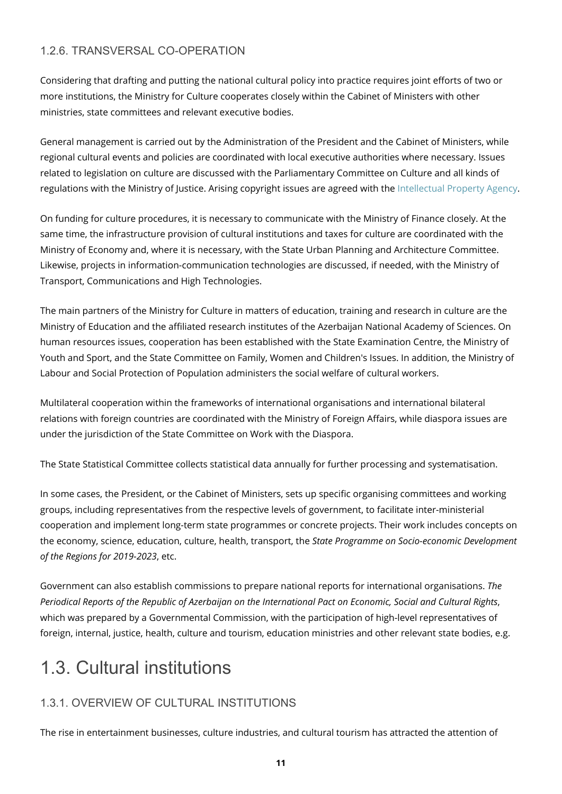### <span id="page-10-0"></span>1.2.6. TRANSVERSAL CO-OPERATION

Considering that drafting and putting the national cultural policy into practice requires joint efforts of two or more institutions, the Ministry for Culture cooperates closely within the Cabinet of Ministers with other ministries, state committees and relevant executive bodies.

General management is carried out by the Administration of the President and the Cabinet of Ministers, while regional cultural events and policies are coordinated with local executive authorities where necessary. Issues related to legislation on culture are discussed with the Parliamentary Committee on Culture and all kinds of regulations with the Ministry of Justice. Arising copyright issues are agreed with the [Intellectual Property Agency](http://copat.gov.az/).

On funding for culture procedures, it is necessary to communicate with the Ministry of Finance closely. At the same time, the infrastructure provision of cultural institutions and taxes for culture are coordinated with the Ministry of Economy and, where it is necessary, with the State Urban Planning and Architecture Committee. Likewise, projects in information-communication technologies are discussed, if needed, with the Ministry of Transport, Communications and High Technologies.

The main partners of the Ministry for Culture in matters of education, training and research in culture are the Ministry of Education and the affiliated research institutes of the Azerbaijan National Academy of Sciences. On human resources issues, cooperation has been established with the State Examination Centre, the Ministry of Youth and Sport, and the State Committee on Family, Women and Children's Issues. In addition, the Ministry of Labour and Social Protection of Population administers the social welfare of cultural workers.

Multilateral cooperation within the frameworks of international organisations and international bilateral relations with foreign countries are coordinated with the Ministry of Foreign Affairs, while diaspora issues are under the jurisdiction of the State Committee on Work with the Diaspora.

The State Statistical Committee collects statistical data annually for further processing and systematisation.

In some cases, the President, or the Cabinet of Ministers, sets up specific organising committees and working groups, including representatives from the respective levels of government, to facilitate inter-ministerial cooperation and implement long-term state programmes or concrete projects. Their work includes concepts on the economy, science, education, culture, health, transport, the *State Programme on Socio-economic Development of the Regions for 2019-2023*, etc.

Government can also establish commissions to prepare national reports for international organisations. *The Periodical Reports of the Republic of Azerbaijan on the International Pact on Economic, Social and Cultural Rights*, which was prepared by a Governmental Commission, with the participation of high-level representatives of foreign, internal, justice, health, culture and tourism, education ministries and other relevant state bodies, e.g.

### <span id="page-10-1"></span>1.3. Cultural institutions

### <span id="page-10-2"></span>1.3.1. OVERVIEW OF CULTURAL INSTITUTIONS

The rise in entertainment businesses, culture industries, and cultural tourism has attracted the attention of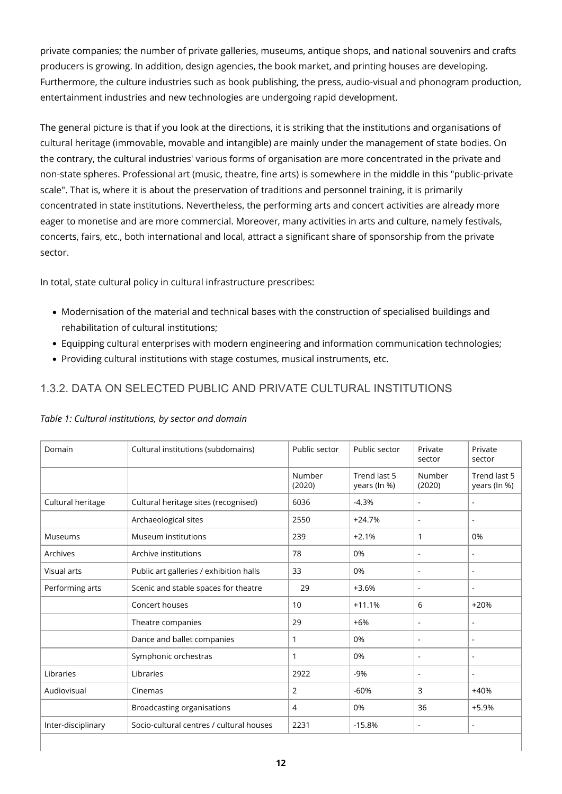private companies; the number of private galleries, museums, antique shops, and national souvenirs and crafts producers is growing. In addition, design agencies, the book market, and printing houses are developing. Furthermore, the culture industries such as book publishing, the press, audio-visual and phonogram production, entertainment industries and new technologies are undergoing rapid development.

The general picture is that if you look at the directions, it is striking that the institutions and organisations of cultural heritage (immovable, movable and intangible) are mainly under the management of state bodies. On the contrary, the cultural industries' various forms of organisation are more concentrated in the private and non-state spheres. Professional art (music, theatre, fine arts) is somewhere in the middle in this "public-private scale". That is, where it is about the preservation of traditions and personnel training, it is primarily concentrated in state institutions. Nevertheless, the performing arts and concert activities are already more eager to monetise and are more commercial. Moreover, many activities in arts and culture, namely festivals, concerts, fairs, etc., both international and local, attract a significant share of sponsorship from the private sector.

In total, state cultural policy in cultural infrastructure prescribes:

- Modernisation of the material and technical bases with the construction of specialised buildings and rehabilitation of cultural institutions;
- Equipping cultural enterprises with modern engineering and information communication technologies;
- Providing cultural institutions with stage costumes, musical instruments, etc.

### <span id="page-11-0"></span>1.3.2. DATA ON SELECTED PUBLIC AND PRIVATE CULTURAL INSTITUTIONS

| Domain             | Cultural institutions (subdomains)       | Public sector    | Public sector                | Private<br>sector | Private<br>sector            |
|--------------------|------------------------------------------|------------------|------------------------------|-------------------|------------------------------|
|                    |                                          | Number<br>(2020) | Trend last 5<br>years (In %) | Number<br>(2020)  | Trend last 5<br>years (In %) |
| Cultural heritage  | Cultural heritage sites (recognised)     | 6036             | $-4.3%$                      | $\sim$            | $\blacksquare$               |
|                    | Archaeological sites                     | 2550             | $+24.7%$                     | $\blacksquare$    | ۰                            |
| Museums            | Museum institutions                      | 239              | $+2.1%$                      | $\mathbf{1}$      | 0%                           |
| Archives           | Archive institutions                     | 78               | 0%                           | $\blacksquare$    | $\blacksquare$               |
| Visual arts        | Public art galleries / exhibition halls  | 33               | 0%                           | ÷,                |                              |
| Performing arts    | Scenic and stable spaces for theatre     | 29               | $+3.6%$                      | $\blacksquare$    | $\overline{\phantom{a}}$     |
|                    | Concert houses                           | 10               | $+11.1%$                     | 6                 | $+20%$                       |
|                    | Theatre companies                        | 29               | $+6%$                        | $\sim$            | $\blacksquare$               |
|                    | Dance and ballet companies               | 1                | 0%                           | $\sim$            |                              |
|                    | Symphonic orchestras                     | 1                | 0%                           | $\blacksquare$    | $\blacksquare$               |
| Libraries          | Libraries                                | 2922             | $-9%$                        | $\blacksquare$    | $\blacksquare$               |
| Audiovisual        | Cinemas                                  | 2                | $-60%$                       | 3                 | $+40%$                       |
|                    | Broadcasting organisations               | 4                | 0%                           | 36                | $+5.9%$                      |
| Inter-disciplinary | Socio-cultural centres / cultural houses | 2231             | $-15.8%$                     | $\blacksquare$    | $\blacksquare$               |

#### *Table 1: Cultural institutions, by sector and domain*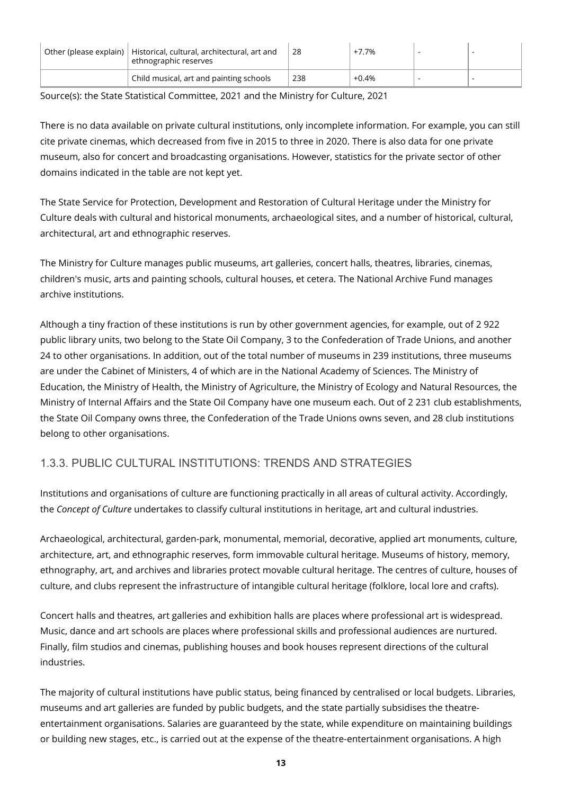| Other (please explain)   Historical, cultural, architectural, art and<br>ethnographic reserves | 28  | +7.7%   |  |
|------------------------------------------------------------------------------------------------|-----|---------|--|
| Child musical, art and painting schools                                                        | 238 | $+0.4%$ |  |

Source(s): the State Statistical Committee, 2021 and the Ministry for Culture, 2021

There is no data available on private cultural institutions, only incomplete information. For example, you can still cite private cinemas, which decreased from five in 2015 to three in 2020. There is also data for one private museum, also for concert and broadcasting organisations. However, statistics for the private sector of other domains indicated in the table are not kept yet.

The State Service for Protection, Development and Restoration of Cultural Heritage under the Ministry for Culture deals with cultural and historical monuments, archaeological sites, and a number of historical, cultural, architectural, art and ethnographic reserves.

The Ministry for Culture manages public museums, art galleries, concert halls, theatres, libraries, cinemas, children's music, arts and painting schools, cultural houses, et cetera. The National Archive Fund manages archive institutions.

Although a tiny fraction of these institutions is run by other government agencies, for example, out of 2 922 public library units, two belong to the State Oil Company, 3 to the Confederation of Trade Unions, and another 24 to other organisations. In addition, out of the total number of museums in 239 institutions, three museums are under the Cabinet of Ministers, 4 of which are in the National Academy of Sciences. The Ministry of Education, the Ministry of Health, the Ministry of Agriculture, the Ministry of Ecology and Natural Resources, the Ministry of Internal Affairs and the State Oil Company have one museum each. Out of 2 231 club establishments, the State Oil Company owns three, the Confederation of the Trade Unions owns seven, and 28 club institutions belong to other organisations.

### <span id="page-12-0"></span>1.3.3. PUBLIC CULTURAL INSTITUTIONS: TRENDS AND STRATEGIES

Institutions and organisations of culture are functioning practically in all areas of cultural activity. Accordingly, the *Concept of Culture* undertakes to classify cultural institutions in heritage, art and cultural industries.

Archaeological, architectural, garden-park, monumental, memorial, decorative, applied art monuments, culture, architecture, art, and ethnographic reserves, form immovable cultural heritage. Museums of history, memory, ethnography, art, and archives and libraries protect movable cultural heritage. The centres of culture, houses of culture, and clubs represent the infrastructure of intangible cultural heritage (folklore, local lore and crafts).

Concert halls and theatres, art galleries and exhibition halls are places where professional art is widespread. Music, dance and art schools are places where professional skills and professional audiences are nurtured. Finally, film studios and cinemas, publishing houses and book houses represent directions of the cultural industries.

The majority of cultural institutions have public status, being financed by centralised or local budgets. Libraries, museums and art galleries are funded by public budgets, and the state partially subsidises the theatreentertainment organisations. Salaries are guaranteed by the state, while expenditure on maintaining buildings or building new stages, etc., is carried out at the expense of the theatre-entertainment organisations. A high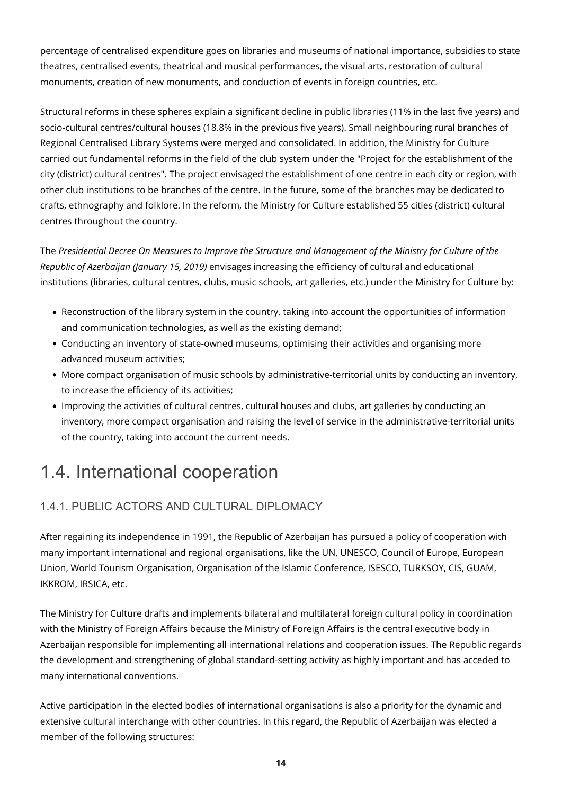percentage of centralised expenditure goes on libraries and museums of national importance, subsidies to state theatres, centralised events, theatrical and musical performances, the visual arts, restoration of cultural monuments, creation of new monuments, and conduction of events in foreign countries, etc.

Structural reforms in these spheres explain a significant decline in public libraries (11% in the last five years) and socio-cultural centres/cultural houses (18.8% in the previous five years). Small neighbouring rural branches of Regional Centralised Library Systems were merged and consolidated. In addition, the Ministry for Culture carried out fundamental reforms in the field of the club system under the "Project for the establishment of the city (district) cultural centres". The project envisaged the establishment of one centre in each city or region, with other club institutions to be branches of the centre. In the future, some of the branches may be dedicated to crafts, ethnography and folklore. In the reform, the Ministry for Culture established 55 cities (district) cultural centres throughout the country.

The *Presidential Decree On Measures to Improve the Structure and Management of the Ministry for Culture of the Republic of Azerbaijan (January 15, 2019)* envisages increasing the efficiency of cultural and educational institutions (libraries, cultural centres, clubs, music schools, art galleries, etc.) under the Ministry for Culture by:

- Reconstruction of the library system in the country, taking into account the opportunities of information and communication technologies, as well as the existing demand;
- Conducting an inventory of state-owned museums, optimising their activities and organising more advanced museum activities;
- More compact organisation of music schools by administrative-territorial units by conducting an inventory, to increase the efficiency of its activities;
- Improving the activities of cultural centres, cultural houses and clubs, art galleries by conducting an inventory, more compact organisation and raising the level of service in the administrative-territorial units of the country, taking into account the current needs.

### <span id="page-13-0"></span>1.4. International cooperation

### <span id="page-13-1"></span>1.4.1. PUBLIC ACTORS AND CULTURAL DIPLOMACY

After regaining its independence in 1991, the Republic of Azerbaijan has pursued a policy of cooperation with many important international and regional organisations, like the UN, UNESCO, Council of Europe, European Union, World Tourism Organisation, Organisation of the Islamic Conference, ISESCO, TURKSOY, CIS, GUAM, IKKROM, IRSICA, etc.

The Ministry for Culture drafts and implements bilateral and multilateral foreign cultural policy in coordination with the Ministry of Foreign Affairs because the Ministry of Foreign Affairs is the central executive body in Azerbaijan responsible for implementing all international relations and cooperation issues. The Republic regards the development and strengthening of global standard-setting activity as highly important and has acceded to many international conventions.

Active participation in the elected bodies of international organisations is also a priority for the dynamic and extensive cultural interchange with other countries. In this regard, the Republic of Azerbaijan was elected a member of the following structures: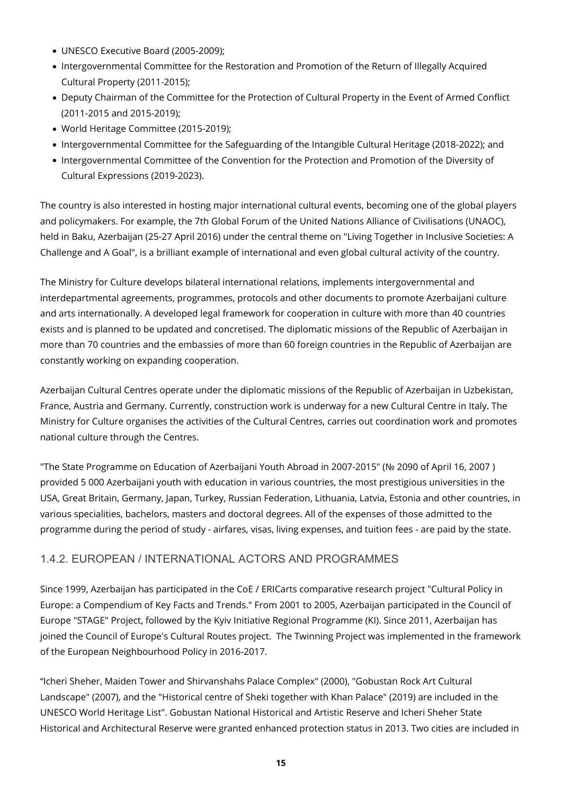- UNESCO Executive Board (2005-2009);
- Intergovernmental Committee for the Restoration and Promotion of the Return of Illegally Acquired Cultural Property (2011-2015);
- Deputy Chairman of the Committee for the Protection of Cultural Property in the Event of Armed Conflict (2011-2015 and 2015-2019);
- World Heritage Committee (2015-2019);
- Intergovernmental Committee for the Safeguarding of the Intangible Cultural Heritage (2018-2022); and
- Intergovernmental Committee of the Convention for the Protection and Promotion of the Diversity of Cultural Expressions (2019-2023).

The country is also interested in hosting major international cultural events, becoming one of the global players and policymakers. For example, the 7th Global Forum of the United Nations Alliance of Civilisations (UNAOC), held in Baku, Azerbaijan (25-27 April 2016) under the central theme on "Living Together in Inclusive Societies: A Challenge and A Goal", is a brilliant example of international and even global cultural activity of the country.

The Ministry for Culture develops bilateral international relations, implements intergovernmental and interdepartmental agreements, programmes, protocols and other documents to promote Azerbaijani culture and arts internationally. A developed legal framework for cooperation in culture with more than 40 countries exists and is planned to be updated and concretised. The diplomatic missions of the Republic of Azerbaijan in more than 70 countries and the embassies of more than 60 foreign countries in the Republic of Azerbaijan are constantly working on expanding cooperation.

Azerbaijan Cultural Centres operate under the diplomatic missions of the Republic of Azerbaijan in Uzbekistan, France, Austria and Germany. Currently, construction work is underway for a new Cultural Centre in Italy. The Ministry for Culture organises the activities of the Cultural Centres, carries out coordination work and promotes national culture through the Centres.

"The State Programme on Education of Azerbaijani Youth Abroad in 2007-2015" (№ 2090 of April 16, 2007 ) provided 5 000 Azerbaijani youth with education in various countries, the most prestigious universities in the USA, Great Britain, Germany, Japan, Turkey, Russian Federation, Lithuania, Latvia, Estonia and other countries, in various specialities, bachelors, masters and doctoral degrees. All of the expenses of those admitted to the programme during the period of study - airfares, visas, living expenses, and tuition fees - are paid by the state.

### <span id="page-14-0"></span>1.4.2. EUROPEAN / INTERNATIONAL ACTORS AND PROGRAMMES

Since 1999, Azerbaijan has participated in the CoE / ERICarts comparative research project "Cultural Policy in Europe: a Compendium of Key Facts and Trends." From 2001 to 2005, Azerbaijan participated in the Council of Europe "STAGE" Project, followed by the Kyiv Initiative Regional Programme (KI). Since 2011, Azerbaijan has joined the Council of Europe's Cultural Routes project. The Twinning Project was implemented in the framework of the European Neighbourhood Policy in 2016-2017.

"Icheri Sheher, Maiden Tower and Shirvanshahs Palace Complex" (2000), "Gobustan Rock Art Cultural Landscape" (2007), and the "Historical centre of Sheki together with Khan Palace" (2019) are included in the UNESCO World Heritage List". Gobustan National Historical and Artistic Reserve and Icheri Sheher State Historical and Architectural Reserve were granted enhanced protection status in 2013. Two cities are included in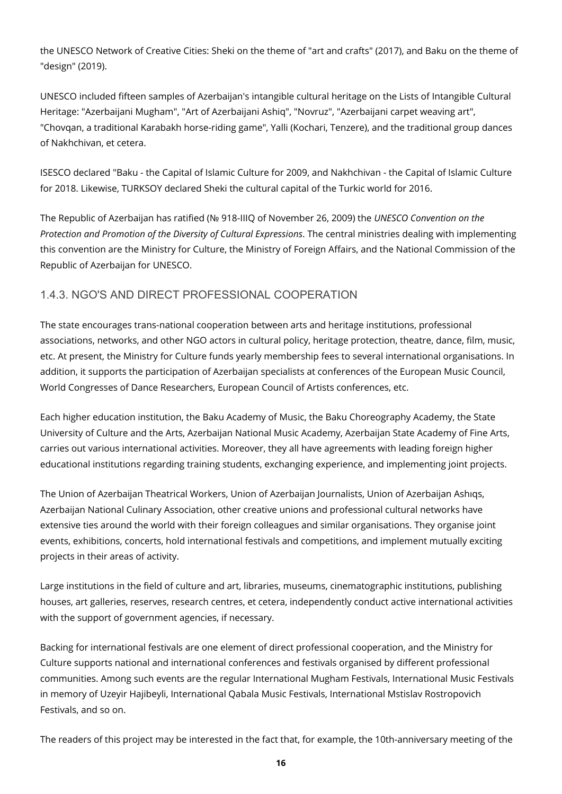the UNESCO Network of Creative Cities: Sheki on the theme of "art and crafts" (2017), and Baku on the theme of "design" (2019).

UNESCO included fifteen samples of Azerbaijan's intangible cultural heritage on the Lists of Intangible Cultural Heritage: "Azerbaijani Mugham", "Art of Azerbaijani Ashiq", "Novruz", "Azerbaijani carpet weaving art", "Chovqan, a traditional Karabakh horse-riding game", Yalli (Kochari, Tenzere), and the traditional group dances of Nakhchivan, et cetera.

ISESCO declared "Baku - the Capital of Islamic Culture for 2009, and Nakhchivan - the Capital of Islamic Culture for 2018. Likewise, TURKSOY declared Sheki the cultural capital of the Turkic world for 2016.

The Republic of Azerbaijan has ratified (№ 918-IIIQ of November 26, 2009) the *UNESCO Convention on the Protection and Promotion of the Diversity of Cultural Expressions*. The central ministries dealing with implementing this convention are the Ministry for Culture, the Ministry of Foreign Affairs, and the National Commission of the Republic of Azerbaijan for UNESCO.

### <span id="page-15-0"></span>1.4.3. NGO'S AND DIRECT PROFESSIONAL COOPERATION

The state encourages trans-national cooperation between arts and heritage institutions, professional associations, networks, and other NGO actors in cultural policy, heritage protection, theatre, dance, film, music, etc. At present, the Ministry for Culture funds yearly membership fees to several international organisations. In addition, it supports the participation of Azerbaijan specialists at conferences of the European Music Council, World Congresses of Dance Researchers, European Council of Artists conferences, etc.

Each higher education institution, the Baku Academy of Music, the Baku Choreography Academy, the State University of Culture and the Arts, Azerbaijan National Music Academy, Azerbaijan State Academy of Fine Arts, carries out various international activities. Moreover, they all have agreements with leading foreign higher educational institutions regarding training students, exchanging experience, and implementing joint projects.

The Union of Azerbaijan Theatrical Workers, Union of Azerbaijan Journalists, Union of Azerbaijan Ashıqs, Azerbaijan National Culinary Association, other creative unions and professional cultural networks have extensive ties around the world with their foreign colleagues and similar organisations. They organise joint events, exhibitions, concerts, hold international festivals and competitions, and implement mutually exciting projects in their areas of activity.

Large institutions in the field of culture and art, libraries, museums, cinematographic institutions, publishing houses, art galleries, reserves, research centres, et cetera, independently conduct active international activities with the support of government agencies, if necessary.

Backing for international festivals are one element of direct professional cooperation, and the Ministry for Culture supports national and international conferences and festivals organised by different professional communities. Among such events are the regular International Mugham Festivals, International Music Festivals in memory of Uzeyir Hajibeyli, International Qabala Music Festivals, International Mstislav Rostropovich Festivals, and so on.

The readers of this project may be interested in the fact that, for example, the 10th-anniversary meeting of the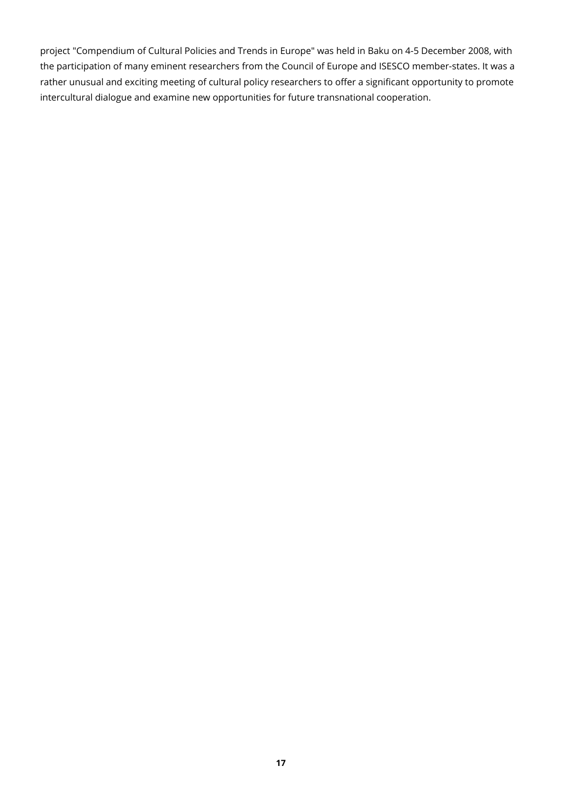project "Compendium of Cultural Policies and Trends in Europe" was held in Baku on 4-5 December 2008, with the participation of many eminent researchers from the Council of Europe and ISESCO member-states. It was a rather unusual and exciting meeting of cultural policy researchers to offer a significant opportunity to promote intercultural dialogue and examine new opportunities for future transnational cooperation.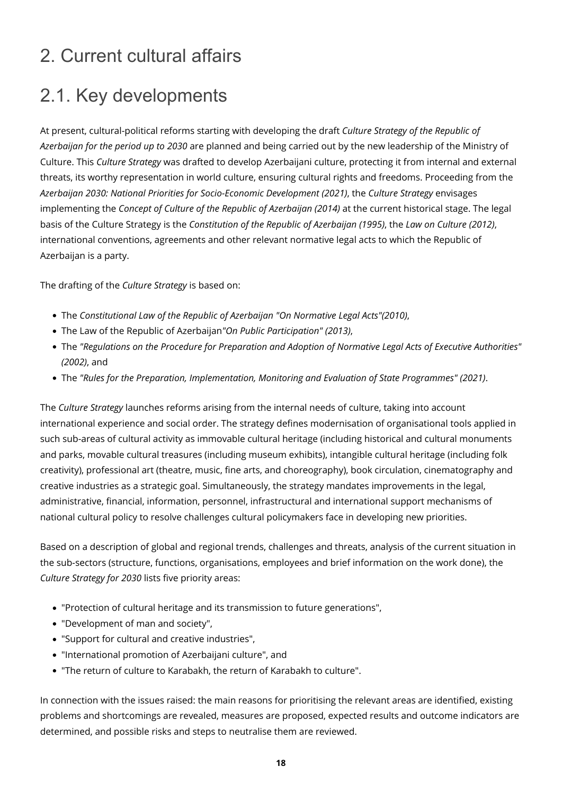### <span id="page-17-0"></span>2. Current cultural affairs

### <span id="page-17-1"></span>2.1. Key developments

At present, cultural-political reforms starting with developing the draft *Culture Strategy of the Republic of Azerbaijan for the period up to 2030* are planned and being carried out by the new leadership of the Ministry of Culture. This *Culture Strategy* was drafted to develop Azerbaijani culture, protecting it from internal and external threats, its worthy representation in world culture, ensuring cultural rights and freedoms. Proceeding from the *Azerbaijan 2030: National Priorities for Socio-Economic Development (2021)*, the *Culture Strategy* envisages implementing the *Concept of Culture of the Republic of Azerbaijan (2014)* at the current historical stage. The legal basis of the Culture Strategy is the *Constitution of the Republic of Azerbaijan (1995)*, the *Law on Culture (2012)*, international conventions, agreements and other relevant normative legal acts to which the Republic of Azerbaijan is a party.

The drafting of the *Culture Strategy* is based on:

- The *Constitutional Law of the Republic of Azerbaijan "On Normative Legal Acts"(2010)*,
- The Law of the Republic of Azerbaijan*"On Public Participation" (2013)*,
- The *"Regulations on the Procedure for Preparation and Adoption of Normative Legal Acts of Executive Authorities" (2002)*, and
- The *"Rules for the Preparation, Implementation, Monitoring and Evaluation of State Programmes" (2021)*.

The *Culture Strategy* launches reforms arising from the internal needs of culture, taking into account international experience and social order. The strategy defines modernisation of organisational tools applied in such sub-areas of cultural activity as immovable cultural heritage (including historical and cultural monuments and parks, movable cultural treasures (including museum exhibits), intangible cultural heritage (including folk creativity), professional art (theatre, music, fine arts, and choreography), book circulation, cinematography and creative industries as a strategic goal. Simultaneously, the strategy mandates improvements in the legal, administrative, financial, information, personnel, infrastructural and international support mechanisms of national cultural policy to resolve challenges cultural policymakers face in developing new priorities.

Based on a description of global and regional trends, challenges and threats, analysis of the current situation in the sub-sectors (structure, functions, organisations, employees and brief information on the work done), the *Culture Strategy for 2030* lists five priority areas:

- "Protection of cultural heritage and its transmission to future generations",
- "Development of man and society",
- "Support for cultural and creative industries",
- "International promotion of Azerbaijani culture", and
- "The return of сulture to Karabakh, the return of Karabakh to сulture".

In connection with the issues raised: the main reasons for prioritising the relevant areas are identified, existing problems and shortcomings are revealed, measures are proposed, expected results and outcome indicators are determined, and possible risks and steps to neutralise them are reviewed.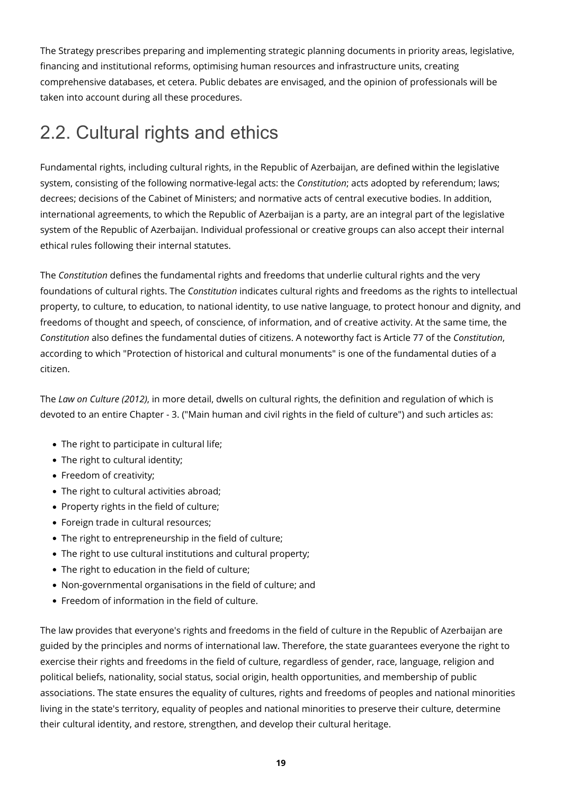The Strategy prescribes preparing and implementing strategic planning documents in priority areas, legislative, financing and institutional reforms, optimising human resources and infrastructure units, creating comprehensive databases, et cetera. Public debates are envisaged, and the opinion of professionals will be taken into account during all these procedures.

### <span id="page-18-0"></span>2.2. Cultural rights and ethics

Fundamental rights, including cultural rights, in the Republic of Azerbaijan, are defined within the legislative system, consisting of the following normative-legal acts: the *Constitution*; acts adopted by referendum; laws; decrees; decisions of the Cabinet of Ministers; and normative acts of central executive bodies. In addition, international agreements, to which the Republic of Azerbaijan is a party, are an integral part of the legislative system of the Republic of Azerbaijan. Individual professional or creative groups can also accept their internal ethical rules following their internal statutes.

The *Constitution* defines the fundamental rights and freedoms that underlie cultural rights and the very foundations of cultural rights. The *Constitution* indicates cultural rights and freedoms as the rights to intellectual property, to culture, to education, to national identity, to use native language, to protect honour and dignity, and freedoms of thought and speech, of conscience, of information, and of creative activity. At the same time, the *Constitution* also defines the fundamental duties of citizens. A noteworthy fact is Article 77 of the *Constitution*, according to which "Protection of historical and cultural monuments" is one of the fundamental duties of a citizen.

The *Law on Culture (2012)*, in more detail, dwells on cultural rights, the definition and regulation of which is devoted to an entire Chapter - 3. ("Main human and civil rights in the field of culture") and such articles as:

- The right to participate in cultural life;
- The right to cultural identity:
- Freedom of creativity;
- The right to cultural activities abroad;
- Property rights in the field of culture;
- Foreign trade in cultural resources;
- The right to entrepreneurship in the field of culture;
- The right to use cultural institutions and cultural property;
- The right to education in the field of culture;
- Non-governmental organisations in the field of culture; and
- Freedom of information in the field of culture.

The law provides that everyone's rights and freedoms in the field of culture in the Republic of Azerbaijan are guided by the principles and norms of international law. Therefore, the state guarantees everyone the right to exercise their rights and freedoms in the field of culture, regardless of gender, race, language, religion and political beliefs, nationality, social status, social origin, health opportunities, and membership of public associations. The state ensures the equality of cultures, rights and freedoms of peoples and national minorities living in the state's territory, equality of peoples and national minorities to preserve their culture, determine their cultural identity, and restore, strengthen, and develop their cultural heritage.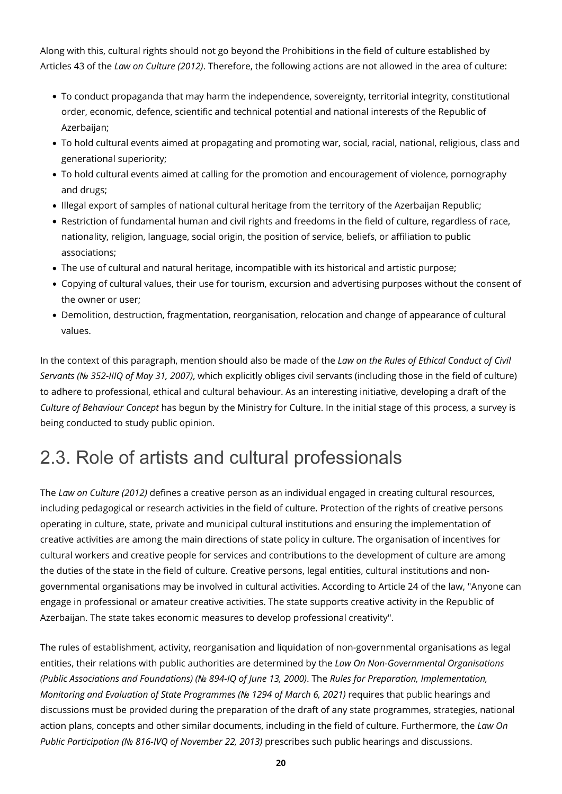Along with this, cultural rights should not go beyond the Prohibitions in the field of culture established by Articles 43 of the *Law on Culture (2012)*. Therefore, the following actions are not allowed in the area of culture:

- To conduct propaganda that may harm the independence, sovereignty, territorial integrity, constitutional order, economic, defence, scientific and technical potential and national interests of the Republic of Azerbaijan;
- To hold cultural events aimed at propagating and promoting war, social, racial, national, religious, class and generational superiority;
- To hold cultural events aimed at calling for the promotion and encouragement of violence, pornography and drugs;
- Illegal export of samples of national cultural heritage from the territory of the Azerbaijan Republic;
- Restriction of fundamental human and civil rights and freedoms in the field of culture, regardless of race, nationality, religion, language, social origin, the position of service, beliefs, or affiliation to public associations;
- The use of cultural and natural heritage, incompatible with its historical and artistic purpose;
- Copying of cultural values, their use for tourism, excursion and advertising purposes without the consent of the owner or user;
- Demolition, destruction, fragmentation, reorganisation, relocation and change of appearance of cultural values.

In the context of this paragraph, mention should also be made of the *Law on the Rules of Ethical Conduct of Civil Servants (№ 352-IIIQ of May 31, 2007)*, which explicitly obliges civil servants (including those in the field of culture) to adhere to professional, ethical and cultural behaviour. As an interesting initiative, developing a draft of the *Culture of Behaviour Concept* has begun by the Ministry for Culture. In the initial stage of this process, a survey is being conducted to study public opinion.

### <span id="page-19-0"></span>2.3. Role of artists and cultural professionals

The *Law on Culture (2012)* defines a creative person as an individual engaged in creating cultural resources, including pedagogical or research activities in the field of culture. Protection of the rights of creative persons operating in culture, state, private and municipal cultural institutions and ensuring the implementation of creative activities are among the main directions of state policy in culture. The organisation of incentives for cultural workers and creative people for services and contributions to the development of culture are among the duties of the state in the field of culture. Creative persons, legal entities, cultural institutions and nongovernmental organisations may be involved in cultural activities. According to Article 24 of the law, "Anyone can engage in professional or amateur creative activities. The state supports creative activity in the Republic of Azerbaijan. The state takes economic measures to develop professional creativity".

The rules of establishment, activity, reorganisation and liquidation of non-governmental organisations as legal entities, their relations with public authorities are determined by the *Law On Non-Governmental Organisations (Public Associations and Foundations) (№ 894-IQ of June 13, 2000)*. The *Rules for Preparation, Implementation, Monitoring and Evaluation of State Programmes (№ 1294 of March 6, 2021)* requires that public hearings and discussions must be provided during the preparation of the draft of any state programmes, strategies, national action plans, concepts and other similar documents, including in the field of culture. Furthermore, the *Law On Public Participation (№ 816-IVQ of November 22, 2013)* prescribes such public hearings and discussions.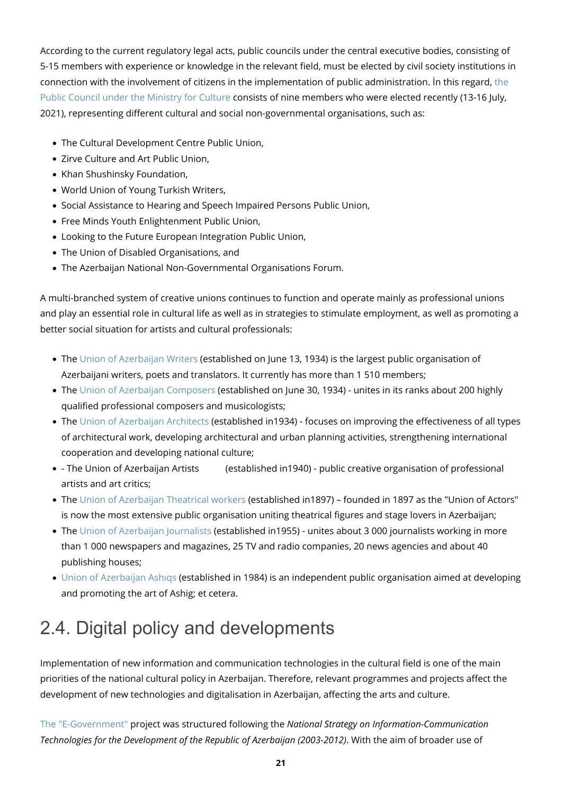According to the current regulatory legal acts, public councils under the central executive bodies, consisting of 5-15 members with experience or knowledge in the relevant field, must be elected by civil society institutions in connection with the involvement of citizens in the implementation of public administration. İn this regard, [the](http://ictimaishura.az/mct/home/en) [Public Council under the Ministry for Culture](http://ictimaishura.az/mct/home/en) consists of nine members who were elected recently (13-16 July, 2021), representing different cultural and social non-governmental organisations, such as:

- The Cultural Development Centre Public Union,
- Zirve Culture and Art Public Union,
- Khan Shushinsky Foundation,
- World Union of Young Turkish Writers,
- Social Assistance to Hearing and Speech Impaired Persons Public Union,
- Free Minds Youth Enlightenment Public Union,
- Looking to the Future European Integration Public Union,
- The Union of Disabled Organisations, and
- The Azerbaijan National Non-Governmental Organisations Forum.

A multi-branched system of creative unions continues to function and operate mainly as professional unions and play an essential role in cultural life as well as in strategies to stimulate employment, as well as promoting a better social situation for artists and cultural professionals:

- The [Union of Azerbaijan Writers](http://www.azyb.az/) (established on June 13, 1934) is the largest public organisation of Azerbaijani writers, poets and translators. It currently has more than 1 510 members;
- The [Union of Azerbaijan Composers](https://azcomposersunion.com.az/) (established on June 30, 1934) unites in its ranks about 200 highly qualified professional composers and musicologists;
- The [Union of Azerbaijan Architects](https://www.uaa.az/index.php/en/) (established in1934) focuses on improving the effectiveness of all types of architectural work, developing architectural and urban planning activities, strengthening international cooperation and developing national culture;
- The Union of Azerbaijan Artists (established in1940) public creative organisation of professional artists and art critics;
- The [Union of Azerbaijan Theatrical workers](http://teatrittifaqi.az/first.html) (established in1897) founded in 1897 as the "Union of Actors" is now the most extensive public organisation uniting theatrical figures and stage lovers in Azerbaijan;
- The [Union of Azerbaijan Journalists](http://www.ajb.az/site/?lang=1) (established in1955) unites about 3 000 journalists working in more than 1 000 newspapers and magazines, 25 TV and radio companies, 20 news agencies and about 40 publishing houses;
- [Union of Azerbaijan Ashıqs](http://www.aab.az/index_eng.php) (established in 1984) is an independent public organisation aimed at developing and promoting the art of Ashig; et cetera.

# <span id="page-20-0"></span>2.4. Digital policy and developments

Implementation of new information and communication technologies in the cultural field is one of the main priorities of the national cultural policy in Azerbaijan. Therefore, relevant programmes and projects affect the development of new technologies and digitalisation in Azerbaijan, affecting the arts and culture.

[The "E-Government"](https://www.e-gov.az/en) project was structured following the *National Strategy on Information-Communication Technologies for the Development of the Republic of Azerbaijan (2003-2012)*. With the aim of broader use of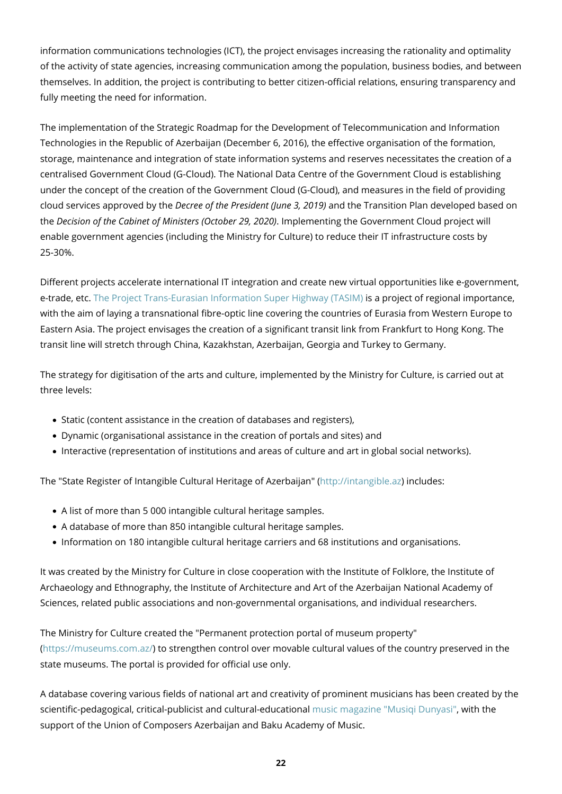information communications technologies (ICT), the project envisages increasing the rationality and optimality of the activity of state agencies, increasing communication among the population, business bodies, and between themselves. In addition, the project is contributing to better citizen-official relations, ensuring transparency and fully meeting the need for information.

The implementation of the Strategic Roadmap for the Development of Telecommunication and Information Technologies in the Republic of Azerbaijan (December 6, 2016), the effective organisation of the formation, storage, maintenance and integration of state information systems and reserves necessitates the creation of a centralised Government Cloud (G-Cloud). The National Data Centre of the Government Cloud is establishing under the concept of the creation of the Government Cloud (G-Cloud), and measures in the field of providing cloud services approved by the *Decree of the President (June 3, 2019)* and the Transition Plan developed based on the *Decision of the Cabinet of Ministers (October 29, 2020)*. Implementing the Government Cloud project will enable government agencies (including the Ministry for Culture) to reduce their IT infrastructure costs by 25-30%.

Different projects accelerate international IT integration and create new virtual opportunities like e-government, e-trade, etc. [The Project Trans-Eurasian Information Super Highway \(TASIM\)](https://mincom.gov.az/en/view/pages/83/tasim) is a project of regional importance, with the aim of laying a transnational fibre-optic line covering the countries of Eurasia from Western Europe to Eastern Asia. The project envisages the creation of a significant transit link from Frankfurt to Hong Kong. The transit line will stretch through China, Kazakhstan, Azerbaijan, Georgia and Turkey to Germany.

The strategy for digitisation of the arts and culture, implemented by the Ministry for Culture, is carried out at three levels:

- Static (content assistance in the creation of databases and registers),
- Dynamic (organisational assistance in the creation of portals and sites) and
- Interactive (representation of institutions and areas of culture and art in global social networks).

The "State Register of Intangible Cultural Heritage of Azerbaijan" [\(http://intangible.az](http://intangible.az)) includes:

- A list of more than 5 000 intangible cultural heritage samples.
- A database of more than 850 intangible cultural heritage samples.
- Information on 180 intangible cultural heritage carriers and 68 institutions and organisations.

It was created by the Ministry for Culture in close cooperation with the Institute of Folklore, the Institute of Archaeology and Ethnography, the Institute of Architecture and Art of the Azerbaijan National Academy of Sciences, related public associations and non-governmental organisations, and individual researchers.

The Ministry for Culture created the "Permanent protection portal of museum property" [\(https://museums.com.az/\)](https://museums.com.az/) to strengthen control over movable cultural values of the country preserved in the state museums. The portal is provided for official use only.

A database covering various fields of national art and creativity of prominent musicians has been created by the scientific-pedagogical, critical-publicist and cultural-educational [music magazine "Musiqi Dunyasi",](http://www.musigi-dunya.az/index.htm) with the support of the Union of Composers Azerbaijan and Baku Academy of Music.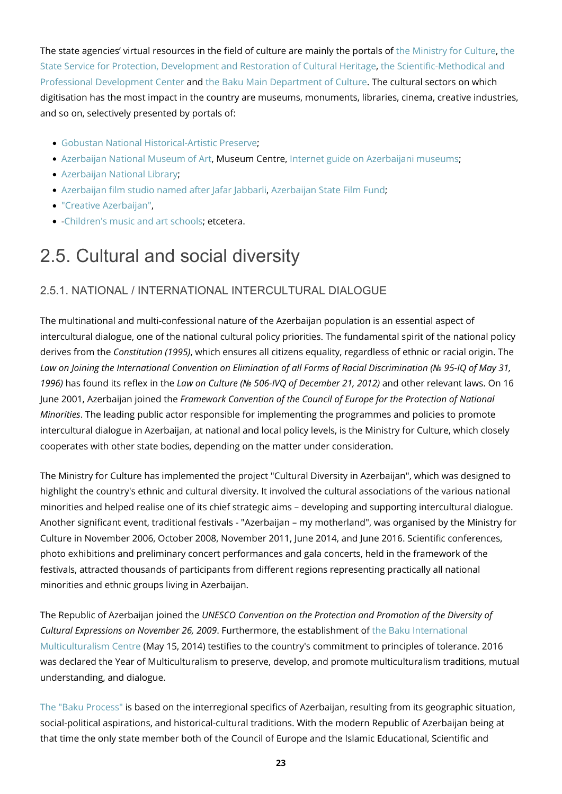The state agencies' virtual resources in the field of culture are mainly the portals of [the Ministry for Culture](http://mct.gov.az/en/), [the](http://heritage.gov.az/) [State Service for Protection, Development and Restoration of Cultural Heritage,](http://heritage.gov.az/) [the Scientific-Methodical and](https://memim.az/) [Professional Development Center](https://memim.az/) and [the Baku Main Department of Culture.](http://az.baku-art.com/en) The cultural sectors on which digitisation has the most impact in the country are museums, monuments, libraries, cinema, creative industries, and so on, selectively presented by portals of:

- [Gobustan National Historical-Artistic Preserve](http://www.gobustan-rockart.az/en/news);
- [Azerbaijan National Museum of Art](http://nationalartmuseum.az/?lang=en), Museum Centre, [Internet guide on Azerbaijani museums](https://museum.az/en);
- [Azerbaijan National Library](https://www.millikitabxana.az/en/);
- [Azerbaijan film studio named after Jafar Jabbarli](https://www.azerbaijanfilm.az/index.php?action_skin_change=yes&skin_name=en), [Azerbaijan State Film Fund](https://filmfond.az/);
- ["Creative Azerbaijan",](https://creative.az/en)
- [-Children's music and art schools;](http://music.mctgov.az/) etcetera.

### <span id="page-22-0"></span>2.5. Cultural and social diversity

#### <span id="page-22-1"></span>2.5.1. NATIONAL / INTERNATIONAL INTERCULTURAL DIALOGUE

The multinational and multi-confessional nature of the Azerbaijan population is an essential aspect of intercultural dialogue, one of the national cultural policy priorities. The fundamental spirit of the national policy derives from the *Constitution (1995)*, which ensures all citizens equality, regardless of ethnic or racial origin. The *Law on Joining the International Convention on Elimination of all Forms of Racial Discrimination (№ 95-IQ of May 31, 1996)* has found its reflex in the *Law on Culture (№ 506-IVQ of December 21, 2012)* and other relevant laws. On 16 June 2001, Azerbaijan joined the *Framework Convention of the Council of Europe for the Protection of National Minorities*. The leading public actor responsible for implementing the programmes and policies to promote intercultural dialogue in Azerbaijan, at national and local policy levels, is the Ministry for Culture, which closely cooperates with other state bodies, depending on the matter under consideration.

The Ministry for Culture has implemented the project "Cultural Diversity in Azerbaijan", which was designed to highlight the country's ethnic and cultural diversity. It involved the cultural associations of the various national minorities and helped realise one of its chief strategic aims – developing and supporting intercultural dialogue. Another significant event, traditional festivals - "Azerbaijan – my motherland", was organised by the Ministry for Culture in November 2006, October 2008, November 2011, June 2014, and June 2016. Scientific conferences, photo exhibitions and preliminary concert performances and gala concerts, held in the framework of the festivals, attracted thousands of participants from different regions representing practically all national minorities and ethnic groups living in Azerbaijan.

The Republic of Azerbaijan joined the *UNESCO Convention on the Protection and Promotion of the Diversity of Cultural Expressions on November 26, 2009*. Furthermore, the establishment of [the Baku International](http://multikulturalizm.gov.az/) [Multiculturalism Centre](http://multikulturalizm.gov.az/) (May 15, 2014) testifies to the country's commitment to principles of tolerance. 2016 was declared the Year of Multiculturalism to preserve, develop, and promote multiculturalism traditions, mutual understanding, and dialogue.

[The "Baku Process"](https://bakuprocess.az/) is based on the interregional specifics of Azerbaijan, resulting from its geographic situation, social-political aspirations, and historical-cultural traditions. With the modern Republic of Azerbaijan being at that time the only state member both of the Council of Europe and the Islamic Educational, Scientific and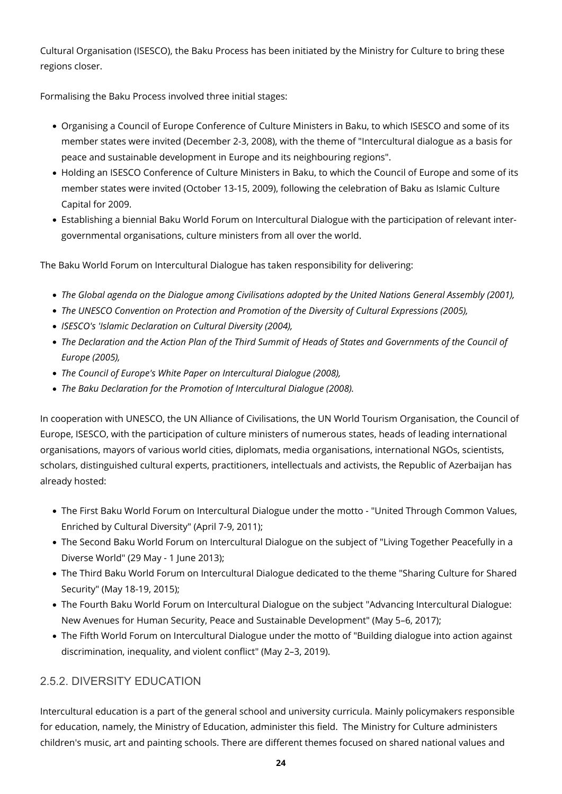Cultural Organisation (ISESCO), the Baku Process has been initiated by the Ministry for Culture to bring these regions closer.

Formalising the Baku Process involved three initial stages:

- Organising a Council of Europe Conference of Culture Ministers in Baku, to which ISESCO and some of its member states were invited (December 2-3, 2008), with the theme of "Intercultural dialogue as a basis for peace and sustainable development in Europe and its neighbouring regions".
- Holding an ISESCO Conference of Culture Ministers in Baku, to which the Council of Europe and some of its member states were invited (October 13-15, 2009), following the celebration of Baku as Islamic Culture Capital for 2009.
- Establishing a biennial Baku World Forum on Intercultural Dialogue with the participation of relevant intergovernmental organisations, culture ministers from all over the world.

The Baku World Forum on Intercultural Dialogue has taken responsibility for delivering:

- *The Global agenda on the Dialogue among Civilisations adopted by the United Nations General Assembly (2001),*
- *The UNESCO Convention on Protection and Promotion of the Diversity of Cultural Expressions (2005),*
- *ISESCO's 'Islamic Declaration on Cultural Diversity (2004),*
- *The Declaration and the Action Plan of the Third Summit of Heads of States and Governments of the Council of Europe (2005),*
- *The Council of Europe's White Paper on Intercultural Dialogue (2008),*
- *The Baku Declaration for the Promotion of Intercultural Dialogue (2008).*

In cooperation with UNESCO, the UN Alliance of Civilisations, the UN World Tourism Organisation, the Council of Europe, ISESCO, with the participation of culture ministers of numerous states, heads of leading international organisations, mayors of various world cities, diplomats, media organisations, international NGOs, scientists, scholars, distinguished cultural experts, practitioners, intellectuals and activists, the Republic of Azerbaijan has already hosted:

- The First Baku World Forum on Intercultural Dialogue under the motto "United Through Common Values, Enriched by Cultural Diversity" (April 7-9, 2011);
- The Second Baku World Forum on Intercultural Dialogue on the subject of "Living Together Peacefully in a Diverse World" (29 May - 1 June 2013);
- The Third Baku World Forum on Intercultural Dialogue dedicated to the theme "Sharing Culture for Shared Security" (May 18-19, 2015);
- The Fourth Baku World Forum on Intercultural Dialogue on the subject "Advancing Intercultural Dialogue: New Avenues for Human Security, Peace and Sustainable Development" (May 5–6, 2017);
- The Fifth World Forum on Intercultural Dialogue under the motto of "Building dialogue into action against discrimination, inequality, and violent conflict" (May 2–3, 2019).

### <span id="page-23-0"></span>2.5.2. DIVERSITY EDUCATION

Intercultural education is a part of the general school and university curricula. Mainly policymakers responsible for education, namely, the Ministry of Education, administer this field. The Ministry for Culture administers children's music, art and painting schools. There are different themes focused on shared national values and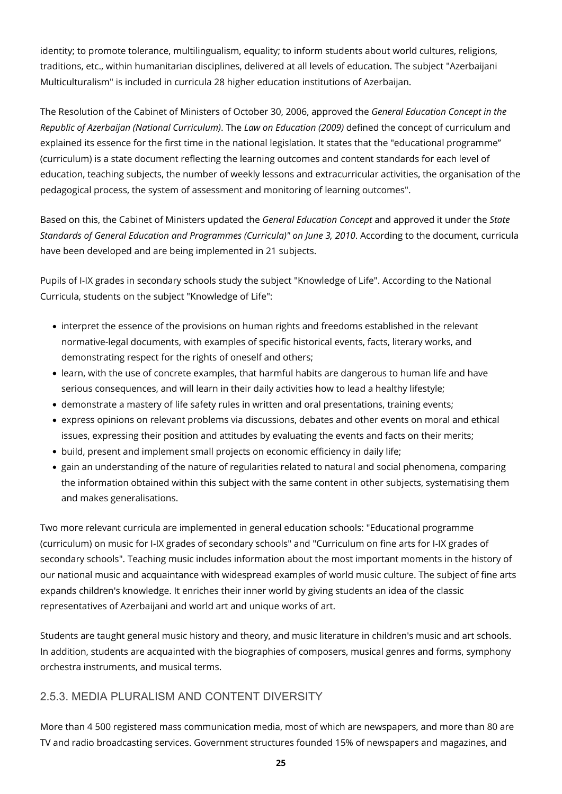identity; to promote tolerance, multilingualism, equality; to inform students about world cultures, religions, traditions, etc., within humanitarian disciplines, delivered at all levels of education. The subject "Azerbaijani Multiculturalism" is included in curricula 28 higher education institutions of Azerbaijan.

The Resolution of the Cabinet of Ministers of October 30, 2006, approved the *General Education Concept in the Republic of Azerbaijan (National Curriculum)*. The *Law on Education (2009)* defined the concept of curriculum and explained its essence for the first time in the national legislation. It states that the "educational programme" (curriculum) is a state document reflecting the learning outcomes and content standards for each level of education, teaching subjects, the number of weekly lessons and extracurricular activities, the organisation of the pedagogical process, the system of assessment and monitoring of learning outcomes".

Based on this, the Cabinet of Ministers updated the *General Education Concept* and approved it under the *State Standards of General Education and Programmes (Curricula)" on June 3, 2010*. According to the document, curricula have been developed and are being implemented in 21 subjects.

Pupils of I-IX grades in secondary schools study the subject "Knowledge of Life". According to the National Curricula, students on the subject "Knowledge of Life":

- interpret the essence of the provisions on human rights and freedoms established in the relevant normative-legal documents, with examples of specific historical events, facts, literary works, and demonstrating respect for the rights of oneself and others;
- learn, with the use of concrete examples, that harmful habits are dangerous to human life and have serious consequences, and will learn in their daily activities how to lead a healthy lifestyle;
- demonstrate a mastery of life safety rules in written and oral presentations, training events;
- express opinions on relevant problems via discussions, debates and other events on moral and ethical issues, expressing their position and attitudes by evaluating the events and facts on their merits;
- build, present and implement small projects on economic efficiency in daily life;
- gain an understanding of the nature of regularities related to natural and social phenomena, comparing the information obtained within this subject with the same content in other subjects, systematising them and makes generalisations.

Two more relevant curricula are implemented in general education schools: "Educational programme (curriculum) on music for I-IX grades of secondary schools" and "Curriculum on fine arts for I-IX grades of secondary schools". Teaching music includes information about the most important moments in the history of our national music and acquaintance with widespread examples of world music culture. The subject of fine arts expands children's knowledge. It enriches their inner world by giving students an idea of the classic representatives of Azerbaijani and world art and unique works of art.

Students are taught general music history and theory, and music literature in children's music and art schools. In addition, students are acquainted with the biographies of composers, musical genres and forms, symphony orchestra instruments, and musical terms.

### <span id="page-24-0"></span>2.5.3. MEDIA PLURALISM AND CONTENT DIVERSITY

More than 4 500 registered mass communication media, most of which are newspapers, and more than 80 are TV and radio broadcasting services. Government structures founded 15% of newspapers and magazines, and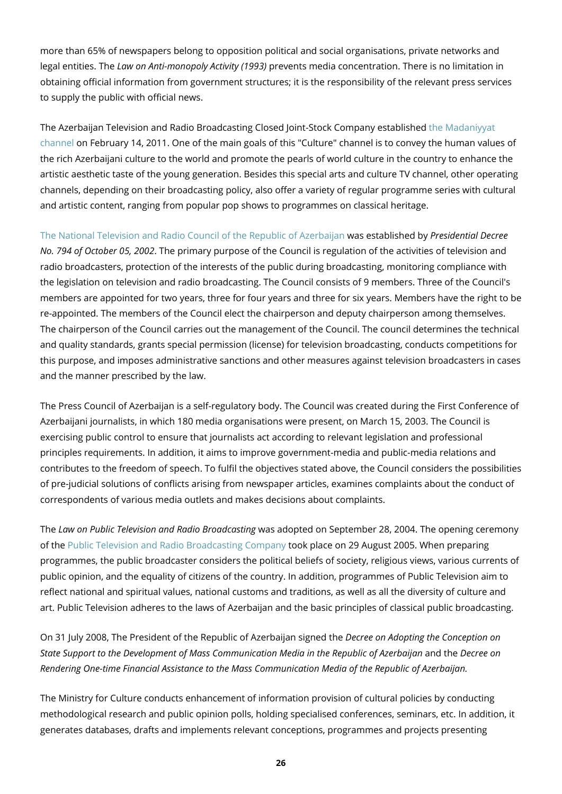more than 65% of newspapers belong to opposition political and social organisations, private networks and legal entities. The *Law on Anti-monopoly Activity (1993)* prevents media concentration. There is no limitation in obtaining official information from government structures; it is the responsibility of the relevant press services to supply the public with official news.

The Azerbaijan Television and Radio Broadcasting Closed Joint-Stock Company established [the Madaniyyat](http://www.medeniyyettv.az/az/) [channel](http://www.medeniyyettv.az/az/) on February 14, 2011. One of the main goals of this "Culture" channel is to convey the human values of the rich Azerbaijani culture to the world and promote the pearls of world culture in the country to enhance the artistic aesthetic taste of the young generation. Besides this special arts and culture TV channel, other operating channels, depending on their broadcasting policy, also offer a variety of regular programme series with cultural and artistic content, ranging from popular pop shows to programmes on classical heritage.

[The National Television and Radio Council of the Republic of Azerbaijan](https://ntrc.gov.az/en) was established by *Presidential Decree No. 794 of October 05, 2002*. The primary purpose of the Council is regulation of the activities of television and radio broadcasters, protection of the interests of the public during broadcasting, monitoring compliance with the legislation on television and radio broadcasting. The Council consists of 9 members. Three of the Council's members are appointed for two years, three for four years and three for six years. Members have the right to be re-appointed. The members of the Council elect the chairperson and deputy chairperson among themselves. The chairperson of the Council carries out the management of the Council. The council determines the technical and quality standards, grants special permission (license) for television broadcasting, conducts competitions for this purpose, and imposes administrative sanctions and other measures against television broadcasters in cases and the manner prescribed by the law.

The Press Council of Azerbaijan is a self-regulatory body. The Council was created during the First Conference of Azerbaijani journalists, in which 180 media organisations were present, on March 15, 2003. The Council is exercising public control to ensure that journalists act according to relevant legislation and professional principles requirements. In addition, it aims to improve government-media and public-media relations and contributes to the freedom of speech. To fulfil the objectives stated above, the Council considers the possibilities of pre-judicial solutions of conflicts arising from newspaper articles, examines complaints about the conduct of correspondents of various media outlets and makes decisions about complaints.

The *Law on Public Television and Radio Broadcasting* was adopted on September 28, 2004. The opening ceremony of the [Public Television and Radio Broadcasting Company](https://itv.az/) took place on 29 August 2005. When preparing programmes, the public broadcaster considers the political beliefs of society, religious views, various currents of public opinion, and the equality of citizens of the country. In addition, programmes of Public Television aim to reflect national and spiritual values, national customs and traditions, as well as all the diversity of culture and art. Public Television adheres to the laws of Azerbaijan and the basic principles of classical public broadcasting.

On 31 July 2008, The President of the Republic of Azerbaijan signed the *Decree on Adopting the Conception on State Support to the Development of Mass Communication Media in the Republic of Azerbaijan* and the *Decree on Rendering One-time Financial Assistance to the Mass Communication Media of the Republic of Azerbaijan.*

The Ministry for Culture conducts enhancement of information provision of cultural policies by conducting methodological research and public opinion polls, holding specialised conferences, seminars, etc. In addition, it generates databases, drafts and implements relevant conceptions, programmes and projects presenting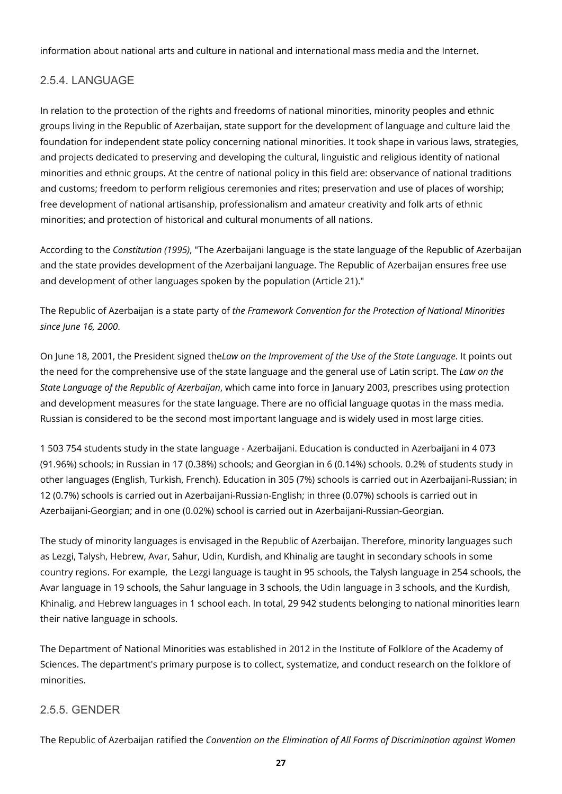information about national arts and culture in national and international mass media and the Internet.

### <span id="page-26-0"></span>2.5.4. LANGUAGE

In relation to the protection of the rights and freedoms of national minorities, minority peoples and ethnic groups living in the Republic of Azerbaijan, state support for the development of language and culture laid the foundation for independent state policy concerning national minorities. It took shape in various laws, strategies, and projects dedicated to preserving and developing the cultural, linguistic and religious identity of national minorities and ethnic groups. At the centre of national policy in this field are: observance of national traditions and customs; freedom to perform religious ceremonies and rites; preservation and use of places of worship; free development of national artisanship, professionalism and amateur creativity and folk arts of ethnic minorities; and protection of historical and cultural monuments of all nations.

According to the *Constitution (1995)*, "The Azerbaijani language is the state language of the Republic of Azerbaijan and the state provides development of the Azerbaijani language. The Republic of Azerbaijan ensures free use and development of other languages spoken by the population (Article 21)."

The Republic of Azerbaijan is a state party of *the Framework Convention for the Protection of National Minorities since June 16, 2000*.

On June 18, 2001, the President signed the*Law on the Improvement of the Use of the State Language*. It points out the need for the comprehensive use of the state language and the general use of Latin script. The *Law on the State Language of the Republic of Azerbaijan*, which came into force in January 2003, prescribes using protection and development measures for the state language. There are no official language quotas in the mass media. Russian is considered to be the second most important language and is widely used in most large cities.

1 503 754 students study in the state language - Azerbaijani. Education is conducted in Azerbaijani in 4 073 (91.96%) schools; in Russian in 17 (0.38%) schools; and Georgian in 6 (0.14%) schools. 0.2% of students study in other languages (English, Turkish, French). Education in 305 (7%) schools is carried out in Azerbaijani-Russian; in 12 (0.7%) schools is carried out in Azerbaijani-Russian-English; in three (0.07%) schools is carried out in Azerbaijani-Georgian; and in one (0.02%) school is carried out in Azerbaijani-Russian-Georgian.

The study of minority languages is envisaged in the Republic of Azerbaijan. Therefore, minority languages such as Lezgi, Talysh, Hebrew, Avar, Sahur, Udin, Kurdish, and Khinalig are taught in secondary schools in some country regions. For example, the Lezgi language is taught in 95 schools, the Talysh language in 254 schools, the Avar language in 19 schools, the Sahur language in 3 schools, the Udin language in 3 schools, and the Kurdish, Khinalig, and Hebrew languages in 1 school each. In total, 29 942 students belonging to national minorities learn their native language in schools.

The Department of National Minorities was established in 2012 in the Institute of Folklore of the Academy of Sciences. The department's primary purpose is to collect, systematize, and conduct research on the folklore of minorities.

#### <span id="page-26-1"></span>2.5.5. GENDER

The Republic of Azerbaijan ratified the *Convention on the Elimination of All Forms of Discrimination against Women*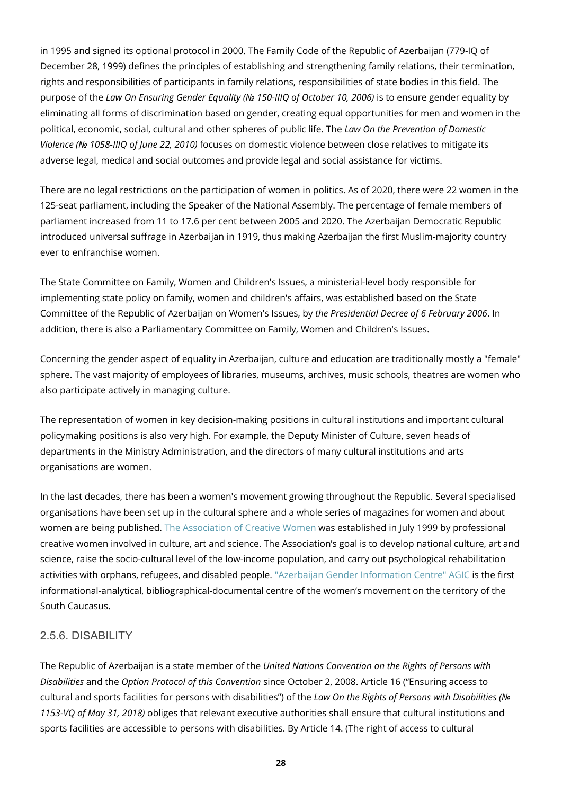in 1995 and signed its optional protocol in 2000. The Family Code of the Republic of Azerbaijan (779-IQ of December 28, 1999) defines the principles of establishing and strengthening family relations, their termination, rights and responsibilities of participants in family relations, responsibilities of state bodies in this field. The purpose of the *Law On Ensuring Gender Equality (№ 150-IIIQ of October 10, 2006)* is to ensure gender equality by eliminating all forms of discrimination based on gender, creating equal opportunities for men and women in the political, economic, social, cultural and other spheres of public life. The *Law On the Prevention of Domestic Violence (№ 1058-IIIQ of June 22, 2010)* focuses on domestic violence between close relatives to mitigate its adverse legal, medical and social outcomes and provide legal and social assistance for victims.

There are no legal restrictions on the participation of women in politics. As of 2020, there were 22 women in the 125-seat parliament, including the Speaker of the National Assembly. The percentage of female members of parliament increased from 11 to 17.6 per cent between 2005 and 2020. The Azerbaijan Democratic Republic introduced universal suffrage in Azerbaijan in 1919, thus making Azerbaijan the first Muslim-majority country ever to enfranchise women.

The State Committee on Family, Women and Children's Issues, a ministerial-level body responsible for implementing state policy on family, women and children's affairs, was established based on the State Committee of the Republic of Azerbaijan on Women's Issues, by *the Presidential Decree of 6 February 2006*. In addition, there is also a Parliamentary Committee on Family, Women and Children's Issues.

Concerning the gender aspect of equality in Azerbaijan, culture and education are traditionally mostly a "female" sphere. The vast majority of employees of libraries, museums, archives, music schools, theatres are women who also participate actively in managing culture.

The representation of women in key decision-making positions in cultural institutions and important cultural policymaking positions is also very high. For example, the Deputy Minister of Culture, seven heads of departments in the Ministry Administration, and the directors of many cultural institutions and arts organisations are women.

In the last decades, there has been a women's movement growing throughout the Republic. Several specialised organisations have been set up in the cultural sphere and a whole series of magazines for women and about women are being published. [The Association of Creative Women](http://cwa-az.com/index_e.html) was established in July 1999 by professional creative women involved in culture, art and science. The Association's goal is to develop national culture, art and science, raise the socio-cultural level of the low-income population, and carry out psychological rehabilitation activities with orphans, refugees, and disabled people. ["Azerbaijan Gender Information Centre" AGIC](https://www.gender-az.org/index_en.shtml) is the first informational-analytical, bibliographical-documental centre of the women's movement on the territory of the South Caucasus.

### <span id="page-27-0"></span>2.5.6. DISABILITY

The Republic of Azerbaijan is a state member of the *United Nations Convention on the Rights of Persons with Disabilities* and the *Option Protocol of this Convention* since October 2, 2008. Article 16 ("Ensuring access to cultural and sports facilities for persons with disabilities") of the *Law On the Rights of Persons with Disabilities (№ 1153-VQ of May 31, 2018)* obliges that relevant executive authorities shall ensure that cultural institutions and sports facilities are accessible to persons with disabilities. By Article 14. (The right of access to cultural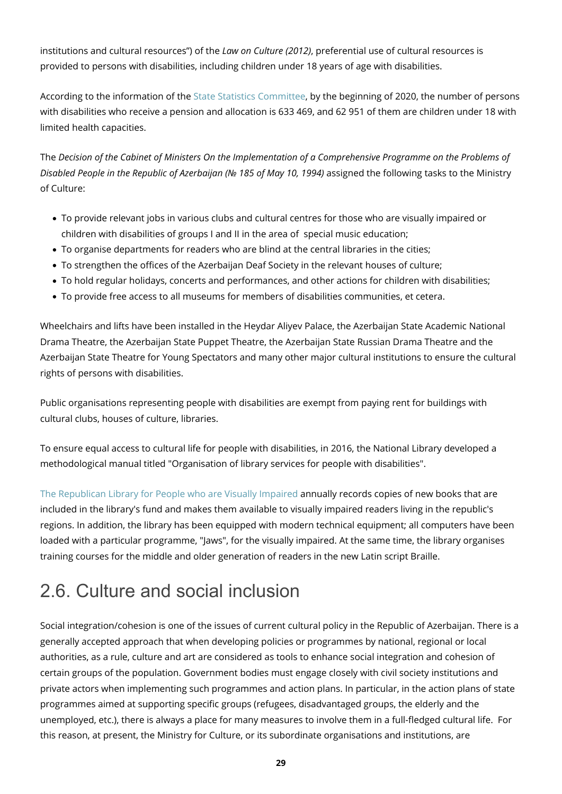institutions and cultural resources") of the *Law on Culture (2012)*, preferential use of cultural resources is provided to persons with disabilities, including children under 18 years of age with disabilities.

According to the information of the [State Statistics Committee,](https://www.stat.gov.az/source/healthcare/?lang=en) by the beginning of 2020, the number of persons with disabilities who receive a pension and allocation is 633 469, and 62 951 of them are children under 18 with limited health capacities.

The *Decision of the Cabinet of Ministers On the Implementation of a Comprehensive Programme on the Problems of Disabled People in the Republic of Azerbaijan (№ 185 of May 10, 1994)* assigned the following tasks to the Ministry of Culture:

- To provide relevant jobs in various clubs and cultural centres for those who are visually impaired or children with disabilities of groups I and II in the area of special music education;
- To organise departments for readers who are blind at the central libraries in the cities;
- To strengthen the offices of the Azerbaijan Deaf Society in the relevant houses of culture;
- To hold regular holidays, concerts and performances, and other actions for children with disabilities;
- To provide free access to all museums for members of disabilities communities, et cetera.

Wheelchairs and lifts have been installed in the Heydar Aliyev Palace, the Azerbaijan State Academic National Drama Theatre, the Azerbaijan State Puppet Theatre, the Azerbaijan State Russian Drama Theatre and the Azerbaijan State Theatre for Young Spectators and many other major cultural institutions to ensure the cultural rights of persons with disabilities.

Public organisations representing people with disabilities are exempt from paying rent for buildings with cultural clubs, houses of culture, libraries.

To ensure equal access to cultural life for people with disabilities, in 2016, the National Library developed a methodological manual titled "Organisation of library services for people with disabilities".

[The Republican Library for People who are Visually Impaired](https://gerk.az/en/) annually records copies of new books that are included in the library's fund and makes them available to visually impaired readers living in the republic's regions. In addition, the library has been equipped with modern technical equipment; all computers have been loaded with a particular programme, "Jaws", for the visually impaired. At the same time, the library organises training courses for the middle and older generation of readers in the new Latin script Braille.

# <span id="page-28-0"></span>2.6. Culture and social inclusion

Social integration/cohesion is one of the issues of current cultural policy in the Republic of Azerbaijan. There is a generally accepted approach that when developing policies or programmes by national, regional or local authorities, as a rule, culture and art are considered as tools to enhance social integration and cohesion of certain groups of the population. Government bodies must engage closely with civil society institutions and private actors when implementing such programmes and action plans. In particular, in the action plans of state programmes aimed at supporting specific groups (refugees, disadvantaged groups, the elderly and the unemployed, etc.), there is always a place for many measures to involve them in a full-fledged cultural life. For this reason, at present, the Ministry for Culture, or its subordinate organisations and institutions, are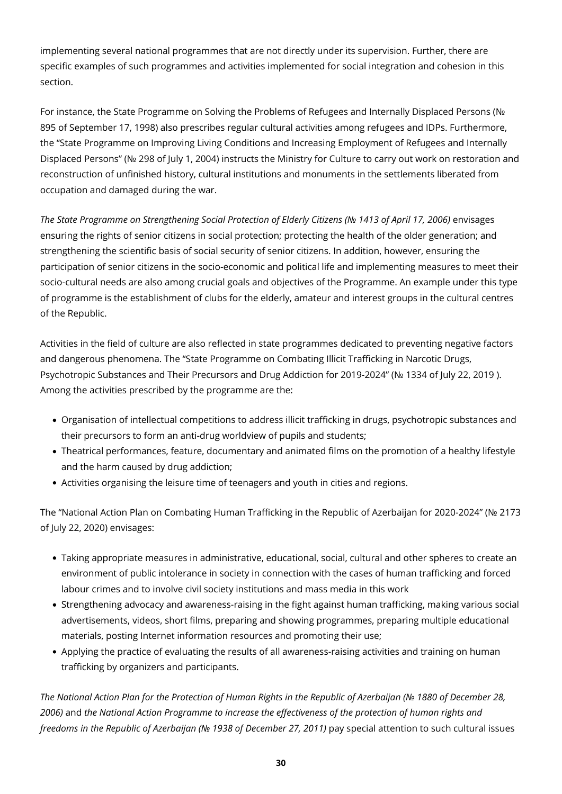implementing several national programmes that are not directly under its supervision. Further, there are specific examples of such programmes and activities implemented for social integration and cohesion in this section.

For instance, the State Programme on Solving the Problems of Refugees and Internally Displaced Persons (№ 895 of September 17, 1998) also prescribes regular cultural activities among refugees and IDPs. Furthermore, the "State Programme on Improving Living Conditions and Increasing Employment of Refugees and Internally Displaced Persons" (№ 298 of July 1, 2004) instructs the Ministry for Culture to carry out work on restoration and reconstruction of unfinished history, cultural institutions and monuments in the settlements liberated from occupation and damaged during the war.

*The State Programme on Strengthening Social Protection of Elderly Citizens (№ 1413 of April 17, 2006)* envisages ensuring the rights of senior citizens in social protection; protecting the health of the older generation; and strengthening the scientific basis of social security of senior citizens. In addition, however, ensuring the participation of senior citizens in the socio-economic and political life and implementing measures to meet their socio-cultural needs are also among crucial goals and objectives of the Programme. An example under this type of programme is the establishment of clubs for the elderly, amateur and interest groups in the cultural centres of the Republic.

Activities in the field of culture are also reflected in state programmes dedicated to preventing negative factors and dangerous phenomena. The "State Programme on Combating Illicit Trafficking in Narcotic Drugs, Psychotropic Substances and Their Precursors and Drug Addiction for 2019-2024" (№ 1334 of July 22, 2019 ). Among the activities prescribed by the programme are the:

- Organisation of intellectual competitions to address illicit trafficking in drugs, psychotropic substances and their precursors to form an anti-drug worldview of pupils and students;
- Theatrical performances, feature, documentary and animated films on the promotion of a healthy lifestyle and the harm caused by drug addiction;
- Activities organising the leisure time of teenagers and youth in cities and regions.

The "National Action Plan on Combating Human Trafficking in the Republic of Azerbaijan for 2020-2024" (№ 2173 of July 22, 2020) envisages:

- Taking appropriate measures in administrative, educational, social, cultural and other spheres to create an environment of public intolerance in society in connection with the cases of human trafficking and forced labour crimes and to involve civil society institutions and mass media in this work
- Strengthening advocacy and awareness-raising in the fight against human trafficking, making various social advertisements, videos, short films, preparing and showing programmes, preparing multiple educational materials, posting Internet information resources and promoting their use;
- Applying the practice of evaluating the results of all awareness-raising activities and training on human trafficking by organizers and participants.

*The National Action Plan for the Protection of Human Rights in the Republic of Azerbaijan (№ 1880 of December 28, 2006)* and *the National Action Programme to increase the effectiveness of the protection of human rights and freedoms in the Republic of Azerbaijan (№ 1938 of December 27, 2011)* pay special attention to such cultural issues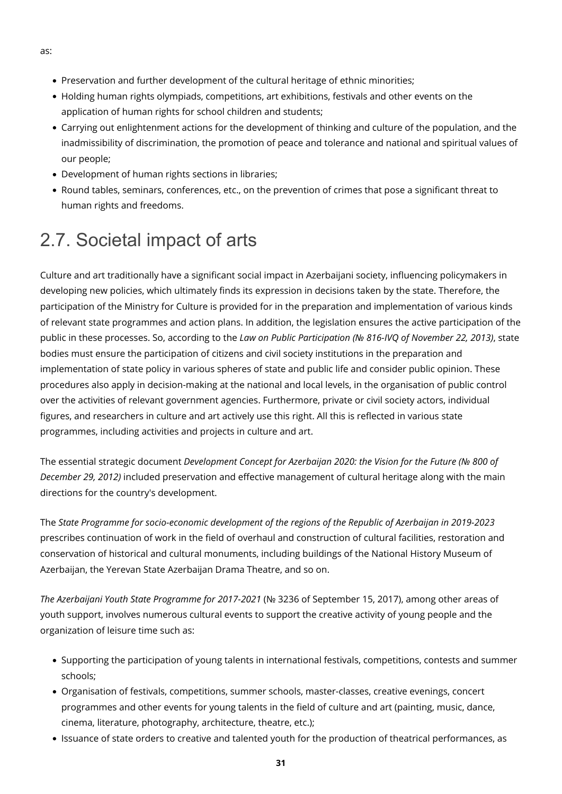- Preservation and further development of the cultural heritage of ethnic minorities;
- Holding human rights olympiads, competitions, art exhibitions, festivals and other events on the application of human rights for school children and students;
- Carrying out enlightenment actions for the development of thinking and culture of the population, and the inadmissibility of discrimination, the promotion of peace and tolerance and national and spiritual values of our people;
- Development of human rights sections in libraries;
- Round tables, seminars, conferences, etc., on the prevention of crimes that pose a significant threat to human rights and freedoms.

# <span id="page-30-0"></span>2.7. Societal impact of arts

Culture and art traditionally have a significant social impact in Azerbaijani society, influencing policymakers in developing new policies, which ultimately finds its expression in decisions taken by the state. Therefore, the participation of the Ministry for Culture is provided for in the preparation and implementation of various kinds of relevant state programmes and action plans. In addition, the legislation ensures the active participation of the public in these processes. So, according to the *Law on Public Participation (№ 816-IVQ of November 22, 2013)*, state bodies must ensure the participation of citizens and civil society institutions in the preparation and implementation of state policy in various spheres of state and public life and consider public opinion. These procedures also apply in decision-making at the national and local levels, in the organisation of public control over the activities of relevant government agencies. Furthermore, private or civil society actors, individual figures, and researchers in culture and art actively use this right. All this is reflected in various state programmes, including activities and projects in culture and art.

The essential strategic document *Development Concept for Azerbaijan 2020: the Vision for the Future (№ 800 of December 29, 2012)* included preservation and effective management of cultural heritage along with the main directions for the country's development.

The *State Programme for socio-economic development of the regions of the Republic of Azerbaijan in 2019-2023* prescribes continuation of work in the field of overhaul and construction of cultural facilities, restoration and conservation of historical and cultural monuments, including buildings of the National History Museum of Azerbaijan, the Yerevan State Azerbaijan Drama Theatre, and so on.

*The Azerbaijani Youth State Programme for 2017-2021* (№ 3236 of September 15, 2017), among other areas of youth support, involves numerous cultural events to support the creative activity of young people and the organization of leisure time such as:

- Supporting the participation of young talents in international festivals, competitions, contests and summer schools;
- Organisation of festivals, competitions, summer schools, master-classes, creative evenings, concert programmes and other events for young talents in the field of culture and art (painting, music, dance, cinema, literature, photography, architecture, theatre, etc.);
- Issuance of state orders to creative and talented youth for the production of theatrical performances, as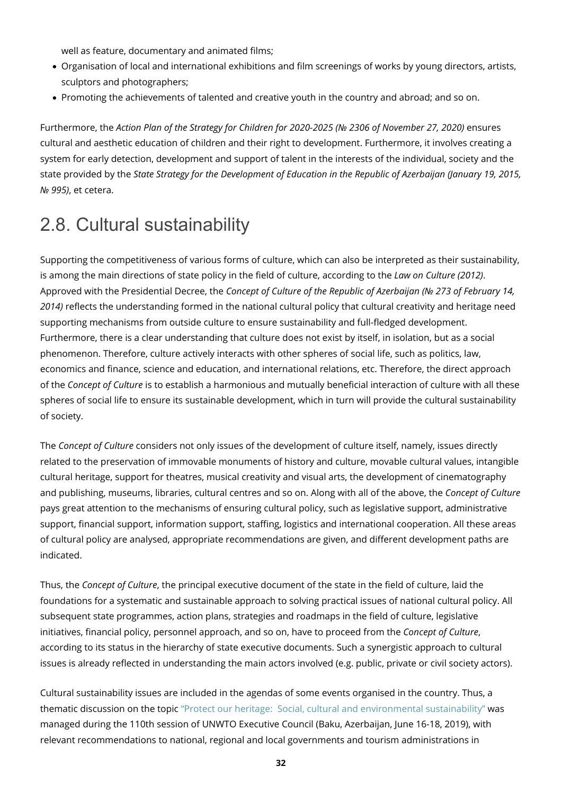well as feature, documentary and animated films;

- Organisation of local and international exhibitions and film screenings of works by young directors, artists, sculptors and photographers;
- Promoting the achievements of talented and creative youth in the country and abroad; and so on.

Furthermore, the *Action Plan of the Strategy for Children for 2020-2025 (№ 2306 of November 27, 2020)* ensures cultural and aesthetic education of children and their right to development. Furthermore, it involves creating a system for early detection, development and support of talent in the interests of the individual, society and the state provided by the *State Strategy for the Development of Education in the Republic of Azerbaijan (January 19, 2015, № 995)*, et cetera.

### <span id="page-31-0"></span>2.8. Cultural sustainability

Supporting the competitiveness of various forms of culture, which can also be interpreted as their sustainability, is among the main directions of state policy in the field of culture, according to the *Law on Culture (2012)*. Approved with the Presidential Decree, the *Concept of Culture of the Republic of Azerbaijan (№ 273 of February 14, 2014)* reflects the understanding formed in the national cultural policy that cultural creativity and heritage need supporting mechanisms from outside culture to ensure sustainability and full-fledged development. Furthermore, there is a clear understanding that culture does not exist by itself, in isolation, but as a social phenomenon. Therefore, culture actively interacts with other spheres of social life, such as politics, law, economics and finance, science and education, and international relations, etc. Therefore, the direct approach of the *Concept of Culture* is to establish a harmonious and mutually beneficial interaction of culture with all these spheres of social life to ensure its sustainable development, which in turn will provide the cultural sustainability of society.

The *Concept of Culture* considers not only issues of the development of culture itself, namely, issues directly related to the preservation of immovable monuments of history and culture, movable cultural values, intangible cultural heritage, support for theatres, musical creativity and visual arts, the development of cinematography and publishing, museums, libraries, cultural centres and so on. Along with all of the above, the *Concept of Culture* pays great attention to the mechanisms of ensuring cultural policy, such as legislative support, administrative support, financial support, information support, staffing, logistics and international cooperation. All these areas of cultural policy are analysed, appropriate recommendations are given, and different development paths are indicated.

Thus, the *Concept of Culture*, the principal executive document of the state in the field of culture, laid the foundations for a systematic and sustainable approach to solving practical issues of national cultural policy. All subsequent state programmes, action plans, strategies and roadmaps in the field of culture, legislative initiatives, financial policy, personnel approach, and so on, have to proceed from the *Concept of Culture*, according to its status in the hierarchy of state executive documents. Such a synergistic approach to cultural issues is already reflected in understanding the main actors involved (e.g. public, private or civil society actors).

Cultural sustainability issues are included in the agendas of some events organised in the country. Thus, a thematic discussion on the topic ["Protect our heritage: Social, cultural and environmental sustainability"](https://www.e-unwto.org/doi/epdf/10.18111/unwtoecd.2019.1.g51w645001604509) was managed during the 110th session of UNWTO Executive Council (Baku, Azerbaijan, June 16-18, 2019), with relevant recommendations to national, regional and local governments and tourism administrations in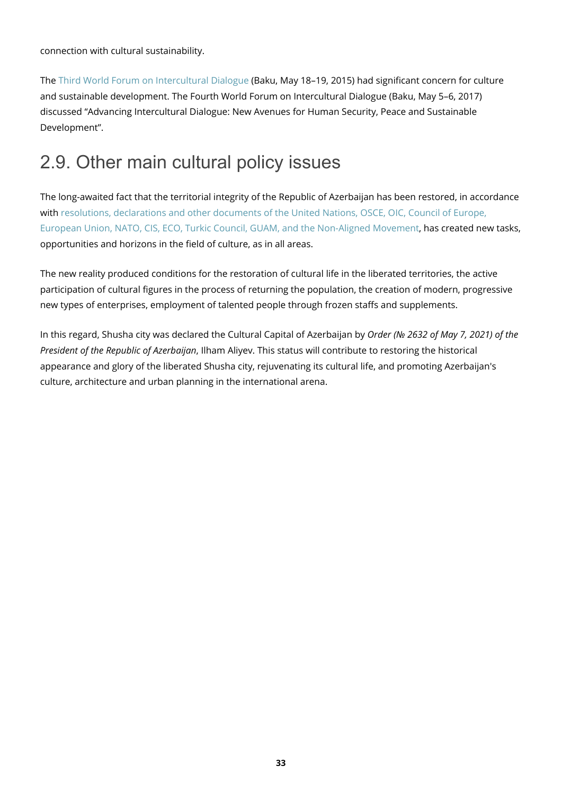connection with cultural sustainability.

The [Third World Forum on Intercultural Dialogue](#page--1-0) (Baku, May 18–19, 2015) had significant concern for culture and sustainable development. The Fourth World Forum on Intercultural Dialogue (Baku, May 5–6, 2017) discussed "Advancing Intercultural Dialogue: New Avenues for Human Security, Peace and Sustainable Development".

### <span id="page-32-0"></span>2.9. Other main cultural policy issues

The long-awaited fact that the territorial integrity of the Republic of Azerbaijan has been restored, in accordance with [resolutions, declarations and other documents of the United Nations, OSCE, OIC, Council of Europe,](https://en.president.az/azerbaijan/karabakh) [European Union, NATO, CIS, ECO, Turkic Council, GUAM, and the Non-Aligned Movement](https://en.president.az/azerbaijan/karabakh), has created new tasks, opportunities and horizons in the field of culture, as in all areas.

The new reality produced conditions for the restoration of cultural life in the liberated territories, the active participation of cultural figures in the process of returning the population, the creation of modern, progressive new types of enterprises, employment of talented people through frozen staffs and supplements.

In this regard, Shusha city was declared the Cultural Capital of Azerbaijan by *Order (№ 2632 of May 7, 2021) of the President of the Republic of Azerbaijan*, Ilham Aliyev. This status will contribute to restoring the historical appearance and glory of the liberated Shusha city, rejuvenating its cultural life, and promoting Azerbaijan's culture, architecture and urban planning in the international arena.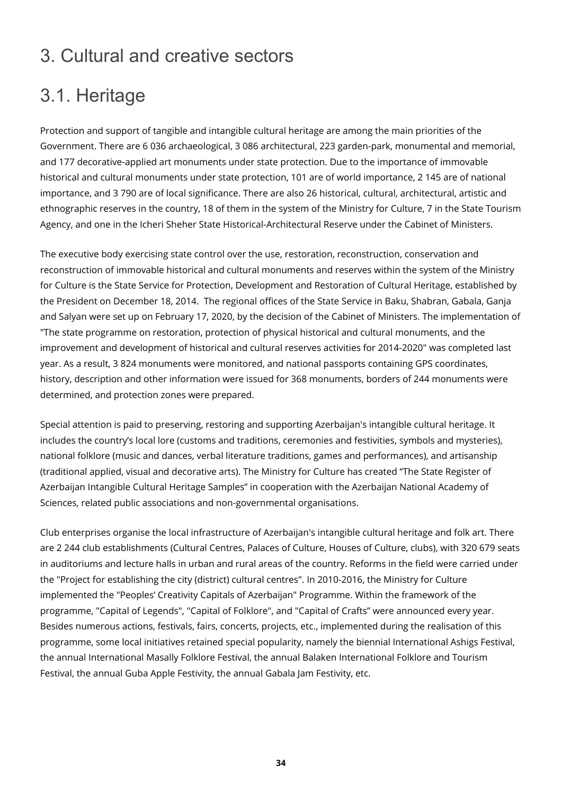### <span id="page-33-0"></span>3. Cultural and creative sectors

# <span id="page-33-1"></span>3.1. Heritage

Protection and support of tangible and intangible cultural heritage are among the main priorities of the Government. There are 6 036 archaeological, 3 086 architectural, 223 garden-park, monumental and memorial, and 177 decorative-applied art monuments under state protection. Due to the importance of immovable historical and cultural monuments under state protection, 101 are of world importance, 2 145 are of national importance, and 3 790 are of local significance. There are also 26 historical, cultural, architectural, artistic and ethnographic reserves in the country, 18 of them in the system of the Ministry for Culture, 7 in the State Tourism Agency, and one in the Icheri Sheher State Historical-Architectural Reserve under the Cabinet of Ministers.

The executive body exercising state control over the use, restoration, reconstruction, conservation and reconstruction of immovable historical and cultural monuments and reserves within the system of the Ministry for Culture is the State Service for Protection, Development and Restoration of Cultural Heritage, established by the President on December 18, 2014. The regional offices of the State Service in Baku, Shabran, Gabala, Ganja and Salyan were set up on February 17, 2020, by the decision of the Cabinet of Ministers. The implementation of "The state programme on restoration, protection of physical historical and cultural monuments, and the improvement and development of historical and cultural reserves activities for 2014-2020" was completed last year. As a result, 3 824 monuments were monitored, and national passports containing GPS coordinates, history, description and other information were issued for 368 monuments, borders of 244 monuments were determined, and protection zones were prepared.

Special attention is paid to preserving, restoring and supporting Azerbaijan's intangible cultural heritage. It includes the country's local lore (customs and traditions, ceremonies and festivities, symbols and mysteries), national folklore (music and dances, verbal literature traditions, games and performances), and artisanship (traditional applied, visual and decorative arts). The Ministry for Culture has created "The State Register of Azerbaijan Intangible Cultural Heritage Samples" in cooperation with the Azerbaijan National Academy of Sciences, related public associations and non-governmental organisations.

Club enterprises organise the local infrastructure of Azerbaijan's intangible cultural heritage and folk art. There are 2 244 club establishments (Cultural Centres, Palaces of Culture, Houses of Culture, clubs), with 320 679 seats in auditoriums and lecture halls in urban and rural areas of the country. Reforms in the field were carried under the "Project for establishing the city (district) cultural centres". In 2010-2016, the Ministry for Culture implemented the "Peoples' Creativity Capitals of Azerbaijan" Programme. Within the framework of the programme, "Capital of Legends", "Capital of Folklore", and "Capital of Crafts" were announced every year. Besides numerous actions, festivals, fairs, concerts, projects, etc., implemented during the realisation of this programme, some local initiatives retained special popularity, namely the biennial International Ashigs Festival, the annual International Masally Folklore Festival, the annual Balaken International Folklore and Tourism Festival, the annual Guba Apple Festivity, the annual Gabala Jam Festivity, etc.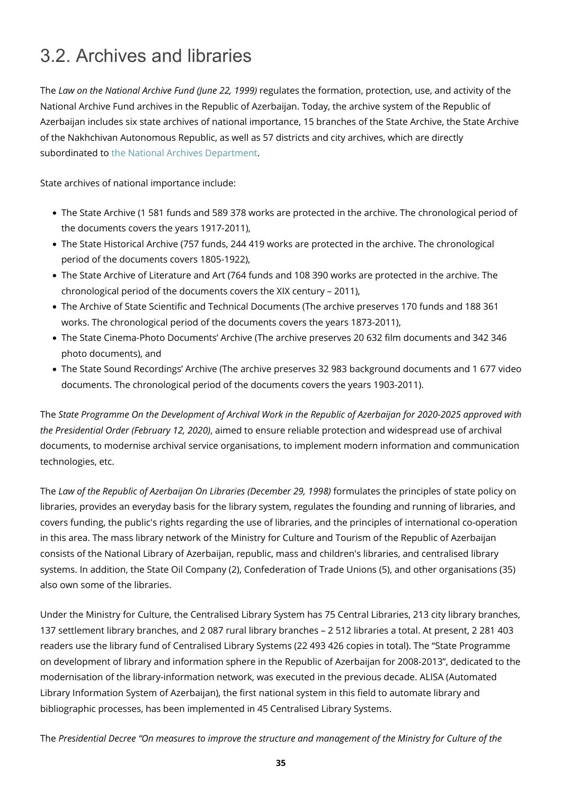### 3.2. Archives and libraries

The *Law on the National Archive Fund (June 22, 1999)* regulates the formation, protection, use, and activity of the National Archive Fund archives in the Republic of Azerbaijan. Today, the archive system of the Republic of Azerbaijan includes six state archives of national importance, 15 branches of the State Archive, the State Archive of the Nakhchivan Autonomous Republic, as well as 57 districts and city archives, which are directly subordinated to [the National Archives Department.](http://www.milliarxiv.gov.az/)

State archives of national importance include:

- The State Archive (1 581 funds and 589 378 works are protected in the archive. The chronological period of the documents covers the years 1917-2011),
- The State Historical Archive (757 funds, 244 419 works are protected in the archive. The chronological period of the documents covers 1805-1922),
- The State Archive of Literature and Art (764 funds and 108 390 works are protected in the archive. The chronological period of the documents covers the XIX century – 2011),
- The Archive of State Scientific and Technical Documents (The archive preserves 170 funds and 188 361 works. The chronological period of the documents covers the years 1873-2011),
- The State Cinema-Photo Documents' Archive (The archive preserves 20 632 film documents and 342 346 photo documents), and
- The State Sound Recordings' Archive (The archive preserves 32 983 background documents and 1 677 video documents. The chronological period of the documents covers the years 1903-2011).

The *State Programme On the Development of Archival Work in the Republic of Azerbaijan for 2020-2025 approved with the Presidential Order (February 12, 2020)*, aimed to ensure reliable protection and widespread use of archival documents, to modernise archival service organisations, to implement modern information and communication technologies, etc.

The *Law of the Republic of Azerbaijan On Libraries (December 29, 1998)* formulates the principles of state policy on libraries, provides an everyday basis for the library system, regulates the founding and running of libraries, and covers funding, the public's rights regarding the use of libraries, and the principles of international co-operation in this area. The mass library network of the Ministry for Culture and Tourism of the Republic of Azerbaijan consists of the National Library of Azerbaijan, republic, mass and children's libraries, and centralised library systems. In addition, the State Oil Company (2), Confederation of Trade Unions (5), and other organisations (35) also own some of the libraries.

Under the Ministry for Culture, the Centralised Library System has 75 Central Libraries, 213 city library branches, 137 settlement library branches, and 2 087 rural library branches – 2 512 libraries a total. At present, 2 281 403 readers use the library fund of Centralised Library Systems (22 493 426 copies in total). The "State Programme on development of library and information sphere in the Republic of Azerbaijan for 2008-2013", dedicated to the modernisation of the library-information network, was executed in the previous decade. ALISA (Automated Library Information System of Azerbaijan), the first national system in this field to automate library and bibliographic processes, has been implemented in 45 Centralised Library Systems.

<span id="page-34-0"></span>The *Presidential Decree "On measures to improve the structure and management of the Ministry for Culture of the*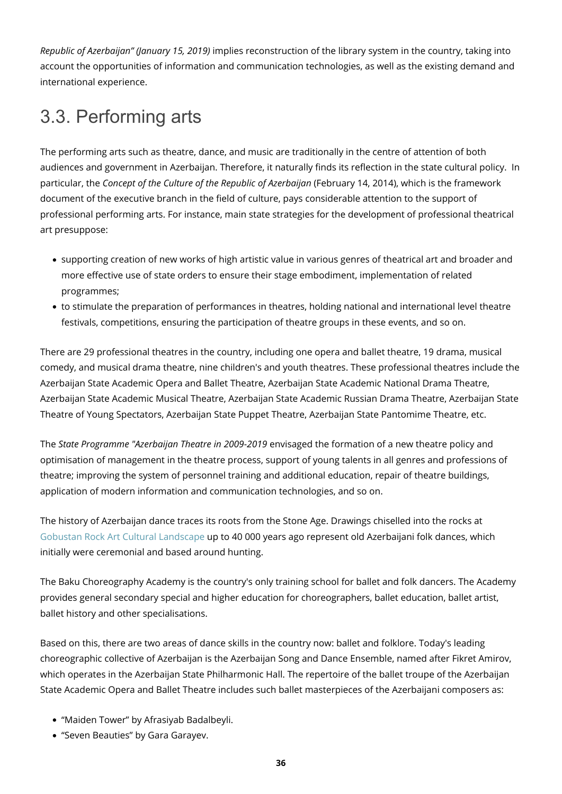*Republic of Azerbaijan" (January 15, 2019)* implies reconstruction of the library system in the country, taking into account the opportunities of information and communication technologies, as well as the existing demand and international experience.

# <span id="page-35-0"></span>3.3. Performing arts

The performing arts such as theatre, dance, and music are traditionally in the centre of attention of both audiences and government in Azerbaijan. Therefore, it naturally finds its reflection in the state cultural policy. In particular, the *Concept of the Culture of the Republic of Azerbaijan* (February 14, 2014), which is the framework document of the executive branch in the field of culture, pays considerable attention to the support of professional performing arts. For instance, main state strategies for the development of professional theatrical art presuppose:

- supporting creation of new works of high artistic value in various genres of theatrical art and broader and more effective use of state orders to ensure their stage embodiment, implementation of related programmes;
- to stimulate the preparation of performances in theatres, holding national and international level theatre festivals, competitions, ensuring the participation of theatre groups in these events, and so on.

There are 29 professional theatres in the country, including one opera and ballet theatre, 19 drama, musical comedy, and musical drama theatre, nine children's and youth theatres. These professional theatres include the Azerbaijan State Academic Opera and Ballet Theatre, Azerbaijan State Academic National Drama Theatre, Azerbaijan State Academic Musical Theatre, Azerbaijan State Academic Russian Drama Theatre, Azerbaijan State Theatre of Young Spectators, Azerbaijan State Puppet Theatre, Azerbaijan State Pantomime Theatre, etc.

The *State Programme "Azerbaijan Theatre in 2009-2019* envisaged the formation of a new theatre policy and optimisation of management in the theatre process, support of young talents in all genres and professions of theatre; improving the system of personnel training and additional education, repair of theatre buildings, application of modern information and communication technologies, and so on.

The history of Azerbaijan dance traces its roots from the Stone Age. Drawings chiselled into the rocks at [Gobustan Rock Art Cultural Landscape](https://whc.unesco.org/en/list/1076/) up to 40 000 years ago represent old Azerbaijani folk dances, which initially were ceremonial and based around hunting.

The Baku Choreography Academy is the country's only training school for ballet and folk dancers. The Academy provides general secondary special and higher education for choreographers, ballet education, ballet artist, ballet history and other specialisations.

Based on this, there are two areas of dance skills in the country now: ballet and folklore. Today's leading choreographic collective of Azerbaijan is the Azerbaijan Song and Dance Ensemble, named after Fikret Amirov, which operates in the Azerbaijan State Philharmonic Hall. The repertoire of the ballet troupe of the Azerbaijan State Academic Opera and Ballet Theatre includes such ballet masterpieces of the Azerbaijani composers as:

- "Maiden Tower" by Afrasiyab Badalbeyli.
- "Seven Beauties" by Gara Garayev.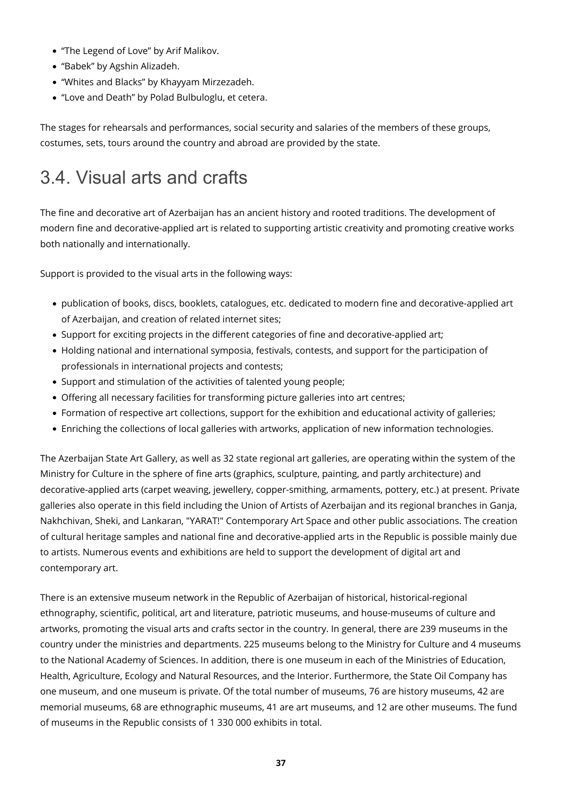- "The Legend of Love" by Arif Malikov.
- "Babek" by Agshin Alizadeh.
- "Whites and Blacks" by Khayyam Mirzezadeh.
- "Love and Death" by Polad Bulbuloglu, et cetera.

The stages for rehearsals and performances, social security and salaries of the members of these groups, costumes, sets, tours around the country and abroad are provided by the state.

## 3.4. Visual arts and crafts

The fine and decorative art of Azerbaijan has an ancient history and rooted traditions. The development of modern fine and decorative-applied art is related to supporting artistic creativity and promoting creative works both nationally and internationally.

Support is provided to the visual arts in the following ways:

- publication of books, discs, booklets, catalogues, etc. dedicated to modern fine and decorative-applied art of Azerbaijan, and creation of related internet sites;
- Support for exciting projects in the different categories of fine and decorative-applied art;
- Holding national and international symposia, festivals, contests, and support for the participation of professionals in international projects and contests;
- Support and stimulation of the activities of talented young people;
- Offering all necessary facilities for transforming picture galleries into art centres;
- Formation of respective art collections, support for the exhibition and educational activity of galleries;
- Enriching the collections of local galleries with artworks, application of new information technologies.

The Azerbaijan State Art Gallery, as well as 32 state regional art galleries, are operating within the system of the Ministry for Culture in the sphere of fine arts (graphics, sculpture, painting, and partly architecture) and decorative-applied arts (carpet weaving, jewellery, copper-smithing, armaments, pottery, etc.) at present. Private galleries also operate in this field including the Union of Artists of Azerbaijan and its regional branches in Ganja, Nakhchivan, Sheki, and Lankaran, "YARAT!" Contemporary Art Space and other public associations. The creation of cultural heritage samples and national fine and decorative-applied arts in the Republic is possible mainly due to artists. Numerous events and exhibitions are held to support the development of digital art and contemporary art.

There is an extensive museum network in the Republic of Azerbaijan of historical, historical-regional ethnography, scientific, political, art and literature, patriotic museums, and house-museums of culture and artworks, promoting the visual arts and crafts sector in the country. In general, there are 239 museums in the country under the ministries and departments. 225 museums belong to the Ministry for Culture and 4 museums to the National Academy of Sciences. In addition, there is one museum in each of the Ministries of Education, Health, Agriculture, Ecology and Natural Resources, and the Interior. Furthermore, the State Oil Company has one museum, and one museum is private. Of the total number of museums, 76 are history museums, 42 are memorial museums, 68 are ethnographic museums, 41 are art museums, and 12 are other museums. The fund of museums in the Republic consists of 1 330 000 exhibits in total.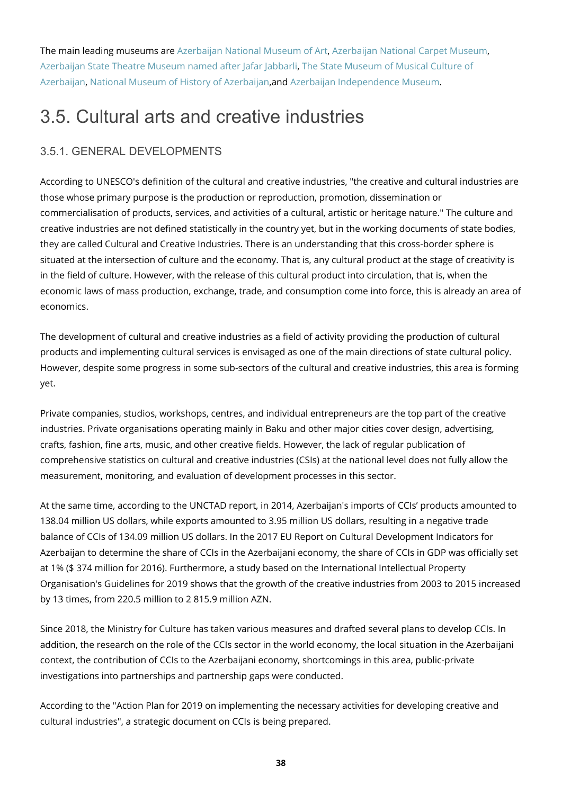The main leading museums are [Azerbaijan National Museum of Art](https://museum.az/en/museum/4), [Azerbaijan National Carpet Museum](https://museum.az/en/museum/7), [Azerbaijan State Theatre Museum named after Jafar Jabbarli](https://museum.az/en/museum/9), [The State Museum of Musical Culture of](https://museum.az/en/museum/10) [Azerbaijan](https://museum.az/en/museum/10), [National Museum of History of Azerbaijan](https://museum.az/en/museum/175), and [Azerbaijan Independence Museum.](https://museum.az/en/museum/8)

# 3.5. Cultural arts and creative industries

### 3.5.1. GENERAL DEVELOPMENTS

According to UNESCO's definition of the cultural and creative industries, "the creative and cultural industries are those whose primary purpose is the production or reproduction, promotion, dissemination or commercialisation of products, services, and activities of a cultural, artistic or heritage nature." The culture and creative industries are not defined statistically in the country yet, but in the working documents of state bodies, they are called Cultural and Creative Industries. There is an understanding that this cross-border sphere is situated at the intersection of culture and the economy. That is, any cultural product at the stage of creativity is in the field of culture. However, with the release of this cultural product into circulation, that is, when the economic laws of mass production, exchange, trade, and consumption come into force, this is already an area of economics.

The development of cultural and creative industries as a field of activity providing the production of cultural products and implementing cultural services is envisaged as one of the main directions of state cultural policy. However, despite some progress in some sub-sectors of the cultural and creative industries, this area is forming yet.

Private companies, studios, workshops, centres, and individual entrepreneurs are the top part of the creative industries. Private organisations operating mainly in Baku and other major cities cover design, advertising, crafts, fashion, fine arts, music, and other creative fields. However, the lack of regular publication of comprehensive statistics on cultural and creative industries (CSIs) at the national level does not fully allow the measurement, monitoring, and evaluation of development processes in this sector.

At the same time, according to the UNCTAD report, in 2014, Azerbaijan's imports of CCIs' products amounted to 138.04 million US dollars, while exports amounted to 3.95 million US dollars, resulting in a negative trade balance of CCIs of 134.09 million US dollars. In the 2017 EU Report on Cultural Development Indicators for Azerbaijan to determine the share of CCIs in the Azerbaijani economy, the share of CCIs in GDP was officially set at 1% (\$ 374 million for 2016). Furthermore, a study based on the International Intellectual Property Organisation's Guidelines for 2019 shows that the growth of the creative industries from 2003 to 2015 increased by 13 times, from 220.5 million to 2 815.9 million AZN.

Since 2018, the Ministry for Culture has taken various measures and drafted several plans to develop CCIs. In addition, the research on the role of the CCIs sector in the world economy, the local situation in the Azerbaijani context, the contribution of CCIs to the Azerbaijani economy, shortcomings in this area, public-private investigations into partnerships and partnership gaps were conducted.

According to the "Action Plan for 2019 on implementing the necessary activities for developing creative and cultural industries", a strategic document on CCIs is being prepared.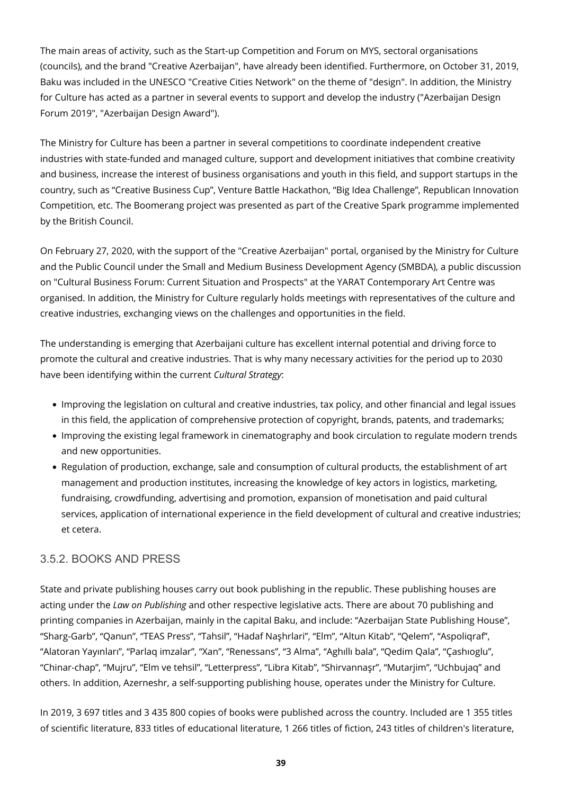The main areas of activity, such as the Start-up Competition and Forum on MYS, sectoral organisations (councils), and the brand "Creative Azerbaijan", have already been identified. Furthermore, on October 31, 2019, Baku was included in the UNESCO "Creative Cities Network" on the theme of "design". In addition, the Ministry for Culture has acted as a partner in several events to support and develop the industry ("Azerbaijan Design Forum 2019", "Azerbaijan Design Award").

The Ministry for Culture has been a partner in several competitions to coordinate independent creative industries with state-funded and managed culture, support and development initiatives that combine creativity and business, increase the interest of business organisations and youth in this field, and support startups in the country, such as "Creative Business Cup", Venture Battle Hackathon, "Big Idea Challenge", Republican Innovation Competition, etc. The Boomerang project was presented as part of the Creative Spark programme implemented by the British Council.

On February 27, 2020, with the support of the "Creative Azerbaijan" portal, organised by the Ministry for Culture and the Public Council under the Small and Medium Business Development Agency (SMBDA), a public discussion on "Cultural Business Forum: Current Situation and Prospects" at the YARAT Contemporary Art Centre was organised. In addition, the Ministry for Culture regularly holds meetings with representatives of the culture and creative industries, exchanging views on the challenges and opportunities in the field.

The understanding is emerging that Azerbaijani culture has excellent internal potential and driving force to promote the cultural and creative industries. That is why many necessary activities for the period up to 2030 have been identifying within the current *Cultural Strategy*:

- Improving the legislation on cultural and creative industries, tax policy, and other financial and legal issues in this field, the application of comprehensive protection of copyright, brands, patents, and trademarks;
- Improving the existing legal framework in cinematography and book circulation to regulate modern trends and new opportunities.
- Regulation of production, exchange, sale and consumption of cultural products, the establishment of art management and production institutes, increasing the knowledge of key actors in logistics, marketing, fundraising, crowdfunding, advertising and promotion, expansion of monetisation and paid cultural services, application of international experience in the field development of cultural and creative industries; et cetera.

#### 3.5.2. BOOKS AND PRESS

State and private publishing houses carry out book publishing in the republic. These publishing houses are acting under the *Law on Publishing* and other respective legislative acts. There are about 70 publishing and printing companies in Azerbaijan, mainly in the capital Baku, and include: "Azerbaijan State Publishing House", "Sharg-Garb", "Qanun", "TEAS Press", "Tahsil", "Hadaf Naşhrlari", "Elm", "Altun Kitab", "Qelem", "Aspoliqraf", "Alatoran Yayınları", "Parlaq imzalar", "Xan", "Renessans", "3 Alma", "Aghıllı bala", "Qedim Qala", "Çashıoglu", "Chinar-chap", "Mujru", "Elm ve tehsil", "Letterpress", "Libra Kitab", "Shirvannaşr", "Mutarjim", "Uchbujaq" and others. In addition, Azerneshr, a self-supporting publishing house, operates under the Ministry for Culture.

In 2019, 3 697 titles and 3 435 800 copies of books were published across the country. Included are 1 355 titles of scientific literature, 833 titles of educational literature, 1 266 titles of fiction, 243 titles of children's literature,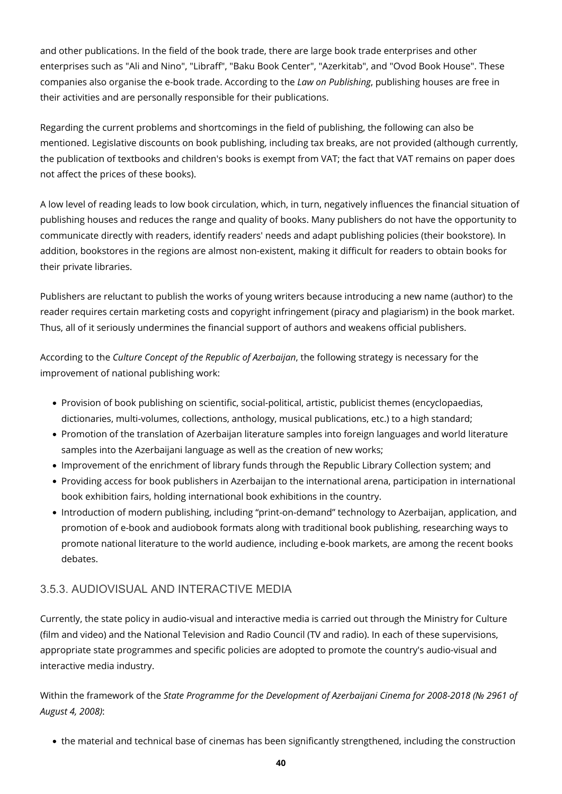and other publications. In the field of the book trade, there are large book trade enterprises and other enterprises such as "Ali and Nino", "Libraff", "Baku Book Center", "Azerkitab", and "Ovod Book House". These companies also organise the e-book trade. According to the *Law on Publishing*, publishing houses are free in their activities and are personally responsible for their publications.

Regarding the current problems and shortcomings in the field of publishing, the following can also be mentioned. Legislative discounts on book publishing, including tax breaks, are not provided (although currently, the publication of textbooks and children's books is exempt from VAT; the fact that VAT remains on paper does not affect the prices of these books).

A low level of reading leads to low book circulation, which, in turn, negatively influences the financial situation of publishing houses and reduces the range and quality of books. Many publishers do not have the opportunity to communicate directly with readers, identify readers' needs and adapt publishing policies (their bookstore). In addition, bookstores in the regions are almost non-existent, making it difficult for readers to obtain books for their private libraries.

Publishers are reluctant to publish the works of young writers because introducing a new name (author) to the reader requires certain marketing costs and copyright infringement (piracy and plagiarism) in the book market. Thus, all of it seriously undermines the financial support of authors and weakens official publishers.

According to the *Culture Concept of the Republic of Azerbaijan*, the following strategy is necessary for the improvement of national publishing work:

- Provision of book publishing on scientific, social-political, artistic, publicist themes (encyclopaedias, dictionaries, multi-volumes, collections, anthology, musical publications, etc.) to a high standard;
- Promotion of the translation of Azerbaijan literature samples into foreign languages and world literature samples into the Azerbaijani language as well as the creation of new works;
- Improvement of the enrichment of library funds through the Republic Library Collection system; and
- Providing access for book publishers in Azerbaijan to the international arena, participation in international book exhibition fairs, holding international book exhibitions in the country.
- Introduction of modern publishing, including "print-on-demand" technology to Azerbaijan, application, and promotion of e-book and audiobook formats along with traditional book publishing, researching ways to promote national literature to the world audience, including e-book markets, are among the recent books debates.

### 3.5.3. AUDIOVISUAL AND INTERACTIVE MEDIA

Currently, the state policy in audio-visual and interactive media is carried out through the Ministry for Culture (film and video) and the National Television and Radio Council (TV and radio). In each of these supervisions, appropriate state programmes and specific policies are adopted to promote the country's audio-visual and interactive media industry.

Within the framework of the *State Programme for the Development of Azerbaijani Cinema for 2008-2018 (№ 2961 of August 4, 2008)*:

the material and technical base of cinemas has been significantly strengthened, including the construction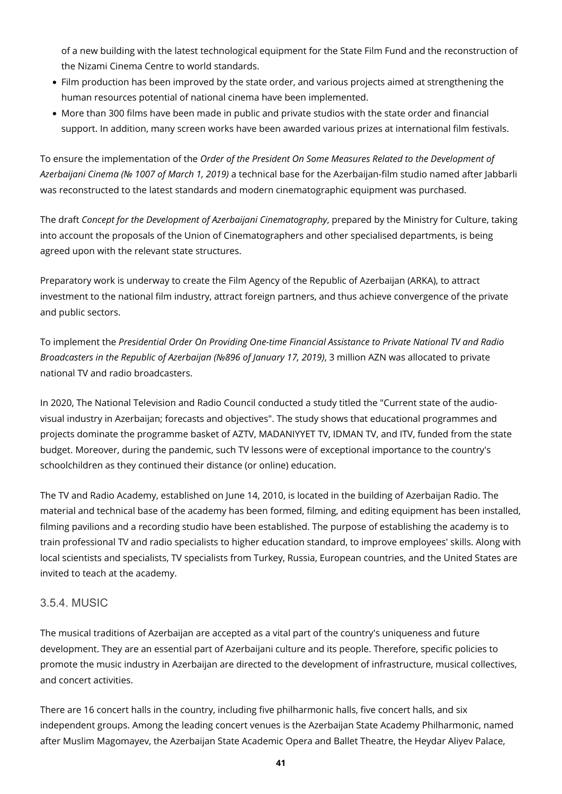of a new building with the latest technological equipment for the State Film Fund and the reconstruction of the Nizami Cinema Centre to world standards.

- Film production has been improved by the state order, and various projects aimed at strengthening the human resources potential of national cinema have been implemented.
- More than 300 films have been made in public and private studios with the state order and financial support. In addition, many screen works have been awarded various prizes at international film festivals.

To ensure the implementation of the *Order of the President On Some Measures Related to the Development of Azerbaijani Cinema (№ 1007 of March 1, 2019)* a technical base for the Azerbaijan-film studio named after Jabbarli was reconstructed to the latest standards and modern cinematographic equipment was purchased.

The draft *Concept for the Development of Azerbaijani Cinematography*, prepared by the Ministry for Culture, taking into account the proposals of the Union of Cinematographers and other specialised departments, is being agreed upon with the relevant state structures.

Preparatory work is underway to create the Film Agency of the Republic of Azerbaijan (ARKA), to attract investment to the national film industry, attract foreign partners, and thus achieve convergence of the private and public sectors.

To implement the *Presidential Order On Providing One-time Financial Assistance to Private National TV and Radio Broadcasters in the Republic of Azerbaijan (№896 of January 17, 2019)*, 3 million AZN was allocated to private national TV and radio broadcasters.

In 2020, The National Television and Radio Council conducted a study titled the "Current state of the audiovisual industry in Azerbaijan; forecasts and objectives". The study shows that educational programmes and projects dominate the programme basket of AZTV, MADANIYYET TV, IDMAN TV, and ITV, funded from the state budget. Moreover, during the pandemic, such TV lessons were of exceptional importance to the country's schoolchildren as they continued their distance (or online) education.

The TV and Radio Academy, established on June 14, 2010, is located in the building of Azerbaijan Radio. The material and technical base of the academy has been formed, filming, and editing equipment has been installed, filming pavilions and a recording studio have been established. The purpose of establishing the academy is to train professional TV and radio specialists to higher education standard, to improve employees' skills. Along with local scientists and specialists, TV specialists from Turkey, Russia, European countries, and the United States are invited to teach at the academy.

### 3.5.4. MUSIC

The musical traditions of Azerbaijan are accepted as a vital part of the country's uniqueness and future development. They are an essential part of Azerbaijani culture and its people. Therefore, specific policies to promote the music industry in Azerbaijan are directed to the development of infrastructure, musical collectives, and concert activities.

There are 16 concert halls in the country, including five philharmonic halls, five concert halls, and six independent groups. Among the leading concert venues is the Azerbaijan State Academy Philharmonic, named after Muslim Magomayev, the Azerbaijan State Academic Opera and Ballet Theatre, the Heydar Aliyev Palace,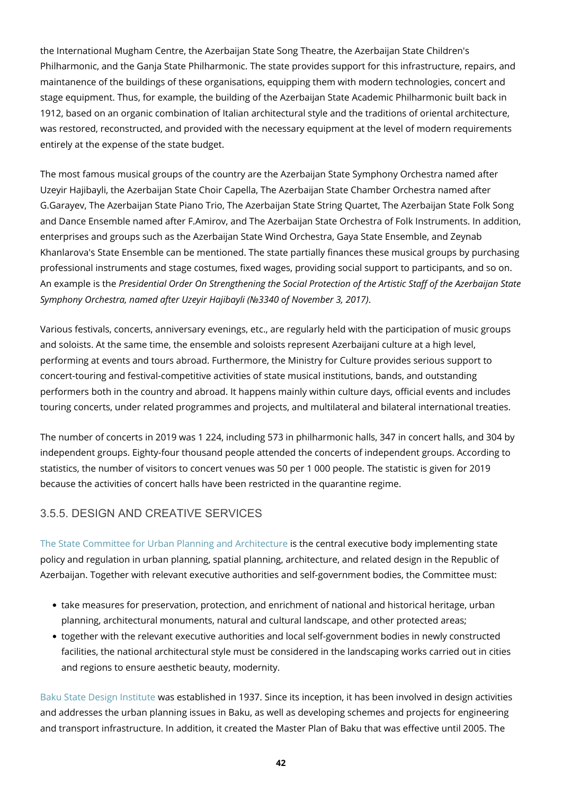the International Mugham Centre, the Azerbaijan State Song Theatre, the Azerbaijan State Children's Philharmonic, and the Ganja State Philharmonic. The state provides support for this infrastructure, repairs, and maintanence of the buildings of these organisations, equipping them with modern technologies, concert and stage equipment. Thus, for example, the building of the Azerbaijan State Academic Philharmonic built back in 1912, based on an organic combination of Italian architectural style and the traditions of oriental architecture, was restored, reconstructed, and provided with the necessary equipment at the level of modern requirements entirely at the expense of the state budget.

The most famous musical groups of the country are the Azerbaijan State Symphony Orchestra named after Uzeyir Hajibayli, the Azerbaijan State Choir Capella, The Azerbaijan State Chamber Orchestra named after G.Garayev, The Azerbaijan State Piano Trio, The Azerbaijan State String Quartet, The Azerbaijan State Folk Song and Dance Ensemble named after F.Amirov, and The Azerbaijan State Orchestra of Folk Instruments. In addition, enterprises and groups such as the Azerbaijan State Wind Orchestra, Gaya State Ensemble, and Zeynab Khanlarova's State Ensemble can be mentioned. The state partially finances these musical groups by purchasing professional instruments and stage costumes, fixed wages, providing social support to participants, and so on. An example is the *Presidential Order On Strengthening the Social Protection of the Artistic Staff of the Azerbaijan State Symphony Orchestra, named after Uzeyir Hajibayli (№3340 of November 3, 2017)*.

Various festivals, concerts, anniversary evenings, etc., are regularly held with the participation of music groups and soloists. At the same time, the ensemble and soloists represent Azerbaijani culture at a high level, performing at events and tours abroad. Furthermore, the Ministry for Culture provides serious support to concert-touring and festival-competitive activities of state musical institutions, bands, and outstanding performers both in the country and abroad. It happens mainly within culture days, official events and includes touring concerts, under related programmes and projects, and multilateral and bilateral international treaties.

The number of concerts in 2019 was 1 224, including 573 in philharmonic halls, 347 in concert halls, and 304 by independent groups. Eighty-four thousand people attended the concerts of independent groups. According to statistics, the number of visitors to concert venues was 50 per 1 000 people. The statistic is given for 2019 because the activities of concert halls have been restricted in the quarantine regime.

### 3.5.5. DESIGN AND CREATIVE SERVICES

[The State Committee for Urban Planning and Architecture](#page--1-0) is the central executive body implementing state policy and regulation in urban planning, spatial planning, architecture, and related design in the Republic of Azerbaijan. Together with relevant executive authorities and self-government bodies, the Committee must:

- take measures for preservation, protection, and enrichment of national and historical heritage, urban planning, architectural monuments, natural and cultural landscape, and other protected areas;
- together with the relevant executive authorities and local self-government bodies in newly constructed facilities, the national architectural style must be considered in the landscaping works carried out in cities and regions to ensure aesthetic beauty, modernity.

[Baku State Design Institute](https://bdli.az/en-main/) was established in 1937. Since its inception, it has been involved in design activities and addresses the urban planning issues in Baku, as well as developing schemes and projects for engineering and transport infrastructure. In addition, it created the Master Plan of Baku that was effective until 2005. The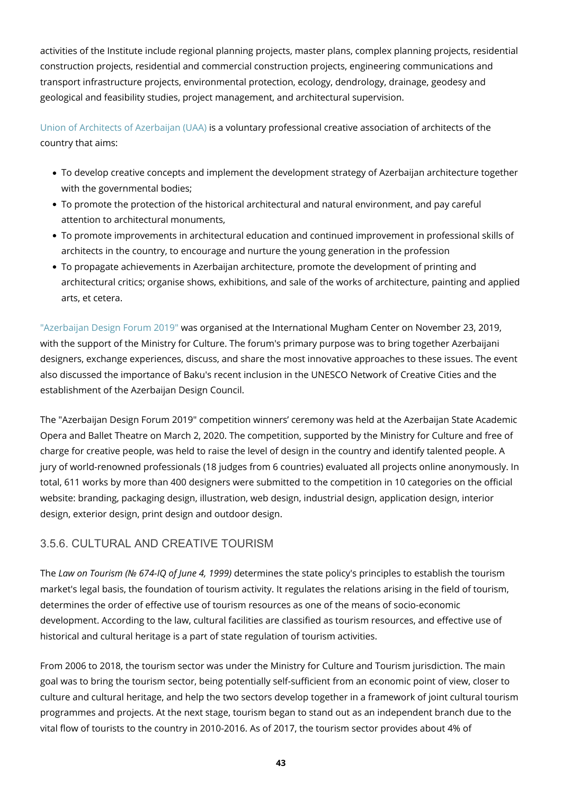activities of the Institute include regional planning projects, master plans, complex planning projects, residential construction projects, residential and commercial construction projects, engineering communications and transport infrastructure projects, environmental protection, ecology, dendrology, drainage, geodesy and geological and feasibility studies, project management, and architectural supervision.

[Union of Architects of Azerbaijan \(UAA\)](https://www.uaa.az/index.php/en/) is a voluntary professional creative association of architects of the country that aims:

- To develop creative concepts and implement the development strategy of Azerbaijan architecture together with the governmental bodies;
- To promote the protection of the historical architectural and natural environment, and pay careful attention to architectural monuments,
- To promote improvements in architectural education and continued improvement in professional skills of architects in the country, to encourage and nurture the young generation in the profession
- To propagate achievements in Azerbaijan architecture, promote the development of printing and architectural critics; organise shows, exhibitions, and sale of the works of architecture, painting and applied arts, et cetera.

["Azerbaijan Design Forum 2019"](https://creative.az/en/post/3) was organised at the International Mugham Center on November 23, 2019, with the support of the Ministry for Culture. The forum's primary purpose was to bring together Azerbaijani designers, exchange experiences, discuss, and share the most innovative approaches to these issues. The event also discussed the importance of Baku's recent inclusion in the UNESCO Network of Creative Cities and the establishment of the Azerbaijan Design Council.

The "Azerbaijan Design Forum 2019" competition winners' ceremony was held at the Azerbaijan State Academic Opera and Ballet Theatre on March 2, 2020. The competition, supported by the Ministry for Culture and free of charge for creative people, was held to raise the level of design in the country and identify talented people. A jury of world-renowned professionals (18 judges from 6 countries) evaluated all projects online anonymously. In total, 611 works by more than 400 designers were submitted to the competition in 10 categories on the official website: branding, packaging design, illustration, web design, industrial design, application design, interior design, exterior design, print design and outdoor design.

### 3.5.6. CULTURAL AND CREATIVE TOURISM

The *Law on Tourism (№ 674-IQ of June 4, 1999)* determines the state policy's principles to establish the tourism market's legal basis, the foundation of tourism activity. It regulates the relations arising in the field of tourism, determines the order of effective use of tourism resources as one of the means of socio-economic development. According to the law, cultural facilities are classified as tourism resources, and effective use of historical and cultural heritage is a part of state regulation of tourism activities.

From 2006 to 2018, the tourism sector was under the Ministry for Culture and Tourism jurisdiction. The main goal was to bring the tourism sector, being potentially self-sufficient from an economic point of view, closer to culture and cultural heritage, and help the two sectors develop together in a framework of joint cultural tourism programmes and projects. At the next stage, tourism began to stand out as an independent branch due to the vital flow of tourists to the country in 2010-2016. As of 2017, the tourism sector provides about 4% of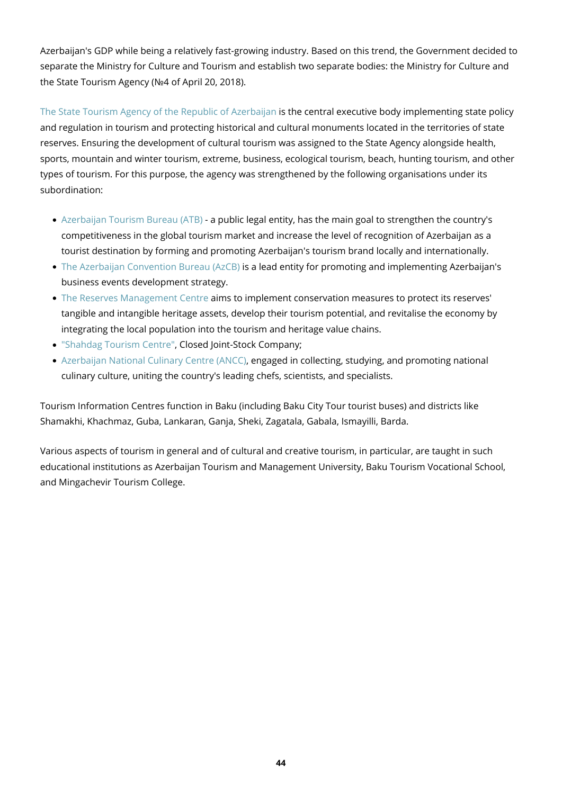Azerbaijan's GDP while being a relatively fast-growing industry. Based on this trend, the Government decided to separate the Ministry for Culture and Tourism and establish two separate bodies: the Ministry for Culture and the State Tourism Agency (№4 of April 20, 2018).

[The State Tourism Agency of the Republic of Azerbaijan](https://tourism.gov.az/) is the central executive body implementing state policy and regulation in tourism and protecting historical and cultural monuments located in the territories of state reserves. Ensuring the development of cultural tourism was assigned to the State Agency alongside health, sports, mountain and winter tourism, extreme, business, ecological tourism, beach, hunting tourism, and other types of tourism. For this purpose, the agency was strengthened by the following organisations under its subordination:

- [Azerbaijan Tourism Bureau \(ATB\)](https://www.tourismboard.az/)  a public legal entity, has the main goal to strengthen the country's competitiveness in the global tourism market and increase the level of recognition of Azerbaijan as a tourist destination by forming and promoting Azerbaijan's tourism brand locally and internationally.
- [The Azerbaijan Convention Bureau \(AzCB\)](https://www.tourismboard.az/page/70-mice-about) is a lead entity for promoting and implementing Azerbaijan's business events development strategy.
- [The Reserves Management Centre](https://www.heritage.org.az/en) aims to implement conservation measures to protect its reserves' tangible and intangible heritage assets, develop their tourism potential, and revitalise the economy by integrating the local population into the tourism and heritage value chains.
- ["Shahdag Tourism Centre"](https://www.shahdag.az/en), Closed Joint-Stock Company;
- [Azerbaijan National Culinary Centre \(ANCC\),](https://kulina.az/) engaged in collecting, studying, and promoting national culinary culture, uniting the country's leading chefs, scientists, and specialists.

Tourism Information Centres function in Baku (including Baku City Tour tourist buses) and districts like Shamakhi, Khachmaz, Guba, Lankaran, Ganja, Sheki, Zagatala, Gabala, Ismayilli, Barda.

Various aspects of tourism in general and of cultural and creative tourism, in particular, are taught in such educational institutions as Azerbaijan Tourism and Management University, Baku Tourism Vocational School, and Mingachevir Tourism College.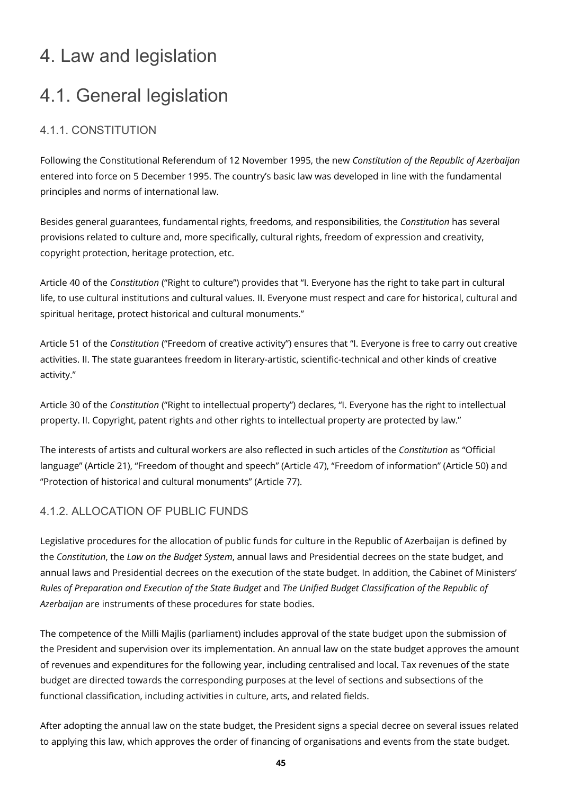# 4. Law and legislation

# 4.1. General legislation

### 4.1.1. CONSTITUTION

Following the Constitutional Referendum of 12 November 1995, the new *Constitution of the Republic of Azerbaijan* entered into force on 5 December 1995. The country's basic law was developed in line with the fundamental principles and norms of international law.

Besides general guarantees, fundamental rights, freedoms, and responsibilities, the *Constitution* has several provisions related to culture and, more specifically, cultural rights, freedom of expression and creativity, copyright protection, heritage protection, etc.

Article 40 of the *Constitution* ("Right to culture") provides that "I. Everyone has the right to take part in cultural life, to use cultural institutions and cultural values. II. Everyone must respect and care for historical, cultural and spiritual heritage, protect historical and cultural monuments."

Article 51 of the *Constitution* ("Freedom of creative activity") ensures that "I. Everyone is free to carry out creative activities. II. The state guarantees freedom in literary-artistic, scientific-technical and other kinds of creative activity."

Article 30 of the *Constitution* ("Right to intellectual property") declares, "I. Everyone has the right to intellectual property. II. Copyright, patent rights and other rights to intellectual property are protected by law."

The interests of artists and cultural workers are also reflected in such articles of the *Constitution* as "Official language" (Article 21), "Freedom of thought and speech" (Article 47), "Freedom of information" (Article 50) and "Protection of historical and cultural monuments" (Article 77).

### 4.1.2. ALLOCATION OF PUBLIC FUNDS

Legislative procedures for the allocation of public funds for culture in the Republic of Azerbaijan is defined by the *Constitution*, the *Law on the Budget System*, annual laws and Presidential decrees on the state budget, and annual laws and Presidential decrees on the execution of the state budget. In addition, the Cabinet of Ministers' *Rules of Preparation and Execution of the State Budget* and *The Unified Budget Classification of the Republic of Azerbaijan* are instruments of these procedures for state bodies.

The competence of the Milli Majlis (parliament) includes approval of the state budget upon the submission of the President and supervision over its implementation. An annual law on the state budget approves the amount of revenues and expenditures for the following year, including centralised and local. Tax revenues of the state budget are directed towards the corresponding purposes at the level of sections and subsections of the functional classification, including activities in culture, arts, and related fields.

After adopting the annual law on the state budget, the President signs a special decree on several issues related to applying this law, which approves the order of financing of organisations and events from the state budget.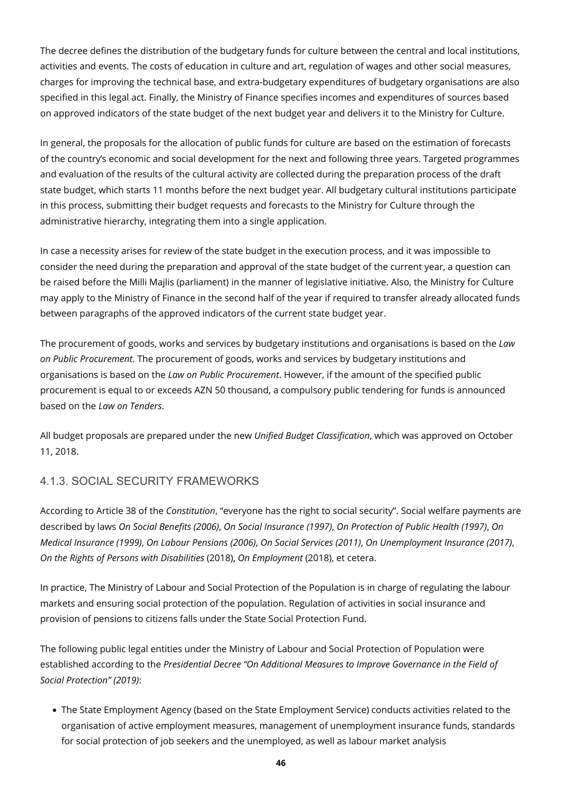The decree defines the distribution of the budgetary funds for culture between the central and local institutions, activities and events. The costs of education in culture and art, regulation of wages and other social measures, charges for improving the technical base, and extra-budgetary expenditures of budgetary organisations are also specified in this legal act. Finally, the Ministry of Finance specifies incomes and expenditures of sources based on approved indicators of the state budget of the next budget year and delivers it to the Ministry for Culture.

In general, the proposals for the allocation of public funds for culture are based on the estimation of forecasts of the country's economic and social development for the next and following three years. Targeted programmes and evaluation of the results of the cultural activity are collected during the preparation process of the draft state budget, which starts 11 months before the next budget year. All budgetary cultural institutions participate in this process, submitting their budget requests and forecasts to the Ministry for Culture through the administrative hierarchy, integrating them into a single application.

In case a necessity arises for review of the state budget in the execution process, and it was impossible to consider the need during the preparation and approval of the state budget of the current year, a question can be raised before the Milli Majlis (parliament) in the manner of legislative initiative. Also, the Ministry for Culture may apply to the Ministry of Finance in the second half of the year if required to transfer already allocated funds between paragraphs of the approved indicators of the current state budget year.

The procurement of goods, works and services by budgetary institutions and organisations is based on the *Law on Public Procurement*. The procurement of goods, works and services by budgetary institutions and organisations is based on the *Law on Public Procurement*. However, if the amount of the specified public procurement is equal to or exceeds AZN 50 thousand, a compulsory public tendering for funds is announced based on the *Law on Tenders*.

All budget proposals are prepared under the new *Unified Budget Classification*, which was approved on October 11, 2018.

### 4.1.3. SOCIAL SECURITY FRAMEWORKS

According to Article 38 of the *Constitution*, "everyone has the right to social security". Social welfare payments are described by laws *On Social Benefits (2006)*, *On Social Insurance (1997)*, *On Protection of Public Health (1997)*, *On Medical Insurance (1999)*, *On Labour Pensions (2006)*, *On Social Services (2011)*, *On Unemployment Insurance (2017)*, *On the Rights of Persons with Disabilities* (2018), *On Employment* (2018), et cetera.

In practice, The Ministry of Labour and Social Protection of the Population is in charge of regulating the labour markets and ensuring social protection of the population. Regulation of activities in social insurance and provision of pensions to citizens falls under the State Social Protection Fund.

The following public legal entities under the Ministry of Labour and Social Protection of Population were established according to the *Presidential Decree "On Additional Measures to Improve Governance in the Field of Social Protection" (2019)*:

The State Employment Agency (based on the State Employment Service) conducts activities related to the organisation of active employment measures, management of unemployment insurance funds, standards for social protection of job seekers and the unemployed, as well as labour market analysis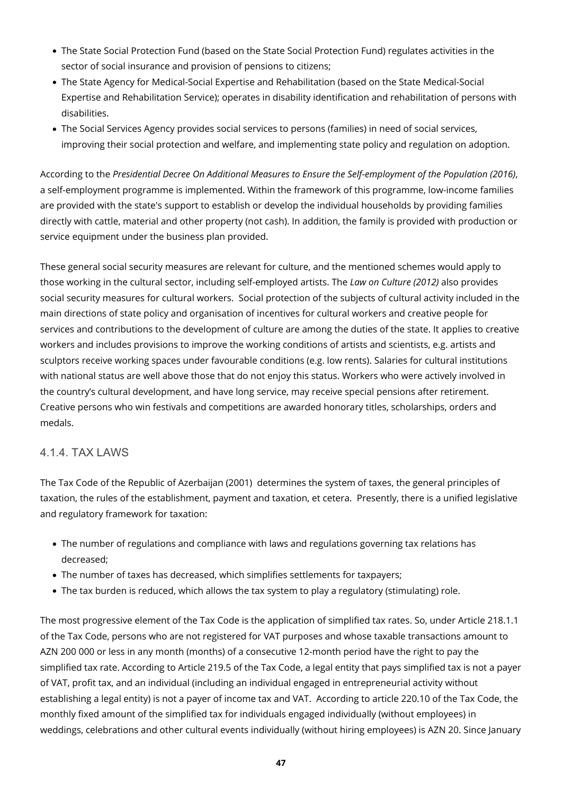- The State Social Protection Fund (based on the State Social Protection Fund) regulates activities in the sector of social insurance and provision of pensions to citizens;
- The State Agency for Medical-Social Expertise and Rehabilitation (based on the State Medical-Social Expertise and Rehabilitation Service); operates in disability identification and rehabilitation of persons with disabilities.
- The Social Services Agency provides social services to persons (families) in need of social services, improving their social protection and welfare, and implementing state policy and regulation on adoption.

According to the *Presidential Decree On Additional Measures to Ensure the Self-employment of the Population (2016)*, a self-employment programme is implemented. Within the framework of this programme, low-income families are provided with the state's support to establish or develop the individual households by providing families directly with cattle, material and other property (not cash). In addition, the family is provided with production or service equipment under the business plan provided.

These general social security measures are relevant for culture, and the mentioned schemes would apply to those working in the cultural sector, including self-employed artists. The *Law on Culture (2012)* also provides social security measures for cultural workers. Social protection of the subjects of cultural activity included in the main directions of state policy and organisation of incentives for cultural workers and creative people for services and contributions to the development of culture are among the duties of the state. It applies to creative workers and includes provisions to improve the working conditions of artists and scientists, e.g. artists and sculptors receive working spaces under favourable conditions (e.g. low rents). Salaries for cultural institutions with national status are well above those that do not enjoy this status. Workers who were actively involved in the country's cultural development, and have long service, may receive special pensions after retirement. Creative persons who win festivals and competitions are awarded honorary titles, scholarships, orders and medals.

#### 4.1.4. TAX LAWS

The Tax Code of the Republic of Azerbaijan (2001) determines the system of taxes, the general principles of taxation, the rules of the establishment, payment and taxation, et cetera. Presently, there is a unified legislative and regulatory framework for taxation:

- The number of regulations and compliance with laws and regulations governing tax relations has decreased;
- The number of taxes has decreased, which simplifies settlements for taxpayers;
- The tax burden is reduced, which allows the tax system to play a regulatory (stimulating) role.

The most progressive element of the Tax Code is the application of simplified tax rates. So, under Article 218.1.1 of the Tax Code, persons who are not registered for VAT purposes and whose taxable transactions amount to AZN 200 000 or less in any month (months) of a consecutive 12-month period have the right to pay the simplified tax rate. According to Article 219.5 of the Tax Code, a legal entity that pays simplified tax is not a payer of VAT, profit tax, and an individual (including an individual engaged in entrepreneurial activity without establishing a legal entity) is not a payer of income tax and VAT. According to article 220.10 of the Tax Code, the monthly fixed amount of the simplified tax for individuals engaged individually (without employees) in weddings, celebrations and other cultural events individually (without hiring employees) is AZN 20. Since January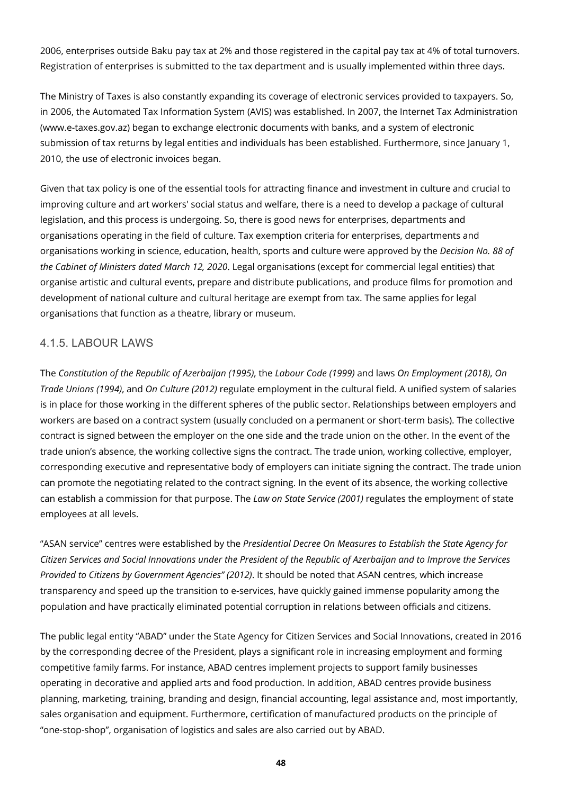2006, enterprises outside Baku pay tax at 2% and those registered in the capital pay tax at 4% of total turnovers. Registration of enterprises is submitted to the tax department and is usually implemented within three days.

The Ministry of Taxes is also constantly expanding its coverage of electronic services provided to taxpayers. So, in 2006, the Automated Tax Information System (AVIS) was established. In 2007, the Internet Tax Administration (www.e-taxes.gov.az) began to exchange electronic documents with banks, and a system of electronic submission of tax returns by legal entities and individuals has been established. Furthermore, since January 1, 2010, the use of electronic invoices began.

Given that tax policy is one of the essential tools for attracting finance and investment in culture and crucial to improving culture and art workers' social status and welfare, there is a need to develop a package of cultural legislation, and this process is undergoing. So, there is good news for enterprises, departments and organisations operating in the field of culture. Tax exemption criteria for enterprises, departments and organisations working in science, education, health, sports and culture were approved by the *Decision No. 88 of the Cabinet of Ministers dated March 12, 2020*. Legal organisations (except for commercial legal entities) that organise artistic and cultural events, prepare and distribute publications, and produce films for promotion and development of national culture and cultural heritage are exempt from tax. The same applies for legal organisations that function as a theatre, library or museum.

#### 4.1.5. LABOUR LAWS

The *Constitution of the Republic of Azerbaijan (1995)*, the *Labour Code (1999)* and laws *On Employment (2018)*, *On Trade Unions (1994)*, and *On Culture (2012)* regulate employment in the cultural field. A unified system of salaries is in place for those working in the different spheres of the public sector. Relationships between employers and workers are based on a contract system (usually concluded on a permanent or short-term basis). The collective contract is signed between the employer on the one side and the trade union on the other. In the event of the trade union's absence, the working collective signs the contract. The trade union, working collective, employer, corresponding executive and representative body of employers can initiate signing the contract. The trade union can promote the negotiating related to the contract signing. In the event of its absence, the working collective can establish a commission for that purpose. The *Law on State Service (2001)* regulates the employment of state employees at all levels.

"ASAN service" centres were established by the *Presidential Decree On Measures to Establish the State Agency for Citizen Services and Social Innovations under the President of the Republic of Azerbaijan and to Improve the Services Provided to Citizens by Government Agencies" (2012)*. It should be noted that ASAN centres, which increase transparency and speed up the transition to e-services, have quickly gained immense popularity among the population and have practically eliminated potential corruption in relations between officials and citizens.

The public legal entity "ABAD" under the State Agency for Citizen Services and Social Innovations, created in 2016 by the corresponding decree of the President, plays a significant role in increasing employment and forming competitive family farms. For instance, ABAD centres implement projects to support family businesses operating in decorative and applied arts and food production. In addition, ABAD centres provide business planning, marketing, training, branding and design, financial accounting, legal assistance and, most importantly, sales organisation and equipment. Furthermore, certification of manufactured products on the principle of "one-stop-shop", organisation of logistics and sales are also carried out by ABAD.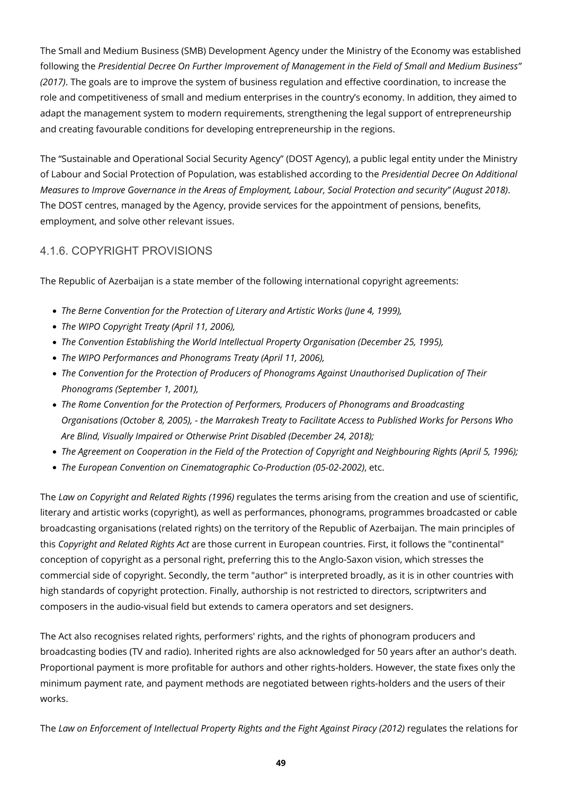The Small and Medium Business (SMB) Development Agency under the Ministry of the Economy was established following the *Presidential Decree On Further Improvement of Management in the Field of Small and Medium Business" (2017)*. The goals are to improve the system of business regulation and effective coordination, to increase the role and competitiveness of small and medium enterprises in the country's economy. In addition, they aimed to adapt the management system to modern requirements, strengthening the legal support of entrepreneurship and creating favourable conditions for developing entrepreneurship in the regions.

The "Sustainable and Operational Social Security Agency" (DOST Agency), a public legal entity under the Ministry of Labour and Social Protection of Population, was established according to the *Presidential Decree On Additional Measures to Improve Governance in the Areas of Employment, Labour, Social Protection and security" (August 2018)*. The DOST centres, managed by the Agency, provide services for the appointment of pensions, benefits, employment, and solve other relevant issues.

### 4.1.6. COPYRIGHT PROVISIONS

The Republic of Azerbaijan is a state member of the following international copyright agreements:

- *The Berne Convention for the Protection of Literary and Artistic Works (June 4, 1999),*
- *The WIPO Copyright Treaty (April 11, 2006),*
- *The Convention Establishing the World Intellectual Property Organisation (December 25, 1995),*
- *The WIPO Performances and Phonograms Treaty (April 11, 2006),*
- *The Convention for the Protection of Producers of Phonograms Against Unauthorised Duplication of Their Phonograms (September 1, 2001),*
- *The Rome Convention for the Protection of Performers, Producers of Phonograms and Broadcasting Organisations (October 8, 2005), - the Marrakesh Treaty to Facilitate Access to Published Works for Persons Who Are Blind, Visually Impaired or Otherwise Print Disabled (December 24, 2018);*
- The Agreement on Cooperation in the Field of the Protection of Copyright and Neighbouring Rights (April 5, 1996);
- *The European Convention on Cinematographic Co-Production (05-02-2002)*, etc.

The *Law on Copyright and Related Rights (1996)* regulates the terms arising from the creation and use of scientific, literary and artistic works (copyright), as well as performances, phonograms, programmes broadcasted or cable broadcasting organisations (related rights) on the territory of the Republic of Azerbaijan. The main principles of this *Copyright and Related Rights Act* are those current in European countries. First, it follows the "continental" conception of copyright as a personal right, preferring this to the Anglo-Saxon vision, which stresses the commercial side of copyright. Secondly, the term "author" is interpreted broadly, as it is in other countries with high standards of copyright protection. Finally, authorship is not restricted to directors, scriptwriters and composers in the audio-visual field but extends to camera operators and set designers.

The Act also recognises related rights, performers' rights, and the rights of phonogram producers and broadcasting bodies (TV and radio). Inherited rights are also acknowledged for 50 years after an author's death. Proportional payment is more profitable for authors and other rights-holders. However, the state fixes only the minimum payment rate, and payment methods are negotiated between rights-holders and the users of their works.

The *Law on Enforcement of Intellectual Property Rights and the Fight Against Piracy (2012)* regulates the relations for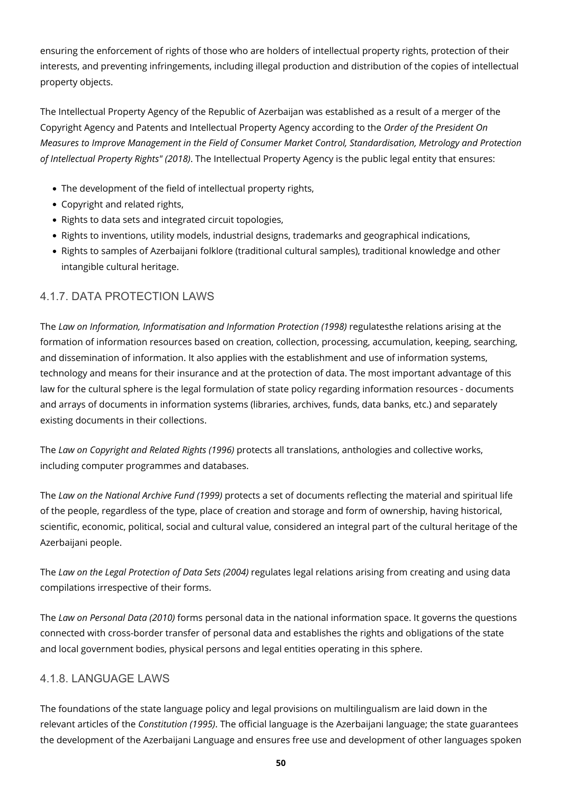ensuring the enforcement of rights of those who are holders of intellectual property rights, protection of their interests, and preventing infringements, including illegal production and distribution of the copies of intellectual property objects.

The Intellectual Property Agency of the Republic of Azerbaijan was established as a result of a merger of the Copyright Agency and Patents and Intellectual Property Agency according to the *Order of the President On Measures to Improve Management in the Field of Consumer Market Control, Standardisation, Metrology and Protection of Intellectual Property Rights" (2018)*. The Intellectual Property Agency is the public legal entity that ensures:

- The development of the field of intellectual property rights,
- Copyright and related rights,
- Rights to data sets and integrated circuit topologies,
- Rights to inventions, utility models, industrial designs, trademarks and geographical indications,
- Rights to samples of Azerbaijani folklore (traditional cultural samples), traditional knowledge and other intangible cultural heritage.

### 4.1.7. DATA PROTECTION LAWS

The *Law on Information, Informatisation and Information Protection (1998)* regulatesthe relations arising at the formation of information resources based on creation, collection, processing, accumulation, keeping, searching, and dissemination of information. It also applies with the establishment and use of information systems, technology and means for their insurance and at the protection of data. The most important advantage of this law for the cultural sphere is the legal formulation of state policy regarding information resources - documents and arrays of documents in information systems (libraries, archives, funds, data banks, etc.) and separately existing documents in their collections.

The *Law on Copyright and Related Rights (1996)* protects all translations, anthologies and collective works, including computer programmes and databases.

The *Law on the National Archive Fund (1999)* protects a set of documents reflecting the material and spiritual life of the people, regardless of the type, place of creation and storage and form of ownership, having historical, scientific, economic, political, social and cultural value, considered an integral part of the cultural heritage of the Azerbaijani people.

The *Law on the Legal Protection of Data Sets (2004)* regulates legal relations arising from creating and using data compilations irrespective of their forms.

The *Law on Personal Data (2010)* forms personal data in the national information space. It governs the questions connected with cross-border transfer of personal data and establishes the rights and obligations of the state and local government bodies, physical persons and legal entities operating in this sphere.

### 4.1.8. LANGUAGE LAWS

The foundations of the state language policy and legal provisions on multilingualism are laid down in the relevant articles of the *Constitution (1995)*. The official language is the Azerbaijani language; the state guarantees the development of the Azerbaijani Language and ensures free use and development of other languages spoken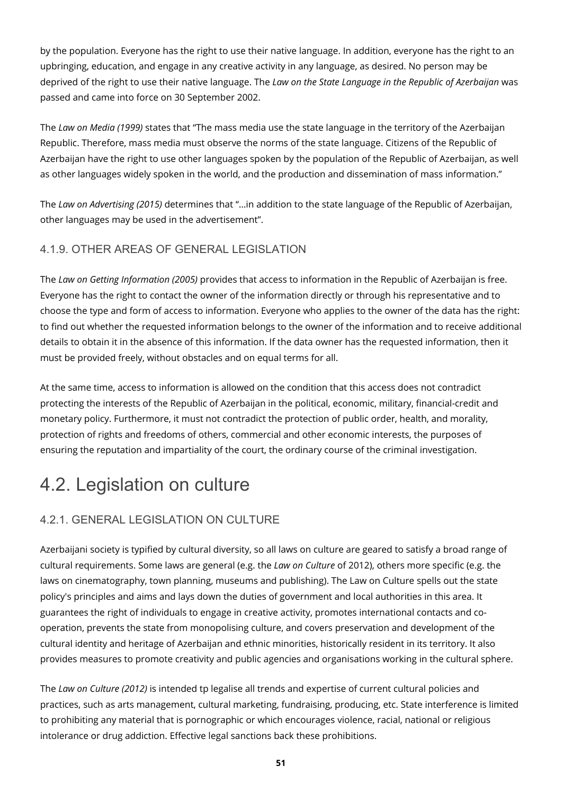by the population. Everyone has the right to use their native language. In addition, everyone has the right to an upbringing, education, and engage in any creative activity in any language, as desired. No person may be deprived of the right to use their native language. The *Law on the State Language in the Republic of Azerbaijan* was passed and came into force on 30 September 2002.

The *Law on Media (1999)* states that "The mass media use the state language in the territory of the Azerbaijan Republic. Therefore, mass media must observe the norms of the state language. Citizens of the Republic of Azerbaijan have the right to use other languages spoken by the population of the Republic of Azerbaijan, as well as other languages widely spoken in the world, and the production and dissemination of mass information."

The *Law on Advertising (2015)* determines that "…in addition to the state language of the Republic of Azerbaijan, other languages may be used in the advertisement".

### 4.1.9. OTHER AREAS OF GENERAL LEGISLATION

The *Law on Getting Information (2005)* provides that access to information in the Republic of Azerbaijan is free. Everyone has the right to contact the owner of the information directly or through his representative and to choose the type and form of access to information. Everyone who applies to the owner of the data has the right: to find out whether the requested information belongs to the owner of the information and to receive additional details to obtain it in the absence of this information. If the data owner has the requested information, then it must be provided freely, without obstacles and on equal terms for all.

At the same time, access to information is allowed on the condition that this access does not contradict protecting the interests of the Republic of Azerbaijan in the political, economic, military, financial-credit and monetary policy. Furthermore, it must not contradict the protection of public order, health, and morality, protection of rights and freedoms of others, commercial and other economic interests, the purposes of ensuring the reputation and impartiality of the court, the ordinary course of the criminal investigation.

# 4.2. Legislation on culture

### 4.2.1. GENERAL LEGISLATION ON CULTURE

Azerbaijani society is typified by cultural diversity, so all laws on culture are geared to satisfy a broad range of cultural requirements. Some laws are general (e.g. the *Law on Culture* of 2012), others more specific (e.g. the laws on cinematography, town planning, museums and publishing). The Law on Culture spells out the state policy's principles and aims and lays down the duties of government and local authorities in this area. It guarantees the right of individuals to engage in creative activity, promotes international contacts and cooperation, prevents the state from monopolising culture, and covers preservation and development of the cultural identity and heritage of Azerbaijan and ethnic minorities, historically resident in its territory. It also provides measures to promote creativity and public agencies and organisations working in the cultural sphere.

The *Law on Culture (2012)* is intended tp legalise all trends and expertise of current cultural policies and practices, such as arts management, cultural marketing, fundraising, producing, etc. State interference is limited to prohibiting any material that is pornographic or which encourages violence, racial, national or religious intolerance or drug addiction. Effective legal sanctions back these prohibitions.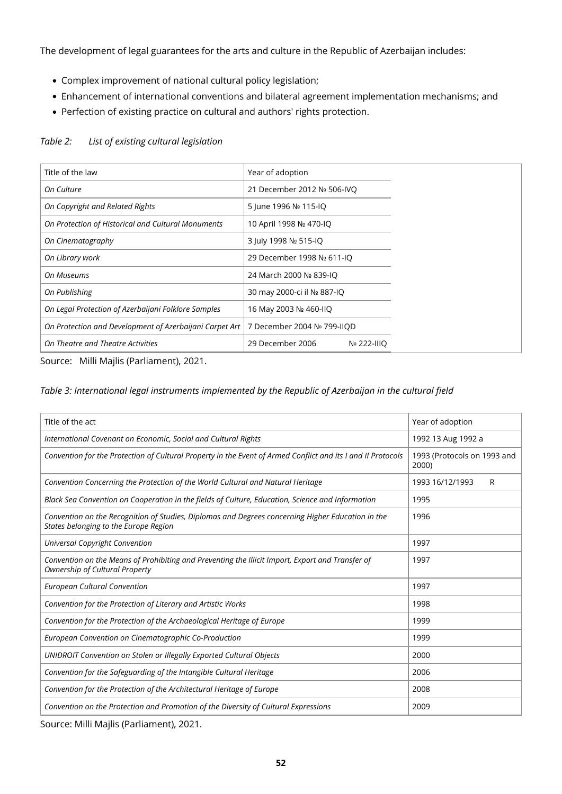The development of legal guarantees for the arts and culture in the Republic of Azerbaijan includes:

- Complex improvement of national cultural policy legislation;
- Enhancement of international conventions and bilateral agreement implementation mechanisms; and
- Perfection of existing practice on cultural and authors' rights protection.

| Title of the law                                        |                                 |  |  |
|---------------------------------------------------------|---------------------------------|--|--|
|                                                         | Year of adoption                |  |  |
| On Culture                                              | 21 December 2012 Nº 506-IVO     |  |  |
| On Copyright and Related Rights                         | 5 June 1996 Nº 115-IQ           |  |  |
| On Protection of Historical and Cultural Monuments      | 10 April 1998 Nº 470-IO         |  |  |
| On Cinematography                                       | 3 July 1998 № 515-IQ            |  |  |
| On Library work                                         | 29 December 1998 № 611-IQ       |  |  |
| On Museums                                              | 24 March 2000 № 839-IQ          |  |  |
| On Publishing                                           | 30 may 2000-ci il No 887-IQ     |  |  |
| On Legal Protection of Azerbaijani Folklore Samples     | 16 May 2003 № 460-IIO           |  |  |
| On Protection and Development of Azerbaijani Carpet Art | 7 December 2004 Nº 799-IIOD     |  |  |
| On Theatre and Theatre Activities                       | 29 December 2006<br>Nº 222-IIIO |  |  |

#### *Table 2: List of existing cultural legislation*

Source: Milli Majlis (Parliament), 2021.

#### *Table 3: International legal instruments implemented by the Republic of Azerbaijan in the cultural field*

| Year of adoption                     |  |  |
|--------------------------------------|--|--|
| 1992 13 Aug 1992 a                   |  |  |
| 1993 (Protocols on 1993 and<br>2000) |  |  |
| 1993 16/12/1993<br>R                 |  |  |
|                                      |  |  |
|                                      |  |  |
|                                      |  |  |
|                                      |  |  |
|                                      |  |  |
|                                      |  |  |
|                                      |  |  |
|                                      |  |  |
|                                      |  |  |
|                                      |  |  |
|                                      |  |  |
|                                      |  |  |
|                                      |  |  |

Source: Milli Majlis (Parliament), 2021.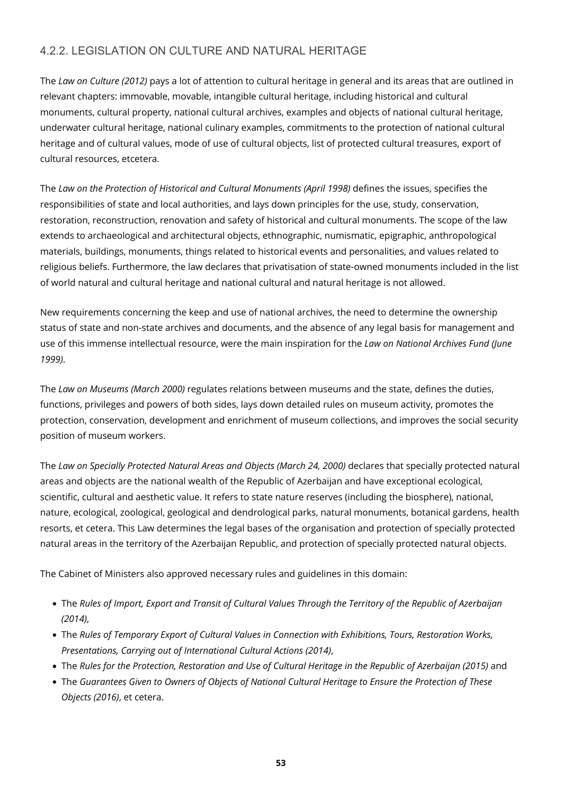### 4.2.2. LEGISLATION ON CULTURE AND NATURAL HERITAGE

The *Law on Culture (2012)* pays a lot of attention to cultural heritage in general and its areas that are outlined in relevant chapters: immovable, movable, intangible cultural heritage, including historical and cultural monuments, cultural property, national cultural archives, examples and objects of national cultural heritage, underwater cultural heritage, national culinary examples, commitments to the protection of national cultural heritage and of cultural values, mode of use of cultural objects, list of protected cultural treasures, export of cultural resources, etcetera.

The *Law on the Protection of Historical and Cultural Monuments (April 1998)* defines the issues, specifies the responsibilities of state and local authorities, and lays down principles for the use, study, conservation, restoration, reconstruction, renovation and safety of historical and cultural monuments. The scope of the law extends to archaeological and architectural objects, ethnographic, numismatic, epigraphic, anthropological materials, buildings, monuments, things related to historical events and personalities, and values related to religious beliefs. Furthermore, the law declares that privatisation of state-owned monuments included in the list of world natural and cultural heritage and national cultural and natural heritage is not allowed.

New requirements concerning the keep and use of national archives, the need to determine the ownership status of state and non-state archives and documents, and the absence of any legal basis for management and use of this immense intellectual resource, were the main inspiration for the *Law on National Archives Fund (June 1999)*.

The *Law on Museums (March 2000)* regulates relations between museums and the state, defines the duties, functions, privileges and powers of both sides, lays down detailed rules on museum activity, promotes the protection, conservation, development and enrichment of museum collections, and improves the social security position of museum workers.

The *Law on Specially Protected Natural Areas and Objects (March 24, 2000)* declares that specially protected natural areas and objects are the national wealth of the Republic of Azerbaijan and have exceptional ecological, scientific, cultural and aesthetic value. It refers to state nature reserves (including the biosphere), national, nature, ecological, zoological, geological and dendrological parks, natural monuments, botanical gardens, health resorts, et cetera. This Law determines the legal bases of the organisation and protection of specially protected natural areas in the territory of the Azerbaijan Republic, and protection of specially protected natural objects.

The Cabinet of Ministers also approved necessary rules and guidelines in this domain:

- The *Rules of Import, Export and Transit of Cultural Values Through the Territory of the Republic of Azerbaijan (2014)*,
- The *Rules of Temporary Export of Cultural Values in Connection with Exhibitions, Tours, Restoration Works, Presentations, Carrying out of International Cultural Actions (2014)*,
- The *Rules for the Protection, Restoration and Use of Cultural Heritage in the Republic of Azerbaijan (2015)* and
- The *Guarantees Given to Owners of Objects of National Cultural Heritage to Ensure the Protection of These Objects (2016)*, et cetera.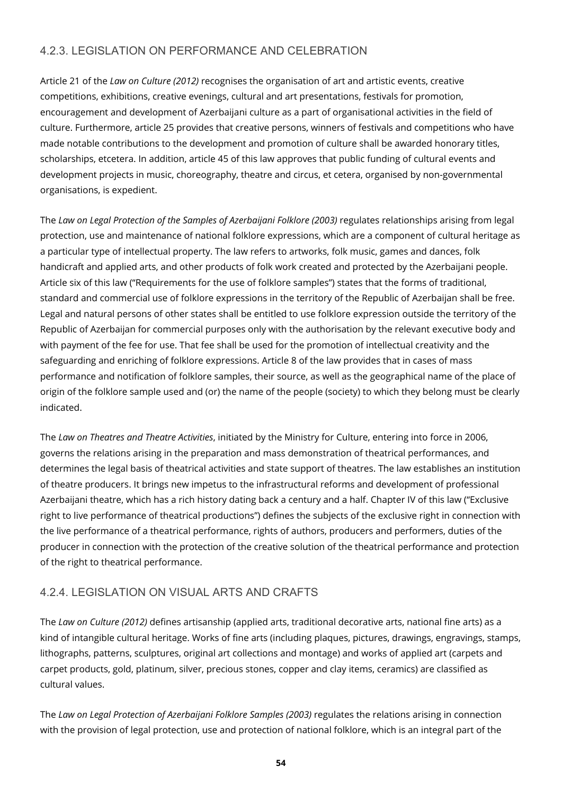### 4.2.3. LEGISLATION ON PERFORMANCE AND CELEBRATION

Article 21 of the *Law on Culture (2012)* recognises the organisation of art and artistic events, creative competitions, exhibitions, creative evenings, cultural and art presentations, festivals for promotion, encouragement and development of Azerbaijani culture as a part of organisational activities in the field of culture. Furthermore, article 25 provides that creative persons, winners of festivals and competitions who have made notable contributions to the development and promotion of culture shall be awarded honorary titles, scholarships, etcetera. In addition, article 45 of this law approves that public funding of cultural events and development projects in music, choreography, theatre and circus, et cetera, organised by non-governmental organisations, is expedient.

The *Law on Legal Protection of the Samples of Azerbaijani Folklore (2003)* regulates relationships arising from legal protection, use and maintenance of national folklore expressions, which are a component of cultural heritage as a particular type of intellectual property. The law refers to artworks, folk music, games and dances, folk handicraft and applied arts, and other products of folk work created and protected by the Azerbaijani people. Article six of this law ("Requirements for the use of folklore samples") states that the forms of traditional, standard and commercial use of folklore expressions in the territory of the Republic of Azerbaijan shall be free. Legal and natural persons of other states shall be entitled to use folklore expression outside the territory of the Republic of Azerbaijan for commercial purposes only with the authorisation by the relevant executive body and with payment of the fee for use. That fee shall be used for the promotion of intellectual creativity and the safeguarding and enriching of folklore expressions. Article 8 of the law provides that in cases of mass performance and notification of folklore samples, their source, as well as the geographical name of the place of origin of the folklore sample used and (or) the name of the people (society) to which they belong must be clearly indicated.

The *Law on Theatres and Theatre Activities*, initiated by the Ministry for Culture, entering into force in 2006, governs the relations arising in the preparation and mass demonstration of theatrical performances, and determines the legal basis of theatrical activities and state support of theatres. The law establishes an institution of theatre producers. It brings new impetus to the infrastructural reforms and development of professional Azerbaijani theatre, which has a rich history dating back a century and a half. Chapter IV of this law ("Exclusive right to live performance of theatrical productions") defines the subjects of the exclusive right in connection with the live performance of a theatrical performance, rights of authors, producers and performers, duties of the producer in connection with the protection of the creative solution of the theatrical performance and protection of the right to theatrical performance.

#### 4.2.4. LEGISLATION ON VISUAL ARTS AND CRAFTS

The *Law on Culture (2012)* defines artisanship (applied arts, traditional decorative arts, national fine arts) as a kind of intangible cultural heritage. Works of fine arts (including plaques, pictures, drawings, engravings, stamps, lithographs, patterns, sculptures, original art collections and montage) and works of applied art (carpets and carpet products, gold, platinum, silver, precious stones, copper and clay items, ceramics) are classified as cultural values.

The *Law on Legal Protection of Azerbaijani Folklore Samples (2003)* regulates the relations arising in connection with the provision of legal protection, use and protection of national folklore, which is an integral part of the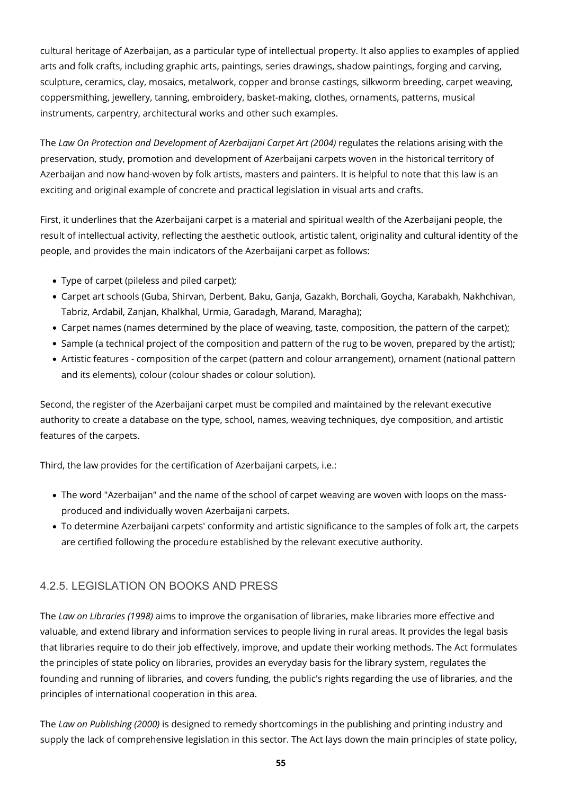cultural heritage of Azerbaijan, as a particular type of intellectual property. It also applies to examples of applied arts and folk crafts, including graphic arts, paintings, series drawings, shadow paintings, forging and carving, sculpture, ceramics, clay, mosaics, metalwork, copper and bronse castings, silkworm breeding, carpet weaving, coppersmithing, jewellery, tanning, embroidery, basket-making, clothes, ornaments, patterns, musical instruments, carpentry, architectural works and other such examples.

The *Law On Protection and Development of Azerbaijani Carpet Art (2004)* regulates the relations arising with the preservation, study, promotion and development of Azerbaijani carpets woven in the historical territory of Azerbaijan and now hand-woven by folk artists, masters and painters. It is helpful to note that this law is an exciting and original example of concrete and practical legislation in visual arts and crafts.

First, it underlines that the Azerbaijani carpet is a material and spiritual wealth of the Azerbaijani people, the result of intellectual activity, reflecting the aesthetic outlook, artistic talent, originality and cultural identity of the people, and provides the main indicators of the Azerbaijani carpet as follows:

- Type of carpet (pileless and piled carpet);
- Carpet art schools (Guba, Shirvan, Derbent, Baku, Ganja, Gazakh, Borchali, Goycha, Karabakh, Nakhchivan, Tabriz, Ardabil, Zanjan, Khalkhal, Urmia, Garadagh, Marand, Maragha);
- Carpet names (names determined by the place of weaving, taste, composition, the pattern of the carpet);
- Sample (a technical project of the composition and pattern of the rug to be woven, prepared by the artist);
- Artistic features composition of the carpet (pattern and colour arrangement), ornament (national pattern and its elements), colour (colour shades or colour solution).

Second, the register of the Azerbaijani carpet must be compiled and maintained by the relevant executive authority to create a database on the type, school, names, weaving techniques, dye composition, and artistic features of the carpets.

Third, the law provides for the certification of Azerbaijani carpets, i.e.:

- The word "Azerbaijan" and the name of the school of carpet weaving are woven with loops on the massproduced and individually woven Azerbaijani carpets.
- To determine Azerbaijani carpets' conformity and artistic significance to the samples of folk art, the carpets are certified following the procedure established by the relevant executive authority.

### 4.2.5. LEGISLATION ON BOOKS AND PRESS

The *Law on Libraries (1998)* aims to improve the organisation of libraries, make libraries more effective and valuable, and extend library and information services to people living in rural areas. It provides the legal basis that libraries require to do their job effectively, improve, and update their working methods. The Act formulates the principles of state policy on libraries, provides an everyday basis for the library system, regulates the founding and running of libraries, and covers funding, the public's rights regarding the use of libraries, and the principles of international cooperation in this area.

The *Law on Publishing (2000)* is designed to remedy shortcomings in the publishing and printing industry and supply the lack of comprehensive legislation in this sector. The Act lays down the main principles of state policy,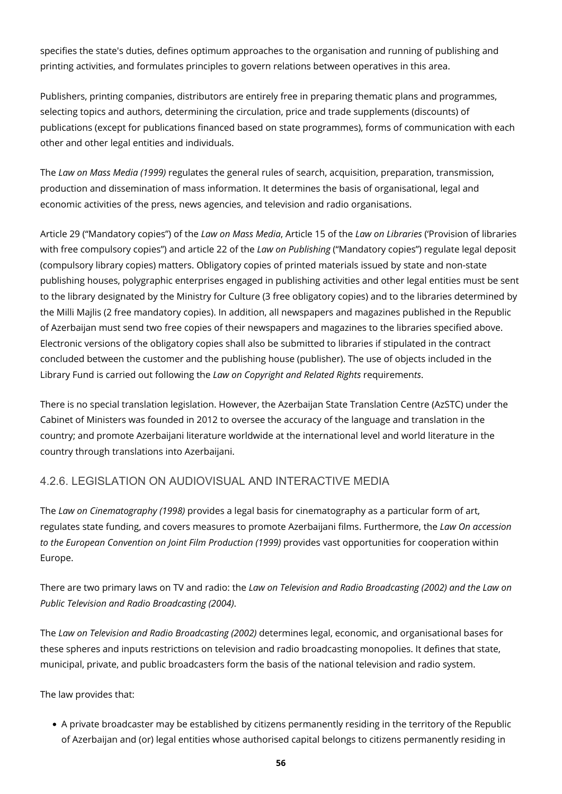specifies the state's duties, defines optimum approaches to the organisation and running of publishing and printing activities, and formulates principles to govern relations between operatives in this area.

Publishers, printing companies, distributors are entirely free in preparing thematic plans and programmes, selecting topics and authors, determining the circulation, price and trade supplements (discounts) of publications (except for publications financed based on state programmes), forms of communication with each other and other legal entities and individuals.

The *Law on Mass Media (1999)* regulates the general rules of search, acquisition, preparation, transmission, production and dissemination of mass information. It determines the basis of organisational, legal and economic activities of the press, news agencies, and television and radio organisations.

Article 29 ("Mandatory copies") of the *Law on Mass Media*, Article 15 of the *Law on Libraries* ('Provision of libraries with free compulsory copies") and article 22 of the *Law on Publishing* ("Mandatory copies") regulate legal deposit (compulsory library copies) matters. Obligatory copies of printed materials issued by state and non-state publishing houses, polygraphic enterprises engaged in publishing activities and other legal entities must be sent to the library designated by the Ministry for Culture (3 free obligatory copies) and to the libraries determined by the Milli Majlis (2 free mandatory copies). In addition, all newspapers and magazines published in the Republic of Azerbaijan must send two free copies of their newspapers and magazines to the libraries specified above. Electronic versions of the obligatory copies shall also be submitted to libraries if stipulated in the contract concluded between the customer and the publishing house (publisher). The use of objects included in the Library Fund is carried out following the *Law on Copyright and Related Rights* requiremen*ts*.

There is no special translation legislation. However, the Azerbaijan State Translation Centre (AzSTC) under the Cabinet of Ministers was founded in 2012 to oversee the accuracy of the language and translation in the country; and promote Azerbaijani literature worldwide at the international level and world literature in the country through translations into Azerbaijani.

### 4.2.6. LEGISLATION ON AUDIOVISUAL AND INTERACTIVE MEDIA

The *Law on Cinematography (1998)* provides a legal basis for cinematography as a particular form of art, regulates state funding, and covers measures to promote Azerbaijani films. Furthermore, the *Law On accession to the European Convention on Joint Film Production (1999)* provides vast opportunities for cooperation within Europe.

There are two primary laws on TV and radio: the *Law on Television and Radio Broadcasting (2002) and the Law on Public Television and Radio Broadcasting (2004)*.

The *Law on Television and Radio Broadcasting (2002)* determines legal, economic, and organisational bases for these spheres and inputs restrictions on television and radio broadcasting monopolies. It defines that state, municipal, private, and public broadcasters form the basis of the national television and radio system.

The law provides that:

A private broadcaster may be established by citizens permanently residing in the territory of the Republic of Azerbaijan and (or) legal entities whose authorised capital belongs to citizens permanently residing in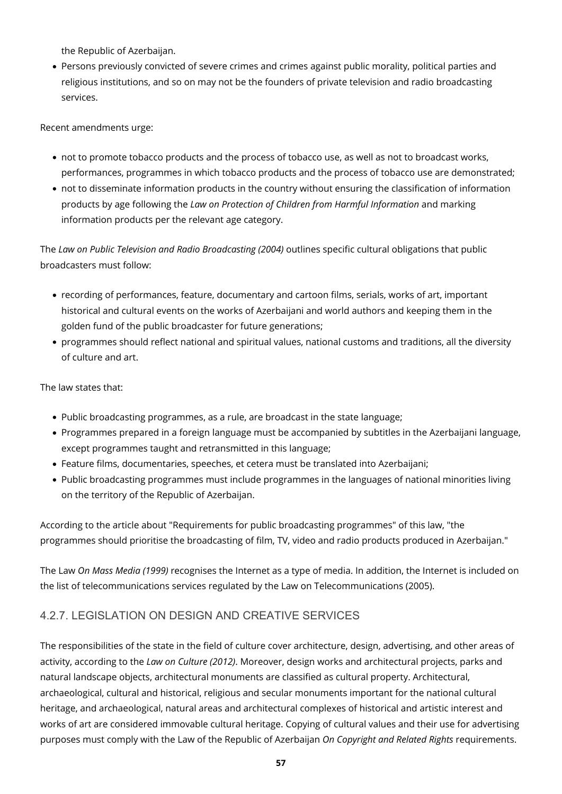the Republic of Azerbaijan.

Persons previously convicted of severe crimes and crimes against public morality, political parties and religious institutions, and so on may not be the founders of private television and radio broadcasting services.

Recent amendments urge:

- not to promote tobacco products and the process of tobacco use, as well as not to broadcast works, performances, programmes in which tobacco products and the process of tobacco use are demonstrated;
- not to disseminate information products in the country without ensuring the classification of information products by age following the *Law on Protection of Children from Harmful Information* and marking information products per the relevant age category.

The *Law on Public Television and Radio Broadcasting (2004)* outlines specific cultural obligations that public broadcasters must follow:

- recording of performances, feature, documentary and cartoon films, serials, works of art, important historical and cultural events on the works of Azerbaijani and world authors and keeping them in the golden fund of the public broadcaster for future generations;
- programmes should reflect national and spiritual values, national customs and traditions, all the diversity of culture and art.

The law states that:

- Public broadcasting programmes, as a rule, are broadcast in the state language;
- Programmes prepared in a foreign language must be accompanied by subtitles in the Azerbaijani language, except programmes taught and retransmitted in this language;
- Feature films, documentaries, speeches, et cetera must be translated into Azerbaijani;
- Public broadcasting programmes must include programmes in the languages of national minorities living on the territory of the Republic of Azerbaijan.

According to the article about "Requirements for public broadcasting programmes" of this law, "the programmes should prioritise the broadcasting of film, TV, video and radio products produced in Azerbaijan."

The Law *On Mass Media (1999)* recognises the Internet as a type of media. In addition, the Internet is included on the list of telecommunications services regulated by the Law on Telecommunications (2005).

#### 4.2.7. LEGISLATION ON DESIGN AND CREATIVE SERVICES

The responsibilities of the state in the field of culture cover architecture, design, advertising, and other areas of activity, according to the *Law on Culture (2012)*. Moreover, design works and architectural projects, parks and natural landscape objects, architectural monuments are classified as cultural property. Architectural, archaeological, cultural and historical, religious and secular monuments important for the national cultural heritage, and archaeological, natural areas and architectural complexes of historical and artistic interest and works of art are considered immovable cultural heritage. Copying of cultural values and their use for advertising purposes must comply with the Law of the Republic of Azerbaijan *On Copyright and Related Rights* requirements.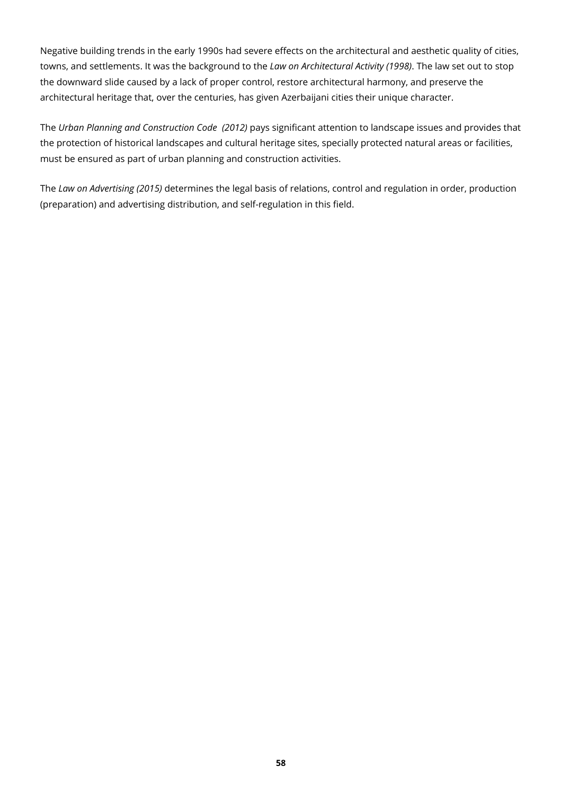Negative building trends in the early 1990s had severe effects on the architectural and aesthetic quality of cities, towns, and settlements. It was the background to the *Law on Architectural Activity (1998)*. The law set out to stop the downward slide caused by a lack of proper control, restore architectural harmony, and preserve the architectural heritage that, over the centuries, has given Azerbaijani cities their unique character.

The *Urban Planning and Construction Code (2012)* pays significant attention to landscape issues and provides that the protection of historical landscapes and cultural heritage sites, specially protected natural areas or facilities, must be ensured as part of urban planning and construction activities.

The *Law on Advertising (2015)* determines the legal basis of relations, control and regulation in order, production (preparation) and advertising distribution, and self-regulation in this field.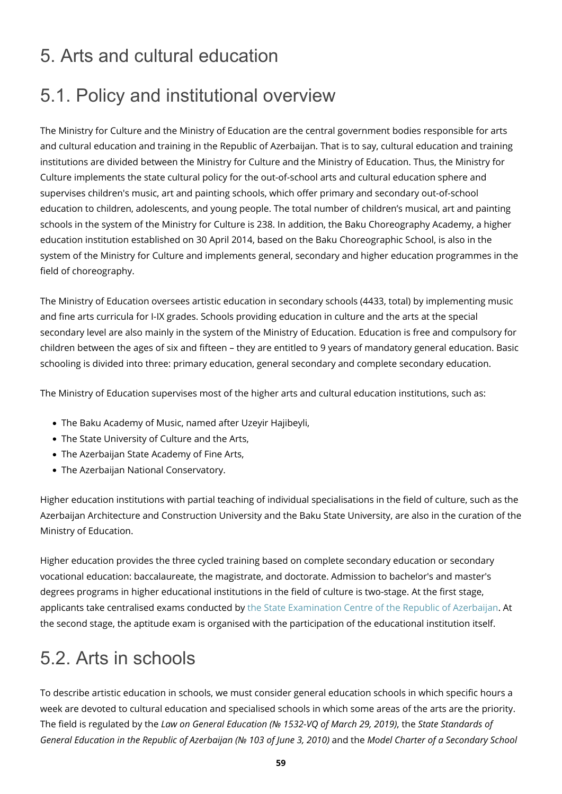### 5. Arts and cultural education

# 5.1. Policy and institutional overview

The Ministry for Culture and the Ministry of Education are the central government bodies responsible for arts and cultural education and training in the Republic of Azerbaijan. That is to say, cultural education and training institutions are divided between the Ministry for Culture and the Ministry of Education. Thus, the Ministry for Culture implements the state cultural policy for the out-of-school arts and cultural education sphere and supervises children's music, art and painting schools, which offer primary and secondary out-of-school education to children, adolescents, and young people. The total number of children's musical, art and painting schools in the system of the Ministry for Culture is 238. In addition, the Baku Choreography Academy, a higher education institution established on 30 April 2014, based on the Baku Choreographic School, is also in the system of the Ministry for Culture and implements general, secondary and higher education programmes in the field of choreography.

The Ministry of Education oversees artistic education in secondary schools (4433, total) by implementing music and fine arts curricula for I-IX grades. Schools providing education in culture and the arts at the special secondary level are also mainly in the system of the Ministry of Education. Education is free and compulsory for children between the ages of six and fifteen – they are entitled to 9 years of mandatory general education. Basic schooling is divided into three: primary education, general secondary and complete secondary education.

The Ministry of Education supervises most of the higher arts and cultural education institutions, such as:

- The Baku Academy of Music, named after Uzeyir Hajibeyli,
- The State University of Culture and the Arts,
- The Azerbaijan State Academy of Fine Arts,
- The Azerbaijan National Conservatory.

Higher education institutions with partial teaching of individual specialisations in the field of culture, such as the Azerbaijan Architecture and Construction University and the Baku State University, are also in the curation of the Ministry of Education.

Higher education provides the three cycled training based on complete secondary education or secondary vocational education: baccalaureate, the magistrate, and doctorate. Admission to bachelor's and master's degrees programs in higher educational institutions in the field of culture is two-stage. At the first stage, applicants take centralised exams conducted by [the State Examination Centre of the Republic of Azerbaijan.](http://dim.gov.az/en/center/index.php) At the second stage, the aptitude exam is organised with the participation of the educational institution itself.

# 5.2. Arts in schools

To describe artistic education in schools, we must consider general education schools in which specific hours a week are devoted to cultural education and specialised schools in which some areas of the arts are the priority. The field is regulated by the *Law on General Education (№ 1532-VQ of March 29, 2019)*, the *State Standards of General Education in the Republic of Azerbaijan (№ 103 of June 3, 2010)* and the *Model Charter of a Secondary School*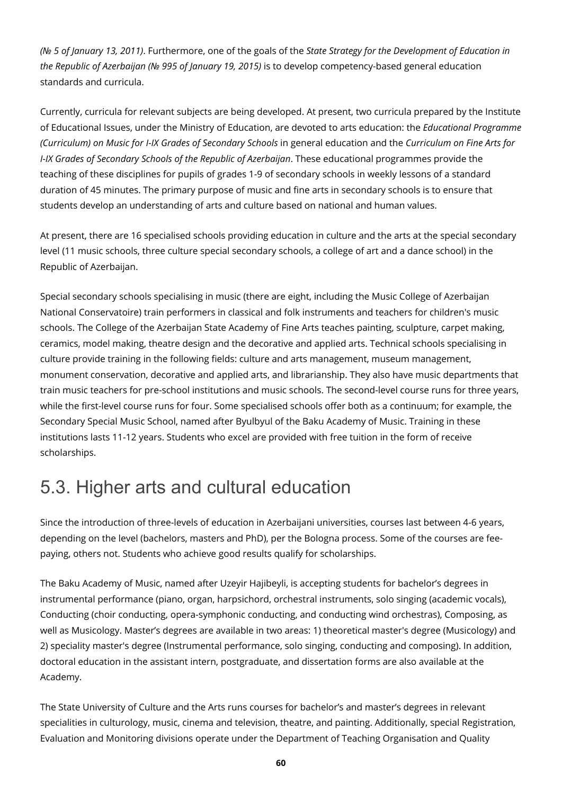*(№ 5 of January 13, 2011)*. Furthermore, one of the goals of the *State Strategy for the Development of Education in the Republic of Azerbaijan (№ 995 of January 19, 2015)* is to develop competency-based general education standards and curricula.

Currently, curricula for relevant subjects are being developed. At present, two curricula prepared by the Institute of Educational Issues, under the Ministry of Education, are devoted to arts education: the *Educational Programme (Curriculum) on Music for I-IX Grades of Secondary Schools* in general education and the *Curriculum on Fine Arts for I-IX Grades of Secondary Schools of the Republic of Azerbaijan*. These educational programmes provide the teaching of these disciplines for pupils of grades 1-9 of secondary schools in weekly lessons of a standard duration of 45 minutes. The primary purpose of music and fine arts in secondary schools is to ensure that students develop an understanding of arts and culture based on national and human values.

At present, there are 16 specialised schools providing education in culture and the arts at the special secondary level (11 music schools, three culture special secondary schools, a college of art and a dance school) in the Republic of Azerbaijan.

Special secondary schools specialising in music (there are eight, including the Music College of Azerbaijan National Conservatoire) train performers in classical and folk instruments and teachers for children's music schools. The College of the Azerbaijan State Academy of Fine Arts teaches painting, sculpture, carpet making, ceramics, model making, theatre design and the decorative and applied arts. Technical schools specialising in culture provide training in the following fields: culture and arts management, museum management, monument conservation, decorative and applied arts, and librarianship. They also have music departments that train music teachers for pre-school institutions and music schools. The second-level course runs for three years, while the first-level course runs for four. Some specialised schools offer both as a continuum; for example, the Secondary Special Music School, named after Byulbyul of the Baku Academy of Music. Training in these institutions lasts 11-12 years. Students who excel are provided with free tuition in the form of receive scholarships.

## 5.3. Higher arts and cultural education

Since the introduction of three-levels of education in Azerbaijani universities, courses last between 4-6 years, depending on the level (bachelors, masters and PhD), per the Bologna process. Some of the courses are feepaying, others not. Students who achieve good results qualify for scholarships.

The Baku Academy of Music, named after Uzeyir Hajibeyli, is accepting students for bachelor's degrees in instrumental performance (piano, organ, harpsichord, orchestral instruments, solo singing (academic vocals), Conducting (choir conducting, opera-symphonic conducting, and conducting wind orchestras), Composing, as well as Musicology. Master's degrees are available in two areas: 1) theoretical master's degree (Musicology) and 2) speciality master's degree (Instrumental performance, solo singing, conducting and composing). In addition, doctoral education in the assistant intern, postgraduate, and dissertation forms are also available at the Academy.

The State University of Culture and the Arts runs courses for bachelor's and master's degrees in relevant specialities in culturology, music, cinema and television, theatre, and painting. Additionally, special Registration, Evaluation and Monitoring divisions operate under the Department of Teaching Organisation and Quality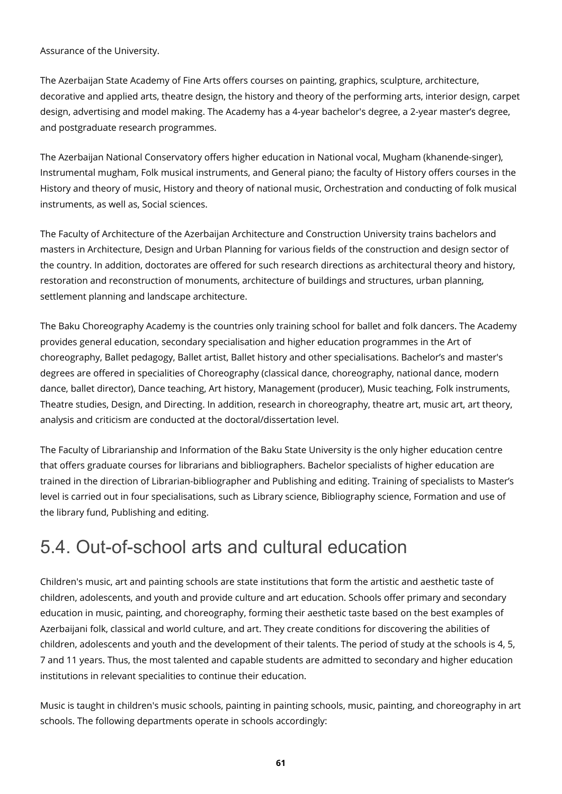Assurance of the University.

The Azerbaijan State Academy of Fine Arts offers courses on painting, graphics, sculpture, architecture, decorative and applied arts, theatre design, the history and theory of the performing arts, interior design, carpet design, advertising and model making. The Academy has a 4-year bachelor's degree, a 2-year master's degree, and postgraduate research programmes.

The Azerbaijan National Conservatory offers higher education in National vocal, Mugham (khanende-singer), Instrumental mugham, Folk musical instruments, and General piano; the faculty of History offers courses in the History and theory of music, History and theory of national music, Orchestration and conducting of folk musical instruments, as well as, Social sciences.

The Faculty of Architecture of the Azerbaijan Architecture and Construction University trains bachelors and masters in Architecture, Design and Urban Planning for various fields of the construction and design sector of the country. In addition, doctorates are offered for such research directions as architectural theory and history, restoration and reconstruction of monuments, architecture of buildings and structures, urban planning, settlement planning and landscape architecture.

The Baku Choreography Academy is the countries only training school for ballet and folk dancers. The Academy provides general education, secondary specialisation and higher education programmes in the Art of choreography, Ballet pedagogy, Ballet artist, Ballet history and other specialisations. Bachelor's and master's degrees are offered in specialities of Choreography (classical dance, choreography, national dance, modern dance, ballet director), Dance teaching, Art history, Management (producer), Music teaching, Folk instruments, Theatre studies, Design, and Directing. In addition, research in choreography, theatre art, music art, art theory, analysis and criticism are conducted at the doctoral/dissertation level.

The Faculty of Librarianship and Information of the Baku State University is the only higher education centre that offers graduate courses for librarians and bibliographers. Bachelor specialists of higher education are trained in the direction of Librarian-bibliographer and Publishing and editing. Training of specialists to Master's level is carried out in four specialisations, such as Library science, Bibliography science, Formation and use of the library fund, Publishing and editing.

# 5.4. Out-of-school arts and cultural education

Children's music, art and painting schools are state institutions that form the artistic and aesthetic taste of children, adolescents, and youth and provide culture and art education. Schools offer primary and secondary education in music, painting, and choreography, forming their aesthetic taste based on the best examples of Azerbaijani folk, classical and world culture, and art. They create conditions for discovering the abilities of children, adolescents and youth and the development of their talents. The period of study at the schools is 4, 5, 7 and 11 years. Thus, the most talented and capable students are admitted to secondary and higher education institutions in relevant specialities to continue their education.

Music is taught in children's music schools, painting in painting schools, music, painting, and choreography in art schools. The following departments operate in schools accordingly: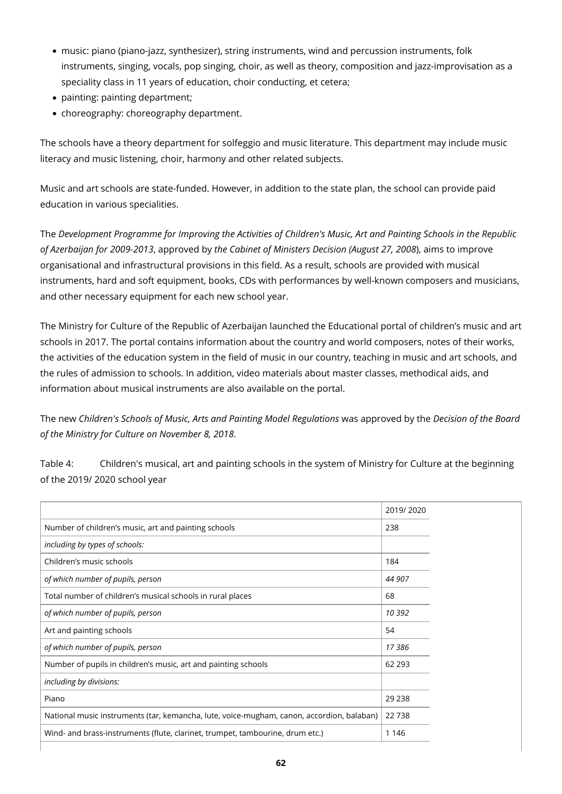- music: piano (piano-jazz, synthesizer), string instruments, wind and percussion instruments, folk instruments, singing, vocals, pop singing, choir, as well as theory, composition and jazz-improvisation as a speciality class in 11 years of education, choir conducting, et cetera;
- painting: painting department;
- choreography: choreography department.

The schools have a theory department for solfeggio and music literature. This department may include music literacy and music listening, choir, harmony and other related subjects.

Music and art schools are state-funded. However, in addition to the state plan, the school can provide paid education in various specialities.

The *Development Programme for Improving the Activities of Children's Music, Art and Painting Schools in the Republic of Azerbaijan for 2009-2013*, approved by *the Cabinet of Ministers Decision (August 27, 2008*), aims to improve organisational and infrastructural provisions in this field. As a result, schools are provided with musical instruments, hard and soft equipment, books, CDs with performances by well-known composers and musicians, and other necessary equipment for each new school year.

The Ministry for Culture of the Republic of Azerbaijan launched the Educational portal of children's music and art schools in 2017. The portal contains information about the country and world composers, notes of their works, the activities of the education system in the field of music in our country, teaching in music and art schools, and the rules of admission to schools. In addition, video materials about master classes, methodical aids, and information about musical instruments are also available on the portal.

The new *Children's Schools of Music, Arts and Painting Model Regulations* was approved by the *Decision of the Board of the Ministry for Culture on November 8, 2018*.

Table 4: Children's musical, art and painting schools in the system of Ministry for Culture at the beginning of the 2019/ 2020 school year

|                                                                                           | 2019/2020 |
|-------------------------------------------------------------------------------------------|-----------|
| Number of children's music, art and painting schools                                      | 238       |
| including by types of schools:                                                            |           |
| Children's music schools                                                                  | 184       |
| of which number of pupils, person                                                         | 44 907    |
| Total number of children's musical schools in rural places                                | 68        |
| of which number of pupils, person                                                         | 10 392    |
| Art and painting schools                                                                  | 54        |
| of which number of pupils, person                                                         | 17386     |
| Number of pupils in children's music, art and painting schools                            | 62 293    |
| including by divisions:                                                                   |           |
| Piano                                                                                     | 29 2 38   |
| National music instruments (tar, kemancha, lute, voice-mugham, canon, accordion, balaban) | 22738     |
| Wind- and brass-instruments (flute, clarinet, trumpet, tambourine, drum etc.)             | 1 1 4 6   |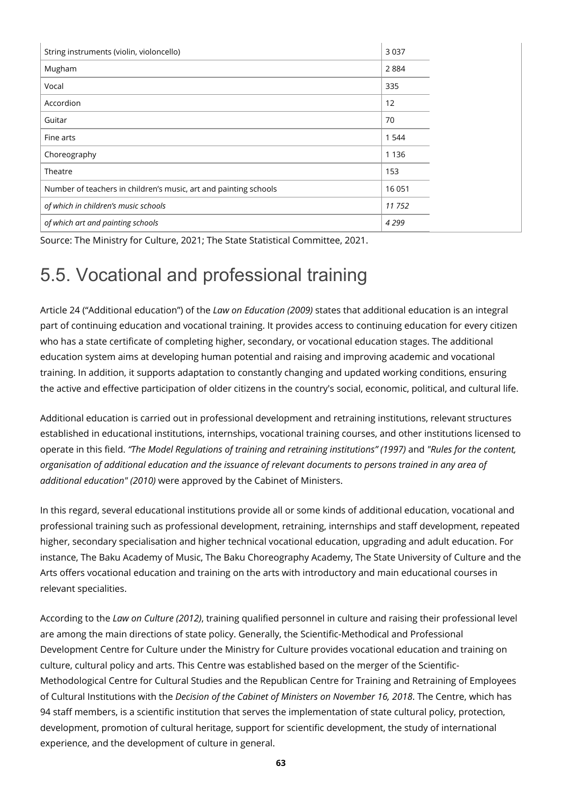| String instruments (violin, violoncello)                         | 3 0 3 7 |
|------------------------------------------------------------------|---------|
| Mugham                                                           | 2884    |
| Vocal                                                            | 335     |
| Accordion                                                        | 12      |
| Guitar                                                           | 70      |
| Fine arts                                                        | 1 5 4 4 |
| Choreography                                                     | 1 1 3 6 |
| Theatre                                                          | 153     |
| Number of teachers in children's music, art and painting schools | 16 051  |
| of which in children's music schools                             | 11 752  |
| of which art and painting schools                                | 4 2 9 9 |

Source: The Ministry for Culture, 2021; The State Statistical Committee, 2021.

# 5.5. Vocational and professional training

Article 24 ("Additional education") of the *Law on Education (2009)* states that additional education is an integral part of continuing education and vocational training. It provides access to continuing education for every citizen who has a state certificate of completing higher, secondary, or vocational education stages. The additional education system aims at developing human potential and raising and improving academic and vocational training. In addition, it supports adaptation to constantly changing and updated working conditions, ensuring the active and effective participation of older citizens in the country's social, economic, political, and cultural life.

Additional education is carried out in professional development and retraining institutions, relevant structures established in educational institutions, internships, vocational training courses, and other institutions licensed to operate in this field. *"The Model Regulations of training and retraining institutions" (1997)* and *"Rules for the content, organisation of additional education and the issuance of relevant documents to persons trained in any area of additional education" (2010)* were approved by the Cabinet of Ministers.

In this regard, several educational institutions provide all or some kinds of additional education, vocational and professional training such as professional development, retraining, internships and staff development, repeated higher, secondary specialisation and higher technical vocational education, upgrading and adult education. For instance, The Baku Academy of Music, The Baku Choreography Academy, The State University of Culture and the Arts offers vocational education and training on the arts with introductory and main educational courses in relevant specialities.

According to the *Law on Culture (2012)*, training qualified personnel in culture and raising their professional level are among the main directions of state policy. Generally, the Scientific-Methodical and Professional Development Centre for Culture under the Ministry for Culture provides vocational education and training on culture, cultural policy and arts. This Centre was established based on the merger of the Scientific-Methodological Centre for Cultural Studies and the Republican Centre for Training and Retraining of Employees of Cultural Institutions with the *Decision of the Cabinet of Ministers on November 16, 2018*. The Centre, which has 94 staff members, is a scientific institution that serves the implementation of state cultural policy, protection, development, promotion of cultural heritage, support for scientific development, the study of international experience, and the development of culture in general.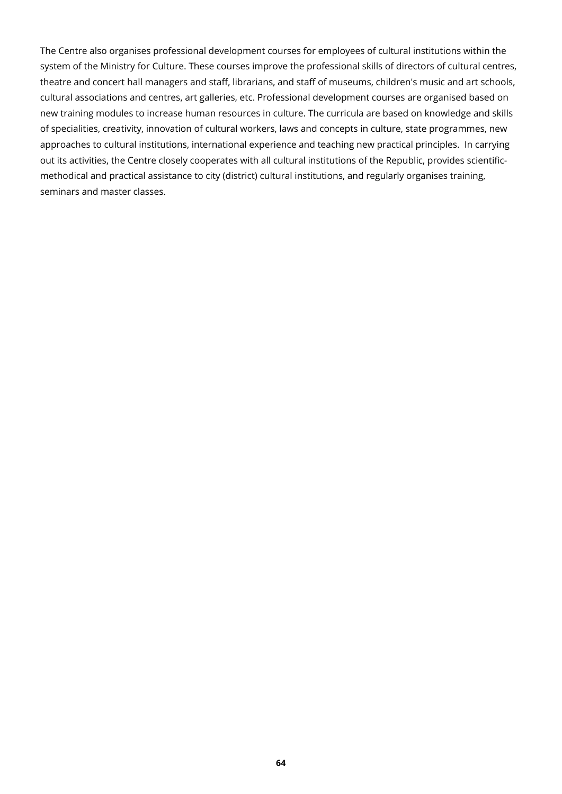The Centre also organises professional development courses for employees of cultural institutions within the system of the Ministry for Culture. These courses improve the professional skills of directors of cultural centres, theatre and concert hall managers and staff, librarians, and staff of museums, children's music and art schools, cultural associations and centres, art galleries, etc. Professional development courses are organised based on new training modules to increase human resources in culture. The curricula are based on knowledge and skills of specialities, creativity, innovation of cultural workers, laws and concepts in culture, state programmes, new approaches to cultural institutions, international experience and teaching new practical principles. In carrying out its activities, the Centre closely cooperates with all cultural institutions of the Republic, provides scientificmethodical and practical assistance to city (district) cultural institutions, and regularly organises training, seminars and master classes.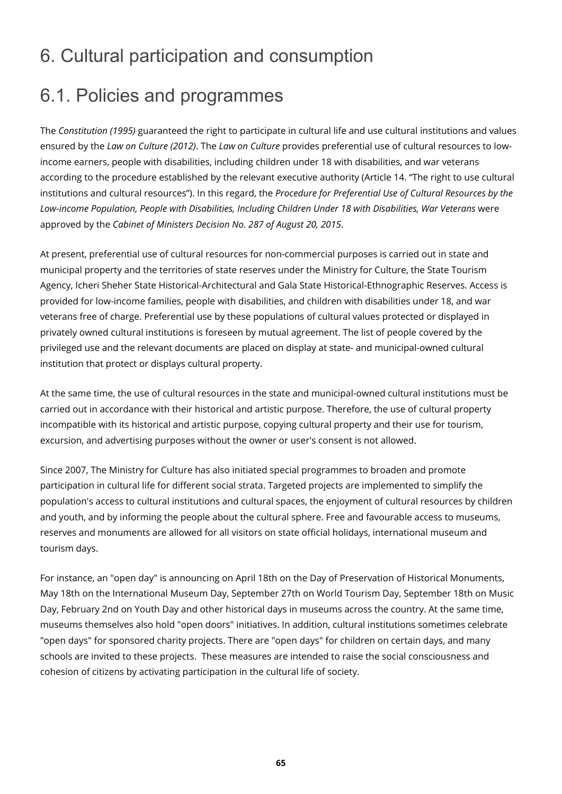## 6. Cultural participation and consumption

## 6.1. Policies and programmes

The *Constitution (1995)* guaranteed the right to participate in cultural life and use cultural institutions and values ensured by the *Law on Culture (2012)*. The *Law on Culture* provides preferential use of cultural resources to lowincome earners, people with disabilities, including children under 18 with disabilities, and war veterans according to the procedure established by the relevant executive authority (Article 14. "The right to use cultural institutions and cultural resources"). In this regard, the *Procedure for Preferential Use of Cultural Resources by the Low-income Population, People with Disabilities, Including Children Under 18 with Disabilities, War Veterans* were approved by the *Cabinet of Ministers Decision No. 287 of August 20, 2015*.

At present, preferential use of cultural resources for non-commercial purposes is carried out in state and municipal property and the territories of state reserves under the Ministry for Culture, the State Tourism Agency, Icheri Sheher State Historical-Architectural and Gala State Historical-Ethnographic Reserves. Access is provided for low-income families, people with disabilities, and children with disabilities under 18, and war veterans free of charge. Preferential use by these populations of cultural values protected or displayed in privately owned cultural institutions is foreseen by mutual agreement. The list of people covered by the privileged use and the relevant documents are placed on display at state- and municipal-owned cultural institution that protect or displays cultural property.

At the same time, the use of cultural resources in the state and municipal-owned cultural institutions must be carried out in accordance with their historical and artistic purpose. Therefore, the use of cultural property incompatible with its historical and artistic purpose, copying cultural property and their use for tourism, excursion, and advertising purposes without the owner or user's consent is not allowed.

Since 2007, The Ministry for Culture has also initiated special programmes to broaden and promote participation in cultural life for different social strata. Targeted projects are implemented to simplify the population's access to cultural institutions and cultural spaces, the enjoyment of cultural resources by children and youth, and by informing the people about the cultural sphere. Free and favourable access to museums, reserves and monuments are allowed for all visitors on state official holidays, international museum and tourism days.

For instance, an "open day" is announcing on April 18th on the Day of Preservation of Historical Monuments, May 18th on the International Museum Day, September 27th on World Tourism Day, September 18th on Music Day, February 2nd on Youth Day and other historical days in museums across the country. At the same time, museums themselves also hold "open doors" initiatives. In addition, cultural institutions sometimes celebrate "open days" for sponsored charity projects. There are "open days" for children on certain days, and many schools are invited to these projects. These measures are intended to raise the social consciousness and cohesion of citizens by activating participation in the cultural life of society.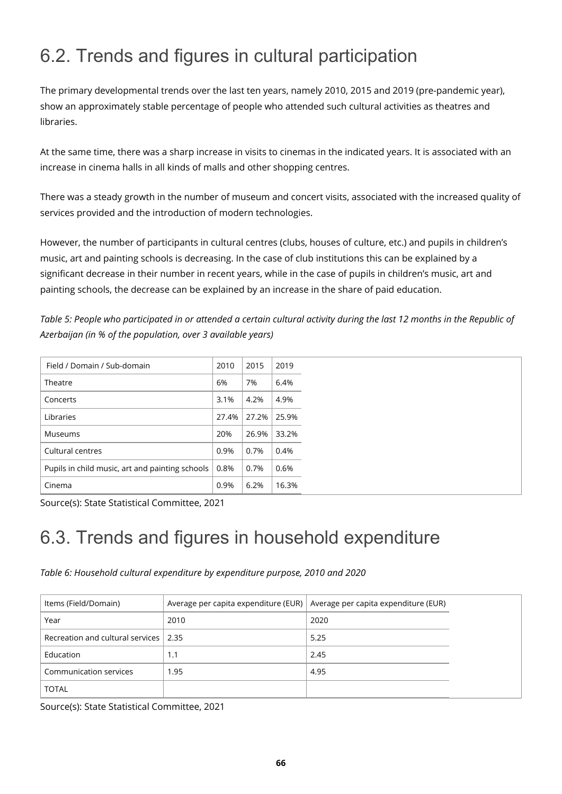# 6.2. Trends and figures in cultural participation

The primary developmental trends over the last ten years, namely 2010, 2015 and 2019 (pre-pandemic year), show an approximately stable percentage of people who attended such cultural activities as theatres and **libraries** 

At the same time, there was a sharp increase in visits to cinemas in the indicated years. It is associated with an increase in cinema halls in all kinds of malls and other shopping centres.

There was a steady growth in the number of museum and concert visits, associated with the increased quality of services provided and the introduction of modern technologies.

However, the number of participants in cultural centres (clubs, houses of culture, etc.) and pupils in children's music, art and painting schools is decreasing. In the case of club institutions this can be explained by a significant decrease in their number in recent years, while in the case of pupils in children's music, art and painting schools, the decrease can be explained by an increase in the share of paid education.

*Table 5: People who participated in or attended a certain cultural activity during the last 12 months in the Republic of Azerbaijan (in % of the population, over 3 available years)*

| Field / Domain / Sub-domain                     | 2010  | 2015  | 2019        |
|-------------------------------------------------|-------|-------|-------------|
| Theatre                                         | 6%    | 7%    | 6.4%        |
| Concerts                                        | 3.1%  | 4.2%  | 4.9%        |
| Libraries                                       | 27.4% |       | 27.2% 25.9% |
| Museums                                         | 20%   | 26.9% | 33.2%       |
| Cultural centres                                | 0.9%  | 0.7%  | 0.4%        |
| Pupils in child music, art and painting schools | 0.8%  | 0.7%  | 0.6%        |
| Cinema                                          | 0.9%  | 6.2%  | 16.3%       |

Source(s): State Statistical Committee, 2021

# 6.3. Trends and figures in household expenditure

*Table 6: Household cultural expenditure by expenditure purpose, 2010 and 2020*

| Items (Field/Domain)                  | Average per capita expenditure (EUR) $\vert$ Average per capita expenditure (EUR) |      |
|---------------------------------------|-----------------------------------------------------------------------------------|------|
| Year                                  | 2010                                                                              | 2020 |
| Recreation and cultural services 2.35 |                                                                                   | 5.25 |
| Education                             | 1.1                                                                               | 2.45 |
| Communication services                | 1.95                                                                              | 4.95 |
| <b>TOTAL</b>                          |                                                                                   |      |

Source(s): State Statistical Committee, 2021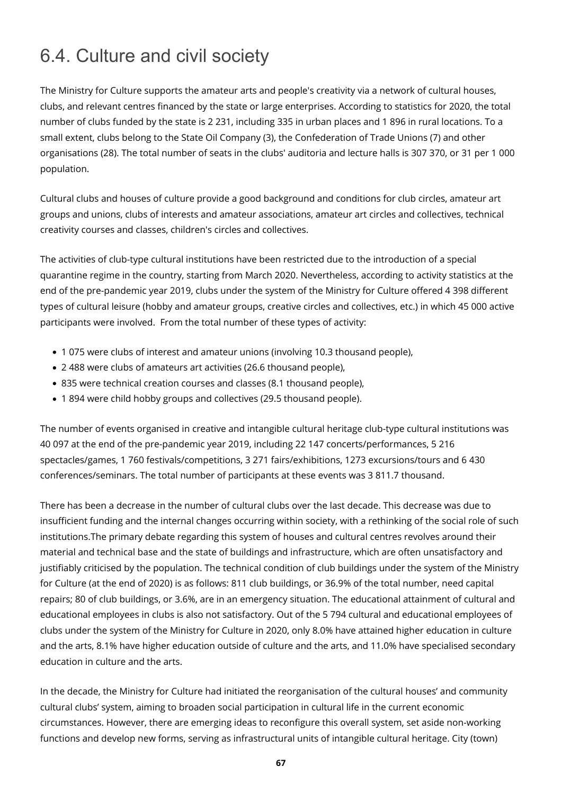# 6.4. Culture and civil society

The Ministry for Culture supports the amateur arts and people's creativity via a network of cultural houses, clubs, and relevant centres financed by the state or large enterprises. According to statistics for 2020, the total number of clubs funded by the state is 2 231, including 335 in urban places and 1 896 in rural locations. To a small extent, clubs belong to the State Oil Company (3), the Confederation of Trade Unions (7) and other organisations (28). The total number of seats in the clubs' auditoria and lecture halls is 307 370, or 31 per 1 000 population.

Cultural clubs and houses of culture provide a good background and conditions for club circles, amateur art groups and unions, clubs of interests and amateur associations, amateur art circles and collectives, technical creativity courses and classes, children's circles and collectives.

The activities of club-type cultural institutions have been restricted due to the introduction of a special quarantine regime in the country, starting from March 2020. Nevertheless, according to activity statistics at the end of the pre-pandemic year 2019, clubs under the system of the Ministry for Culture offered 4 398 different types of cultural leisure (hobby and amateur groups, creative circles and collectives, etc.) in which 45 000 active participants were involved. From the total number of these types of activity:

- 1 075 were clubs of interest and amateur unions (involving 10.3 thousand people),
- 2 488 were clubs of amateurs art activities (26.6 thousand people),
- 835 were technical creation courses and classes (8.1 thousand people),
- 1 894 were child hobby groups and collectives (29.5 thousand people).

The number of events organised in creative and intangible cultural heritage club-type cultural institutions was 40 097 at the end of the pre-pandemic year 2019, including 22 147 concerts/performances, 5 216 spectacles/games, 1 760 festivals/competitions, 3 271 fairs/exhibitions, 1273 excursions/tours and 6 430 conferences/seminars. The total number of participants at these events was 3 811.7 thousand.

There has been a decrease in the number of cultural clubs over the last decade. This decrease was due to insufficient funding and the internal changes occurring within society, with a rethinking of the social role of such institutions.The primary debate regarding this system of houses and cultural centres revolves around their material and technical base and the state of buildings and infrastructure, which are often unsatisfactory and justifiably criticised by the population. The technical condition of club buildings under the system of the Ministry for Culture (at the end of 2020) is as follows: 811 club buildings, or 36.9% of the total number, need capital repairs; 80 of club buildings, or 3.6%, are in an emergency situation. The educational attainment of cultural and educational employees in clubs is also not satisfactory. Out of the 5 794 cultural and educational employees of clubs under the system of the Ministry for Culture in 2020, only 8.0% have attained higher education in culture and the arts, 8.1% have higher education outside of culture and the arts, and 11.0% have specialised secondary education in culture and the arts.

In the decade, the Ministry for Culture had initiated the reorganisation of the cultural houses' and community cultural clubs' system, aiming to broaden social participation in cultural life in the current economic circumstances. However, there are emerging ideas to reconfigure this overall system, set aside non-working functions and develop new forms, serving as infrastructural units of intangible cultural heritage. City (town)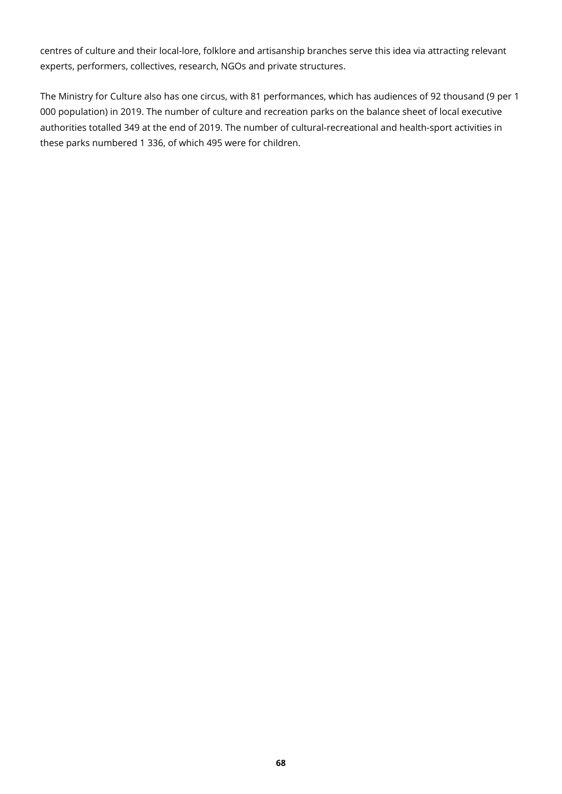centres of culture and their local-lore, folklore and artisanship branches serve this idea via attracting relevant experts, performers, collectives, research, NGOs and private structures.

The Ministry for Culture also has one circus, with 81 performances, which has audiences of 92 thousand (9 per 1 000 population) in 2019. The number of culture and recreation parks on the balance sheet of local executive authorities totalled 349 at the end of 2019. The number of cultural-recreational and health-sport activities in these parks numbered 1 336, of which 495 were for children.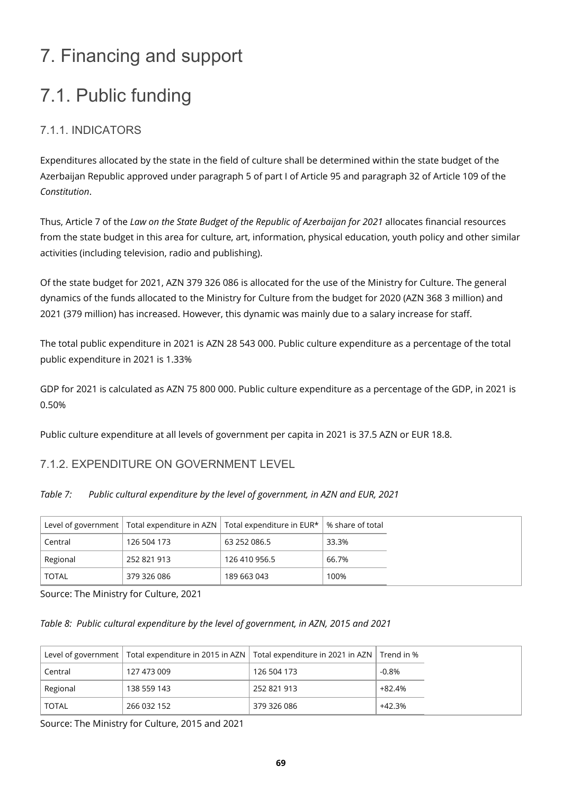# 7. Financing and support

# 7.1. Public funding

### 7.1.1. INDICATORS

Expenditures allocated by the state in the field of culture shall be determined within the state budget of the Azerbaijan Republic approved under paragraph 5 of part I of Article 95 and paragraph 32 of Article 109 of the *Constitution*.

Thus, Article 7 of the *Law on the State Budget of the Republic of Azerbaijan for 2021* allocates financial resources from the state budget in this area for culture, art, information, physical education, youth policy and other similar activities (including television, radio and publishing).

Of the state budget for 2021, AZN 379 326 086 is allocated for the use of the Ministry for Culture. The general dynamics of the funds allocated to the Ministry for Culture from the budget for 2020 (AZN 368 3 million) and 2021 (379 million) has increased. However, this dynamic was mainly due to a salary increase for staff.

The total public expenditure in 2021 is AZN 28 543 000. Public culture expenditure as a percentage of the total public expenditure in 2021 is 1.33%

GDP for 2021 is calculated as AZN 75 800 000. Public culture expenditure as a percentage of the GDP, in 2021 is 0.50%

Public culture expenditure at all levels of government per capita in 2021 is 37.5 AZN or EUR 18.8.

### 7.1.2. EXPENDITURE ON GOVERNMENT LEVEL

*Table 7: Public cultural expenditure by the level of government, in AZN and EUR, 2021*

|              |             | Level of government   Total expenditure in AZN   Total expenditure in EUR* | % share of total |
|--------------|-------------|----------------------------------------------------------------------------|------------------|
| Central      | 126 504 173 | 63 252 086.5                                                               | 33.3%            |
| Regional     | 252 821 913 | 126 410 956.5                                                              | 66.7%            |
| <b>TOTAL</b> | 379 326 086 | 189 663 043                                                                | 100%             |

Source: The Ministry for Culture, 2021

#### *Table 8: Public cultural expenditure by the level of government, in AZN, 2015 and 2021*

|              |             | Level of government   Total expenditure in 2015 in AZN   Total expenditure in 2021 in AZN   Trend in % |          |
|--------------|-------------|--------------------------------------------------------------------------------------------------------|----------|
| Central      | 127 473 009 | 126 504 173                                                                                            | $-0.8\%$ |
| Regional     | 138 559 143 | 252 821 913                                                                                            | +82.4%   |
| <b>TOTAL</b> | 266 032 152 | 379 326 086                                                                                            | +42.3%   |

Source: The Ministry for Culture, 2015 and 2021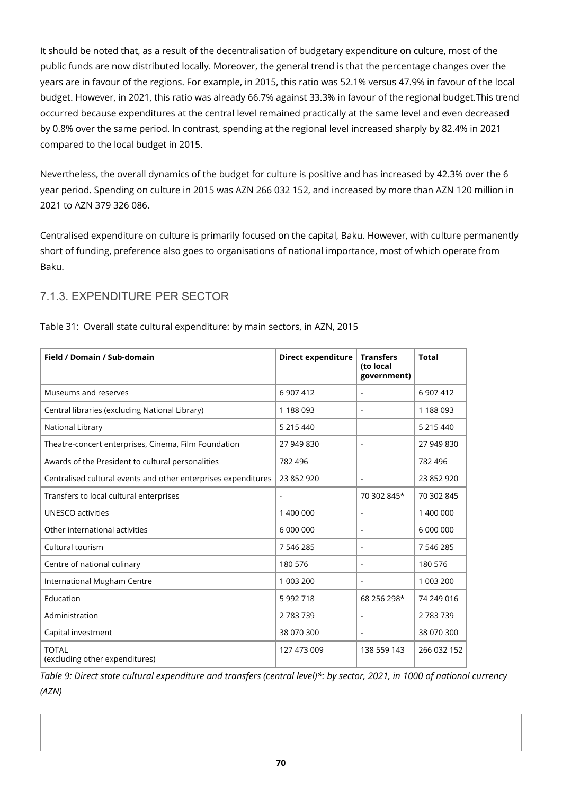It should be noted that, as a result of the decentralisation of budgetary expenditure on culture, most of the public funds are now distributed locally. Moreover, the general trend is that the percentage changes over the years are in favour of the regions. For example, in 2015, this ratio was 52.1% versus 47.9% in favour of the local budget. However, in 2021, this ratio was already 66.7% against 33.3% in favour of the regional budget.This trend occurred because expenditures at the central level remained practically at the same level and even decreased by 0.8% over the same period. In contrast, spending at the regional level increased sharply by 82.4% in 2021 compared to the local budget in 2015.

Nevertheless, the overall dynamics of the budget for culture is positive and has increased by 42.3% over the 6 year period. Spending on culture in 2015 was AZN 266 032 152, and increased by more than AZN 120 million in 2021 to AZN 379 326 086.

Centralised expenditure on culture is primarily focused on the capital, Baku. However, with culture permanently short of funding, preference also goes to organisations of national importance, most of which operate from Baku.

### 7.1.3. EXPENDITURE PER SECTOR

| Field / Domain / Sub-domain                                    | <b>Direct expenditure</b> | <b>Transfers</b><br>(to local<br>government) | <b>Total</b> |
|----------------------------------------------------------------|---------------------------|----------------------------------------------|--------------|
| Museums and reserves                                           | 6 907 412                 | $\blacksquare$                               | 6 907 412    |
| Central libraries (excluding National Library)                 | 1 188 093                 | $\blacksquare$                               | 1 188 093    |
| National Library                                               | 5 215 440                 |                                              | 5 215 440    |
| Theatre-concert enterprises, Cinema, Film Foundation           | 27 949 830                | ÷                                            | 27 949 830   |
| Awards of the President to cultural personalities              | 782 496                   |                                              | 782 496      |
| Centralised cultural events and other enterprises expenditures | 23 852 920                | ٠                                            | 23 852 920   |
| Transfers to local cultural enterprises                        |                           | 70 302 845*                                  | 70 302 845   |
| <b>UNESCO activities</b>                                       | 1 400 000                 | $\qquad \qquad \blacksquare$                 | 1 400 000    |
| Other international activities                                 | 6 000 000                 | $\overline{a}$                               | 6 000 000    |
| Cultural tourism                                               | 7 546 285                 | ٠                                            | 7 546 285    |
| Centre of national culinary                                    | 180 576                   | $\blacksquare$                               | 180 576      |
| International Mugham Centre                                    | 1 003 200                 | $\blacksquare$                               | 1 003 200    |
| Education                                                      | 5 992 718                 | 68 256 298*                                  | 74 249 016   |
| Administration                                                 | 2783739                   | $\overline{\phantom{0}}$                     | 2 783 739    |
| Capital investment                                             | 38 070 300                | $\blacksquare$                               | 38 070 300   |
| <b>TOTAL</b><br>(excluding other expenditures)                 | 127 473 009               | 138 559 143                                  | 266 032 152  |

Table 31: Overall state cultural expenditure: by main sectors, in AZN, 2015

*Table 9: Direct state cultural expenditure and transfers (central level)\*: by sector, 2021, in 1000 of national currency (AZN)*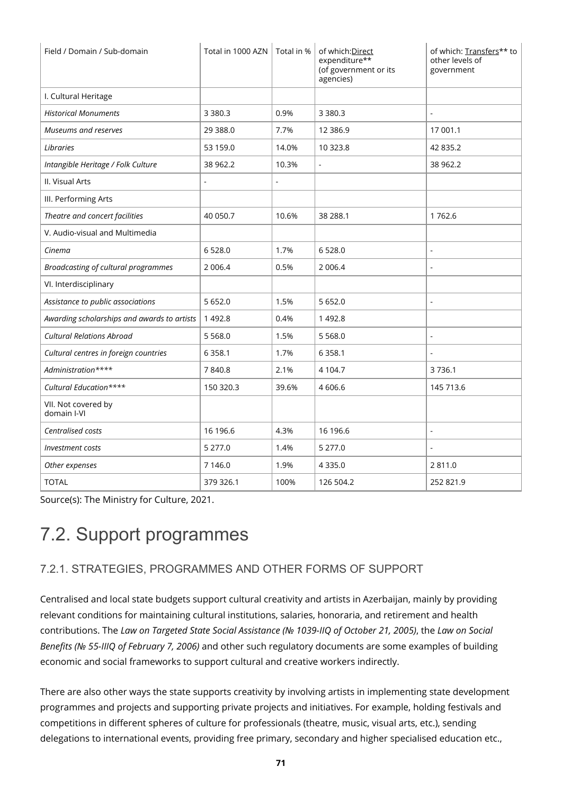| Field / Domain / Sub-domain                 | Total in 1000 AZN   Total in % |       | of which: Direct<br>expenditure**<br>(of government or its<br>agencies) | of which: Transfers** to<br>other levels of<br>government |
|---------------------------------------------|--------------------------------|-------|-------------------------------------------------------------------------|-----------------------------------------------------------|
| I. Cultural Heritage                        |                                |       |                                                                         |                                                           |
| <b>Historical Monuments</b>                 | 3 3 8 0.3                      | 0.9%  | 3 3 8 0 . 3                                                             |                                                           |
| Museums and reserves                        | 29 388.0                       | 7.7%  | 12 3 8 6.9                                                              | 17 001.1                                                  |
| Libraries                                   | 53 159.0                       | 14.0% | 10 323.8                                                                | 42 835.2                                                  |
| Intangible Heritage / Folk Culture          | 38 962.2                       | 10.3% | $\overline{\phantom{a}}$                                                | 38 962.2                                                  |
| II. Visual Arts                             |                                |       |                                                                         |                                                           |
| III. Performing Arts                        |                                |       |                                                                         |                                                           |
| Theatre and concert facilities              | 40 050.7                       | 10.6% | 38 288.1                                                                | 1762.6                                                    |
| V. Audio-visual and Multimedia              |                                |       |                                                                         |                                                           |
| Cinema                                      | 6528.0                         | 1.7%  | 6 5 28.0                                                                | ÷,                                                        |
| Broadcasting of cultural programmes         | 2 0 0 6.4                      | 0.5%  | 2 0 0 6.4                                                               | L,                                                        |
| VI. Interdisciplinary                       |                                |       |                                                                         |                                                           |
| Assistance to public associations           | 5 6 5 2.0                      | 1.5%  | 5 6 5 2.0                                                               | $\blacksquare$                                            |
| Awarding scholarships and awards to artists | 1 4 9 2.8                      | 0.4%  | 1492.8                                                                  |                                                           |
| <b>Cultural Relations Abroad</b>            | 5 5 6 8 .0                     | 1.5%  | 5 5 6 8.0                                                               | $\overline{\phantom{a}}$                                  |
| Cultural centres in foreign countries       | 6 3 5 8.1                      | 1.7%  | 6 3 5 8.1                                                               |                                                           |
| Administration****                          | 7840.8                         | 2.1%  | 4 104.7                                                                 | 3736.1                                                    |
| Cultural Education****                      | 150 320.3                      | 39.6% | 4 606.6                                                                 | 145 713.6                                                 |
| VII. Not covered by<br>domain I-VI          |                                |       |                                                                         |                                                           |
| Centralised costs                           | 16 196.6                       | 4.3%  | 16 196.6                                                                | ÷,                                                        |
| Investment costs                            | 5 277.0                        | 1.4%  | 5 277.0                                                                 |                                                           |
| Other expenses                              | 7 146.0                        | 1.9%  | 4 3 3 5 . 0                                                             | 2811.0                                                    |
| <b>TOTAL</b>                                | 379 326.1                      | 100%  | 126 504.2                                                               | 252 821.9                                                 |

Source(s): The Ministry for Culture, 2021.

# 7.2. Support programmes

### 7.2.1. STRATEGIES, PROGRAMMES AND OTHER FORMS OF SUPPORT

Centralised and local state budgets support cultural creativity and artists in Azerbaijan, mainly by providing relevant conditions for maintaining cultural institutions, salaries, honoraria, and retirement and health contributions. The *Law on Targeted State Social Assistance (№ 1039-IIQ of October 21, 2005)*, the *Law on Social Benefits (№ 55-IIIQ of February 7, 2006)* and other such regulatory documents are some examples of building economic and social frameworks to support cultural and creative workers indirectly.

There are also other ways the state supports creativity by involving artists in implementing state development programmes and projects and supporting private projects and initiatives. For example, holding festivals and competitions in different spheres of culture for professionals (theatre, music, visual arts, etc.), sending delegations to international events, providing free primary, secondary and higher specialised education etc.,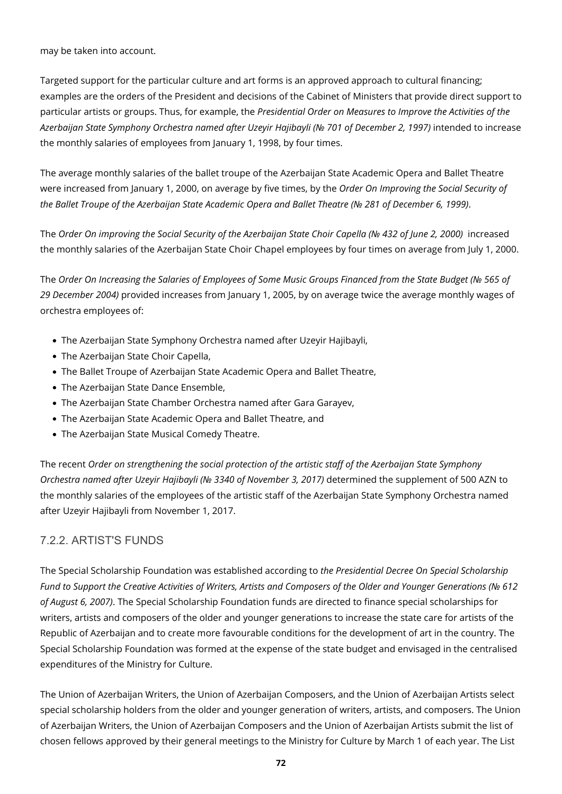may be taken into account.

Targeted support for the particular culture and art forms is an approved approach to cultural financing; examples are the orders of the President and decisions of the Cabinet of Ministers that provide direct support to particular artists or groups. Thus, for example, the *Presidential Order on Measures to Improve the Activities of the Azerbaijan State Symphony Orchestra named after Uzeyir Hajibayli (№ 701 of December 2, 1997)* intended to increase the monthly salaries of employees from January 1, 1998, by four times.

The average monthly salaries of the ballet troupe of the Azerbaijan State Academic Opera and Ballet Theatre were increased from January 1, 2000, on average by five times, by the *Order On Improving the Social Security of the Ballet Troupe of the Azerbaijan State Academic Opera and Ballet Theatre (№ 281 of December 6, 1999)*.

The *Order On improving the Social Security of the Azerbaijan State Choir Capella (№ 432 of June 2, 2000)* increased the monthly salaries of the Azerbaijan State Choir Chapel employees by four times on average from July 1, 2000.

The *Order On Increasing the Salaries of Employees of Some Music Groups Financed from the State Budget (№ 565 of 29 December 2004)* provided increases from January 1, 2005, by on average twice the average monthly wages of orchestra employees of:

- The Azerbaijan State Symphony Orchestra named after Uzeyir Hajibayli,
- The Azerbaijan State Choir Capella,
- The Ballet Troupe of Azerbaijan State Academic Opera and Ballet Theatre,
- The Azerbaijan State Dance Ensemble,
- The Azerbaijan State Chamber Orchestra named after Gara Garayev,
- The Azerbaijan State Academic Opera and Ballet Theatre, and
- The Azerbaijan State Musical Comedy Theatre.

The recent *Order on strengthening the social protection of the artistic staff of the Azerbaijan State Symphony Orchestra named after Uzeyir Hajibayli (№ 3340 of November 3, 2017)* determined the supplement of 500 AZN to the monthly salaries of the employees of the artistic staff of the Azerbaijan State Symphony Orchestra named after Uzeyir Hajibayli from November 1, 2017.

### 7.2.2. ARTIST'S FUNDS

The Special Scholarship Foundation was established according to *the Presidential Decree On Special Scholarship Fund to Support the Creative Activities of Writers, Artists and Composers of the Older and Younger Generations (№ 612 of August 6, 2007)*. The Special Scholarship Foundation funds are directed to finance special scholarships for writers, artists and composers of the older and younger generations to increase the state care for artists of the Republic of Azerbaijan and to create more favourable conditions for the development of art in the country. The Special Scholarship Foundation was formed at the expense of the state budget and envisaged in the centralised expenditures of the Ministry for Culture.

The Union of Azerbaijan Writers, the Union of Azerbaijan Composers, and the Union of Azerbaijan Artists select special scholarship holders from the older and younger generation of writers, artists, and composers. The Union of Azerbaijan Writers, the Union of Azerbaijan Composers and the Union of Azerbaijan Artists submit the list of chosen fellows approved by their general meetings to the Ministry for Culture by March 1 of each year. The List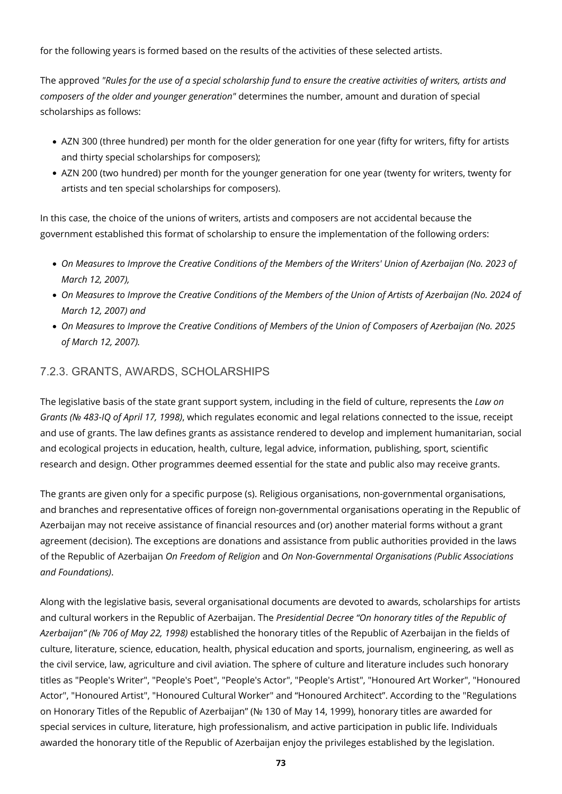for the following years is formed based on the results of the activities of these selected artists.

The approved *"Rules for the use of a special scholarship fund to ensure the creative activities of writers, artists and composers of the older and younger generation"* determines the number, amount and duration of special scholarships as follows:

- AZN 300 (three hundred) per month for the older generation for one year (fifty for writers, fifty for artists and thirty special scholarships for composers);
- AZN 200 (two hundred) per month for the younger generation for one year (twenty for writers, twenty for artists and ten special scholarships for composers).

In this case, the choice of the unions of writers, artists and composers are not accidental because the government established this format of scholarship to ensure the implementation of the following orders:

- *On Measures to Improve the Creative Conditions of the Members of the Writers' Union of Azerbaijan (No. 2023 of March 12, 2007),*
- *On Measures to Improve the Creative Conditions of the Members of the Union of Artists of Azerbaijan (No. 2024 of March 12, 2007) and*
- *On Measures to Improve the Creative Conditions of Members of the Union of Composers of Azerbaijan (No. 2025 of March 12, 2007).*

#### 7.2.3. GRANTS, AWARDS, SCHOLARSHIPS

The legislative basis of the state grant support system, including in the field of culture, represents the *Law on Grants (№ 483-IQ of April 17, 1998)*, which regulates economic and legal relations connected to the issue, receipt and use of grants. The law defines grants as assistance rendered to develop and implement humanitarian, social and ecological projects in education, health, culture, legal advice, information, publishing, sport, scientific research and design. Other programmes deemed essential for the state and public also may receive grants.

The grants are given only for a specific purpose (s). Religious organisations, non-governmental organisations, and branches and representative offices of foreign non-governmental organisations operating in the Republic of Azerbaijan may not receive assistance of financial resources and (or) another material forms without a grant agreement (decision). The exceptions are donations and assistance from public authorities provided in the laws of the Republic of Azerbaijan *On Freedom of Religion* and *On Non-Governmental Organisations (Public Associations and Foundations)*.

Along with the legislative basis, several organisational documents are devoted to awards, scholarships for artists and cultural workers in the Republic of Azerbaijan. The *Presidential Decree "On honorary titles of the Republic of Azerbaijan" (№ 706 of May 22, 1998)* established the honorary titles of the Republic of Azerbaijan in the fields of culture, literature, science, education, health, physical education and sports, journalism, engineering, as well as the civil service, law, agriculture and civil aviation. The sphere of culture and literature includes such honorary titles as "People's Writer", "People's Poet", "People's Actor", "People's Artist", "Honoured Art Worker", "Honoured Actor", "Honoured Artist", "Honoured Cultural Worker" and "Honoured Architect". According to the "Regulations on Honorary Titles of the Republic of Azerbaijan" (№ 130 of May 14, 1999), honorary titles are awarded for special services in culture, literature, high professionalism, and active participation in public life. Individuals awarded the honorary title of the Republic of Azerbaijan enjoy the privileges established by the legislation.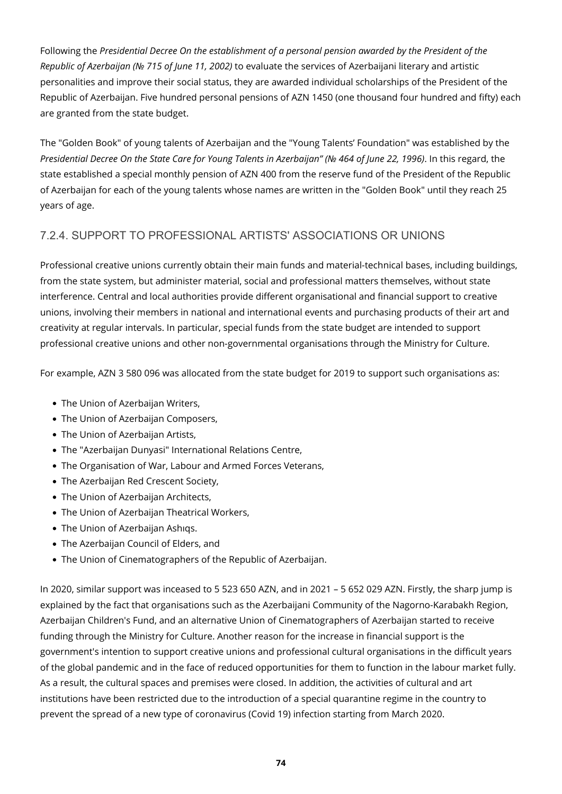Following the *Presidential Decree On the establishment of a personal pension awarded by the President of the Republic of Azerbaijan (№ 715 of June 11, 2002)* to evaluate the services of Azerbaijani literary and artistic personalities and improve their social status, they are awarded individual scholarships of the President of the Republic of Azerbaijan. Five hundred personal pensions of AZN 1450 (one thousand four hundred and fifty) each are granted from the state budget.

The "Golden Book" of young talents of Azerbaijan and the "Young Talents' Foundation" was established by the *Presidential Decree On the State Care for Young Talents in Azerbaijan" (№ 464 of June 22, 1996)*. In this regard, the state established a special monthly pension of AZN 400 from the reserve fund of the President of the Republic of Azerbaijan for each of the young talents whose names are written in the "Golden Book" until they reach 25 years of age.

### 7.2.4. SUPPORT TO PROFESSIONAL ARTISTS' ASSOCIATIONS OR UNIONS

Professional creative unions currently obtain their main funds and material-technical bases, including buildings, from the state system, but administer material, social and professional matters themselves, without state interference. Central and local authorities provide different organisational and financial support to creative unions, involving their members in national and international events and purchasing products of their art and creativity at regular intervals. In particular, special funds from the state budget are intended to support professional creative unions and other non-governmental organisations through the Ministry for Culture.

For example, AZN 3 580 096 was allocated from the state budget for 2019 to support such organisations as:

- The Union of Azerbaijan Writers,
- The Union of Azerbaijan Composers,
- The Union of Azerbaijan Artists,
- The "Azerbaijan Dunyasi" International Relations Centre,
- The Organisation of War, Labour and Armed Forces Veterans,
- The Azerbaijan Red Crescent Society,
- The Union of Azerbaijan Architects,
- The Union of Azerbaijan Theatrical Workers,
- The Union of Azerbaijan Ashıqs.
- The Azerbaijan Council of Elders, and
- The Union of Cinematographers of the Republic of Azerbaijan.

In 2020, similar support was inceased to 5 523 650 AZN, and in 2021 – 5 652 029 AZN. Firstly, the sharp jump is explained by the fact that organisations such as the Azerbaijani Community of the Nagorno-Karabakh Region, Azerbaijan Children's Fund, and an alternative Union of Cinematographers of Azerbaijan started to receive funding through the Ministry for Culture. Another reason for the increase in financial support is the government's intention to support creative unions and professional cultural organisations in the difficult years of the global pandemic and in the face of reduced opportunities for them to function in the labour market fully. As a result, the cultural spaces and premises were closed. In addition, the activities of cultural and art institutions have been restricted due to the introduction of a special quarantine regime in the country to prevent the spread of a new type of coronavirus (Covid 19) infection starting from March 2020.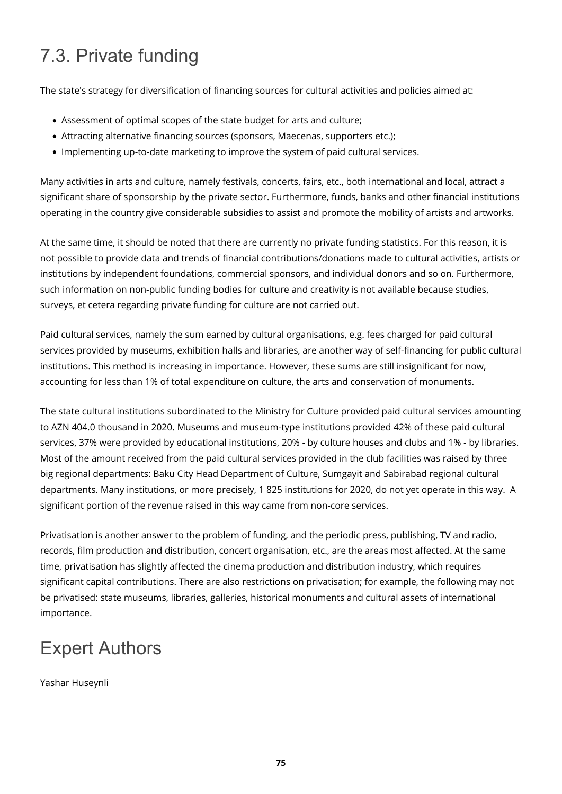# 7.3. Private funding

The state's strategy for diversification of financing sources for cultural activities and policies aimed at:

- Assessment of optimal scopes of the state budget for arts and culture;
- Attracting alternative financing sources (sponsors, Maecenas, supporters etc.);
- Implementing up-to-date marketing to improve the system of paid cultural services.

Many activities in arts and culture, namely festivals, concerts, fairs, etc., both international and local, attract a significant share of sponsorship by the private sector. Furthermore, funds, banks and other financial institutions operating in the country give considerable subsidies to assist and promote the mobility of artists and artworks.

At the same time, it should be noted that there are currently no private funding statistics. For this reason, it is not possible to provide data and trends of financial contributions/donations made to cultural activities, artists or institutions by independent foundations, commercial sponsors, and individual donors and so on. Furthermore, such information on non-public funding bodies for culture and creativity is not available because studies, surveys, et cetera regarding private funding for culture are not carried out.

Paid cultural services, namely the sum earned by cultural organisations, e.g. fees charged for paid cultural services provided by museums, exhibition halls and libraries, are another way of self-financing for public cultural institutions. This method is increasing in importance. However, these sums are still insignificant for now, accounting for less than 1% of total expenditure on culture, the arts and conservation of monuments.

The state cultural institutions subordinated to the Ministry for Culture provided paid cultural services amounting to AZN 404.0 thousand in 2020. Museums and museum-type institutions provided 42% of these paid cultural services, 37% were provided by educational institutions, 20% - by culture houses and clubs and 1% - by libraries. Most of the amount received from the paid cultural services provided in the club facilities was raised by three big regional departments: Baku City Head Department of Culture, Sumgayit and Sabirabad regional cultural departments. Many institutions, or more precisely, 1 825 institutions for 2020, do not yet operate in this way. A significant portion of the revenue raised in this way came from non-core services.

Privatisation is another answer to the problem of funding, and the periodic press, publishing, TV and radio, records, film production and distribution, concert organisation, etc., are the areas most affected. At the same time, privatisation has slightly affected the cinema production and distribution industry, which requires significant capital contributions. There are also restrictions on privatisation; for example, the following may not be privatised: state museums, libraries, galleries, historical monuments and cultural assets of international importance.

## Expert Authors

Yashar Huseynli